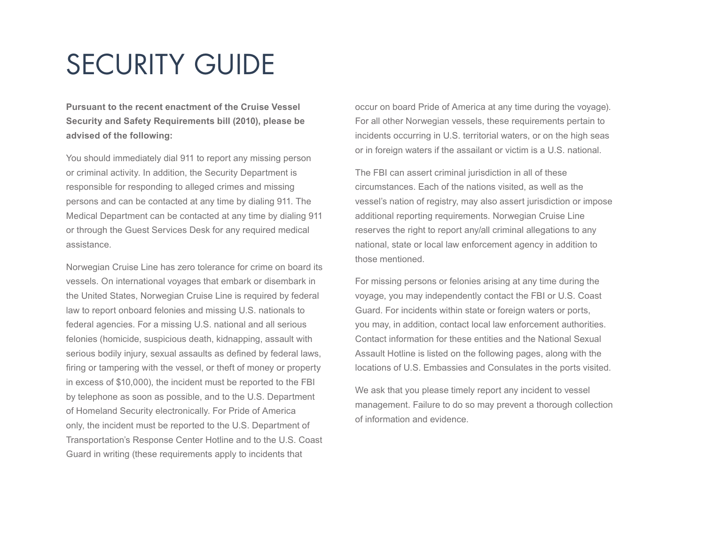# SECURITY GUIDE

**Pursuant to the recent enactment of the Cruise Vessel Security and Safety Requirements bill (2010), please be advised of the following:**

You should immediately dial 911 to report any missing person or criminal activity. In addition, the Security Department is responsible for responding to alleged crimes and missing persons and can be contacted at any time by dialing 911. The Medical Department can be contacted at any time by dialing 911 or through the Guest Services Desk for any required medical assistance.

Norwegian Cruise Line has zero tolerance for crime on board its vessels. On international voyages that embark or disembark in the United States, Norwegian Cruise Line is required by federal law to report onboard felonies and missing U.S. nationals to federal agencies. For a missing U.S. national and all serious felonies (homicide, suspicious death, kidnapping, assault with serious bodily injury, sexual assaults as defined by federal laws, firing or tampering with the vessel, or theft of money or property in excess of \$10,000), the incident must be reported to the FBI by telephone as soon as possible, and to the U.S. Department of Homeland Security electronically. For Pride of America only, the incident must be reported to the U.S. Department of Transportation's Response Center Hotline and to the U.S. Coast Guard in writing (these requirements apply to incidents that

occur on board Pride of America at any time during the voyage). For all other Norwegian vessels, these requirements pertain to incidents occurring in U.S. territorial waters, or on the high seas or in foreign waters if the assailant or victim is a U.S. national.

The FBI can assert criminal jurisdiction in all of these circumstances. Each of the nations visited, as well as the vessel's nation of registry, may also assert jurisdiction or impose additional reporting requirements. Norwegian Cruise Line reserves the right to report any/all criminal allegations to any national, state or local law enforcement agency in addition to those mentioned.

For missing persons or felonies arising at any time during the voyage, you may independently contact the FBI or U.S. Coast Guard. For incidents within state or foreign waters or ports, you may, in addition, contact local law enforcement authorities. Contact information for these entities and the National Sexual Assault Hotline is listed on the following pages, along with the locations of U.S. Embassies and Consulates in the ports visited.

We ask that you please timely report any incident to vessel management. Failure to do so may prevent a thorough collection of information and evidence.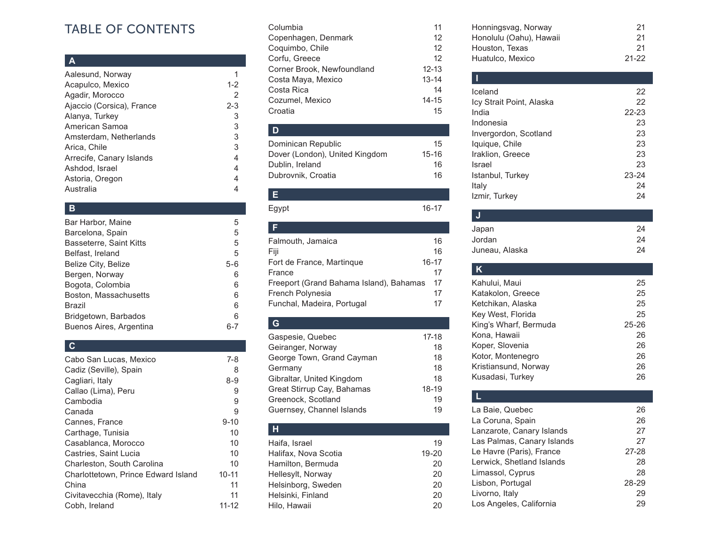# TABLE OF CONTENTS

### **A**

| Aalesund, Norway          |         |
|---------------------------|---------|
|                           |         |
| Acapulco, Mexico          | $1 - 2$ |
| Agadir, Morocco           | 2       |
| Ajaccio (Corsica), France | $2 - 3$ |
| Alanya, Turkey            | 3       |
| American Samoa            | 3       |
| Amsterdam, Netherlands    | 3       |
| Arica, Chile              | 3       |
| Arrecife, Canary Islands  | 4       |
| Ashdod, Israel            | 4       |
| Astoria, Oregon           | 4       |
| Australia                 |         |

# **B**

| Bar Harbor, Maine       | 5     |
|-------------------------|-------|
| Barcelona, Spain        | 5     |
| Basseterre, Saint Kitts | 5     |
| Belfast, Ireland        | 5     |
| Belize City, Belize     | $5-6$ |
| Bergen, Norway          | 6     |
| Bogota, Colombia        | 6     |
| Boston, Massachusetts   | 6     |
| <b>Brazil</b>           | 6     |
| Bridgetown, Barbados    | 6     |
| Buenos Aires, Argentina |       |

# **C**

| Cabo San Lucas, Mexico              | 7-8       |
|-------------------------------------|-----------|
| Cadiz (Seville), Spain              | 8         |
| Cagliari, Italy                     | 8-9       |
| Callao (Lima), Peru                 | 9         |
| Cambodia                            | 9         |
| Canada                              | 9         |
| Cannes, France                      | $9 - 10$  |
| Carthage, Tunisia                   | 10        |
| Casablanca, Morocco                 | 10        |
| Castries, Saint Lucia               | 10        |
| Charleston, South Carolina          | 10        |
| Charlottetown, Prince Edward Island | $10 - 11$ |
| China                               | 11        |
| Civitavecchia (Rome), Italy         | 11        |
| Cobh, Ireland                       | 11-12     |

| Columbia                   | 11        |
|----------------------------|-----------|
| Copenhagen, Denmark        | 12        |
| Coquimbo, Chile            | 12        |
| Corfu, Greece              | 12        |
| Corner Brook, Newfoundland | $12 - 13$ |
| Costa Maya, Mexico         | $13 - 14$ |
| Costa Rica                 | 14        |
| Cozumel, Mexico            | $14 - 15$ |
| Croatia                    | 15        |
|                            |           |

# **D**

| Dominican Republic             | 15    |
|--------------------------------|-------|
| Dover (London), United Kingdom | 15-16 |
| Dublin, Ireland                | 16    |
| Dubrovnik, Croatia             | 16    |

Egypt 16-17

**E**

| Falmouth, Jamaica                       | 16    |
|-----------------------------------------|-------|
| Fiji                                    | 16    |
| Fort de France, Martingue               | 16-17 |
| France                                  | 17    |
| Freeport (Grand Bahama Island), Bahamas | 17    |
| French Polynesia                        | 17    |
| Funchal, Madeira, Portugal              | 17    |

# **G**

| Gaspesie, Quebec           | 17-18 |
|----------------------------|-------|
| Geiranger, Norway          | 18    |
| George Town, Grand Cayman  | 18    |
| Germany                    | 18    |
| Gibraltar, United Kingdom  | 18    |
| Great Stirrup Cay, Bahamas | 18-19 |
| Greenock, Scotland         | 19    |
| Guernsey, Channel Islands  | 19    |
|                            |       |

# **H**

| Haifa, Israel        | 19        |
|----------------------|-----------|
| Halifax, Nova Scotia | $19 - 20$ |
| Hamilton, Bermuda    | 20        |
| Hellesylt, Norway    | 20        |
| Helsinborg, Sweden   | 20        |
| Helsinki, Finland    | 20        |
| Hilo, Hawaii         | 20        |

| Honningsvag, Norway     | 21        |
|-------------------------|-----------|
| Honolulu (Oahu), Hawaii | 21        |
| Houston, Texas          | 21        |
| Huatulco, Mexico        | $21 - 22$ |

### **I** Iceland 22 Icy Strait Point, Alaska 22 India 22-23 Indonesia 23<br>Invergordon, Scotland 23 Invergordon, Scotland 23<br>
Iquique, Chile 23 Iquique, Chile 23<br>
Iraklion. Greece 23 Iraklion, Greece Israel 23 Istanbul, Turkey 23-24 Italy 24<br>Izmir, Turkey 24 Izmir, Turkey

| Japan          | 24 |
|----------------|----|
| Jordan         | 24 |
| Juneau, Alaska | 24 |

| Κ                     |           |
|-----------------------|-----------|
| Kahului, Maui         | 25        |
| Katakolon, Greece     | 25        |
| Ketchikan, Alaska     | 25        |
| Key West, Florida     | 25        |
| King's Wharf, Bermuda | $25 - 26$ |
| Kona, Hawaii          | 26        |
| Koper, Slovenia       | 26        |
| Kotor, Montenegro     | 26        |
| Kristiansund, Norway  | 26        |
| Kusadasi, Turkey      | 26        |

# **L** La Baie, Quebec 26<br>
La Coruna, Spain 26 La Coruna, Spain<br>
Lanzarote, Canary Islands
27 Lanzarote, Canary Islands Las Palmas, Canary Islands 27 Le Havre (Paris), France 27-28 Lerwick, Shetland Islands 28<br>
Limassol. Cyprus 28 Limassol, Cyprus 28<br>
Lisbon. Portugal 28-29 Lisbon, Portugal 28-29<br>
Livorno, Italy 29 Livorno, Italy 29<br>
Los Angeles. California 29

Los Angeles, California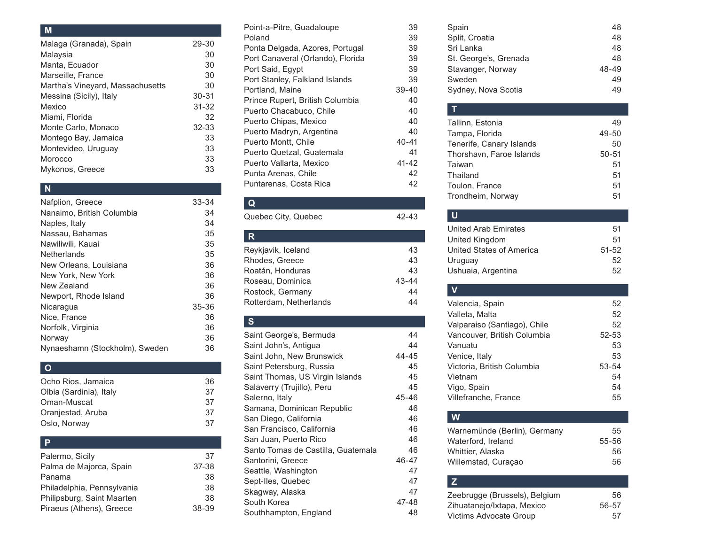### **M**

| Malaga (Granada), Spain          | 29-30     |
|----------------------------------|-----------|
| Malaysia                         | 30        |
| Manta, Ecuador                   | 30        |
| Marseille, France                | 30        |
| Martha's Vineyard, Massachusetts | 30        |
| Messina (Sicily), Italy          | $30 - 31$ |
| Mexico                           | $31 - 32$ |
| Miami, Florida                   | 32        |
| Monte Carlo, Monaco              | $32 - 33$ |
| Montego Bay, Jamaica             | 33        |
| Montevideo, Uruguay              | 33        |
| Morocco                          | 33        |
| Mykonos, Greece                  | 33        |
|                                  |           |

# **N**

| Nafplion, Greece               | 33-34     |
|--------------------------------|-----------|
| Nanaimo, British Columbia      | 34        |
| Naples, Italy                  | 34        |
| Nassau. Bahamas                | 35        |
| Nawiliwili, Kauai              | 35        |
| Netherlands                    | 35        |
| New Orleans, Louisiana         | 36        |
| New York, New York             | 36        |
| New Zealand                    | 36        |
| Newport, Rhode Island          | 36        |
| Nicaragua                      | $35 - 36$ |
| Nice, France                   | 36        |
| Norfolk, Virginia              | 36        |
| Norway                         | 36        |
| Nynaeshamn (Stockholm), Sweden | 36        |
|                                |           |

# **O**

| Ocho Rios, Jamaica      | 36 |
|-------------------------|----|
| Olbia (Sardinia), Italy | 37 |
| Oman-Muscat             | 37 |
| Oranjestad, Aruba       | 37 |
| Oslo, Norway            | 37 |

#### **P**

| Palermo, Sicily            | 37    |
|----------------------------|-------|
| Palma de Majorca, Spain    | 37-38 |
| Panama                     | 38    |
| Philadelphia, Pennsylvania | 38    |
| Philipsburg, Saint Maarten | 38    |
| Piraeus (Athens), Greece   | 38-39 |
|                            |       |

| Point-a-Pitre, Guadaloupe         | 39        |
|-----------------------------------|-----------|
| Poland                            | 39        |
| Ponta Delgada, Azores, Portugal   | 39        |
| Port Canaveral (Orlando), Florida | 39        |
| Port Said, Egypt                  | 39        |
| Port Stanley, Falkland Islands    | 39        |
| Portland, Maine                   | $39 - 40$ |
| Prince Rupert, British Columbia   | 40        |
| Puerto Chacabuco, Chile           | 40        |
| Puerto Chipas, Mexico             | 40        |
| Puerto Madryn, Argentina          | 40        |
| Puerto Montt, Chile               | $40 - 41$ |
| Puerto Quetzal, Guatemala         | 41        |
| Puerto Vallarta, Mexico           | $41 - 42$ |
| Punta Arenas, Chile               | 42        |
| Puntarenas, Costa Rica            | 42        |

### **Q**

| Quebec City, Quebec    | 42-43     |
|------------------------|-----------|
| R.                     |           |
| Reykjavik, Iceland     | 43        |
| Rhodes, Greece         | 43        |
| Roatán, Honduras       | 43        |
| Roseau, Dominica       | $43 - 44$ |
| Rostock, Germany       | 44        |
| Rotterdam, Netherlands | 44        |

# **S**

| Saint George's, Bermuda            | 44        |
|------------------------------------|-----------|
| Saint John's, Antigua              | 44        |
| Saint John, New Brunswick          | $44 - 45$ |
| Saint Petersburg, Russia           | 45        |
| Saint Thomas, US Virgin Islands    | 45        |
| Salaverry (Trujillo), Peru         | 45        |
| Salerno, Italv                     | 45-46     |
| Samana, Dominican Republic         | 46        |
| San Diego, California              | 46        |
| San Francisco, California          | 46        |
| San Juan, Puerto Rico              | 46        |
| Santo Tomas de Castilla, Guatemala | 46        |
| Santorini, Greece                  | 46-47     |
| Seattle, Washington                | 47        |
| Sept-Iles, Quebec                  | 47        |
| Skagway, Alaska                    | 47        |
| South Korea                        | 47-48     |
| Southhampton, England              | 48        |

| 48    |
|-------|
| 48    |
| 48    |
| 48    |
| 48-49 |
| 49    |
| 49    |
|       |

### **T** Tallinn, Estonia 1988, 1989, 1989, 1989, 1989, 1989, 1989, 1989, 1989, 1989, 1989, 1989, 1989, 1989, 1989, 198 Tampa, Florida 49-50 Tenerife, Canary Islands 50 Thorshavn, Faroe Islands 50-51 Taiwan 51 Thailand 51 Toulon, France 51 Trondheim, Norway 61

# **U** United Arab Emirates 51 United Kingdom 51 United States of America 51-52 Uruguay 52 Ushuaia, Argentina 52

# **V** Valencia, Spain 52 Valleta, Malta 52 Valparaiso (Santiago), Chile 52 Vancouver, British Columbia 52-53 Vanuatu 53 Venice, Italy 53 Victoria, British Columbia 53-54 Vietnam 54 Vigo, Spain 54 Villefranche, France 55

# Warnemünde (Berlin), Germany 55 Waterford, Ireland 55-56 Whittier, Alaska 56

**W**

| z                             |       |
|-------------------------------|-------|
| Zeebrugge (Brussels), Belgium | 56    |
| Zihuatanejo/Ixtapa, Mexico    | 56-57 |
| Victims Advocate Group        | 57    |

Willemstad, Curaçao 56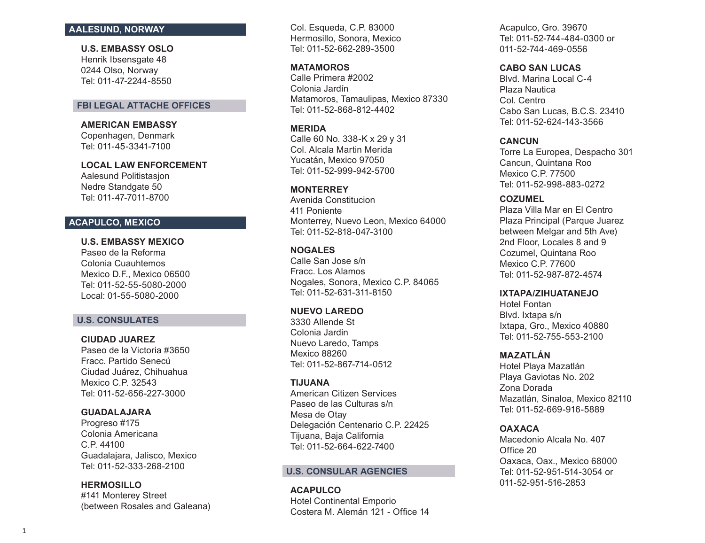### **AALESUND, NORWAY**

**U.S. EMBASSY OSLO**  Henrik Ibsensgate 48 0244 Olso, Norway Tel: 011-47-2244-8550

### **FBI LEGAL ATTACHE OFFICES**

**AMERICAN EMBASSY** Copenhagen, Denmark Tel: 011-45-3341-7100

**LOCAL LAW ENFORCEMENT**  Aalesund Politistasjon Nedre Standgate 50 Tel: 011-47-7011-8700

### **ACAPULCO, MEXICO**

**U.S. EMBASSY MEXICO** Paseo de la Reforma Colonia Cuauhtemos Mexico D.F., Mexico 06500 Tel: 011-52-55-5080-2000 Local: 01-55-5080-2000

### **U.S. CONSULATES**

**CIUDAD JUAREZ**  Paseo de la Victoria #3650 Fracc. Partido Senecú Ciudad Juárez, Chihuahua Mexico C.P. 32543 Tel: 011-52-656-227-3000

### **GUADALAJARA**

Progreso #175 Colonia Americana C.P. 44100 Guadalajara, Jalisco, Mexico Tel: 011-52-333-268-2100

**HERMOSILLO**

#141 Monterey Street (between Rosales and Galeana) Col. Esqueda, C.P. 83000 Hermosillo, Sonora, Mexico Tel: 011-52-662-289-3500

**MATAMOROS**  Calle Primera #2002 Colonia Jardín Matamoros, Tamaulipas, Mexico 87330 Tel: 011-52-868-812-4402

**MERIDA** Calle 60 No. 338-K x 29 y 31

Col. Alcala Martin Merida Yucatán, Mexico 97050 Tel: 011-52-999-942-5700

#### **MONTERREY**

Avenida Constitucion 411 Poniente Monterrey, Nuevo Leon, Mexico 64000 Tel: 011-52-818-047-3100

#### **NOGALES**

Calle San Jose s/n Fracc. Los Alamos Nogales, Sonora, Mexico C.P. 84065 Tel: 011-52-631-311-8150

# **NUEVO LAREDO**

3330 Allende St Colonia Jardin Nuevo Laredo, Tamps Mexico 88260 Tel: 011-52-867-714-0512

### **TIJUANA**

American Citizen Services Paseo de las Culturas s/n Mesa de Otay Delegación Centenario C.P. 22425 Tijuana, Baja California Tel: 011-52-664-622-7400

### **U.S. CONSULAR AGENCIES**

**ACAPULCO**  Hotel Continental Emporio Costera M. Alemán 121 - Office 14 Acapulco, Gro. 39670 Tel: 011-52-744-484-0300 or 011-52-744-469-0556

### **CABO SAN LUCAS**

Blvd. Marina Local C-4 Plaza Nautica Col. Centro Cabo San Lucas, B.C.S. 23410 Tel: 011-52-624-143-3566

### **CANCUN**

Torre La Europea, Despacho 301 Cancun, Quintana Roo Mexico C.P. 77500 Tel: 011-52-998-883-0272

### **COZUMEL**

Plaza Villa Mar en El Centro Plaza Principal (Parque Juarez between Melgar and 5th Ave) 2nd Floor, Locales 8 and 9 Cozumel, Quintana Roo Mexico C.P. 77600 Tel: 011-52-987-872-4574

# **IXTAPA/ZIHUATANEJO**

Hotel Fontan Blvd. Ixtapa s/n Ixtapa, Gro., Mexico 40880 Tel: 011-52-755-553-2100

### **MAZATLÁN**

Hotel Playa Mazatlán Playa Gaviotas No. 202 Zona Dorada Mazatlán, Sinaloa, Mexico 82110 Tel: 011-52-669-916-5889

### **OAXACA**

Macedonio Alcala No. 407 Office 20 Oaxaca, Oax., Mexico 68000 Tel: 011-52-951-514-3054 or 011-52-951-516-2853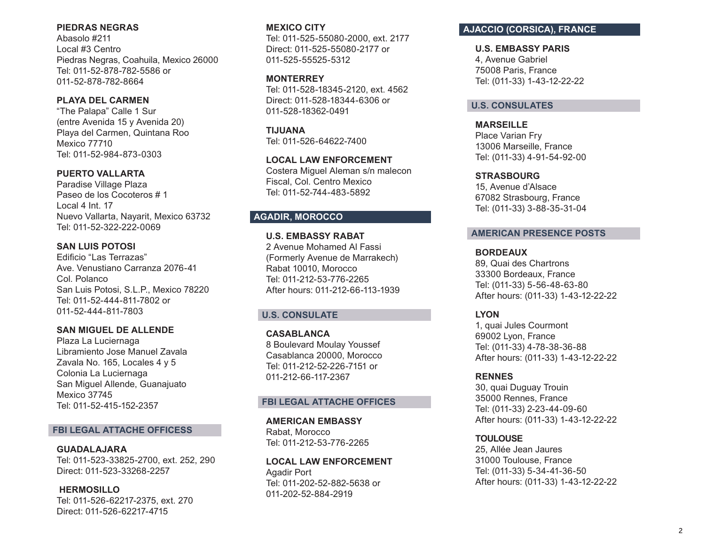### **PIEDRAS NEGRAS**

Abasolo #211 Local #3 Centro Piedras Negras, Coahuila, Mexico 26000 Tel: 011-52-878-782-5586 or 011-52-878-782-8664

# **PLAYA DEL CARMEN**

"The Palapa" Calle 1 Sur (entre Avenida 15 y Avenida 20) Playa del Carmen, Quintana Roo Mexico 77710 Tel: 011-52-984-873-0303

# **PUERTO VALLARTA**

Paradise Village Plaza Paseo de los Cocoteros # 1 Local 4 Int. 17 Nuevo Vallarta, Nayarit, Mexico 63732 Tel: 011-52-322-222-0069

# **SAN LUIS POTOSI**

Edificio "Las Terrazas" Ave. Venustiano Carranza 2076-41 Col. Polanco San Luis Potosi, S.L.P., Mexico 78220 Tel: 011-52-444-811-7802 or 011-52-444-811-7803

# **SAN MIGUEL DE ALLENDE**

Plaza La Luciernaga Libramiento Jose Manuel Zavala Zavala No. 165, Locales 4 y 5 Colonia La Luciernaga San Miguel Allende, Guanajuato Mexico 37745 Tel: 011-52-415-152-2357

### **FBI LEGAL ATTACHE OFFICESS**

**GUADALAJARA**  Tel: 011-523-33825-2700, ext. 252, 290 Direct: 011-523-33268-2257

**HERMOSILLO**  Tel: 011-526-62217-2375, ext. 270 Direct: 011-526-62217-4715

### **MEXICO CITY**

Tel: 011-525-55080-2000, ext. 2177 Direct: 011-525-55080-2177 or 011-525-55525-5312

### **MONTERREY**

Tel: 011-528-18345-2120, ext. 4562 Direct: 011-528-18344-6306 or 011-528-18362-0491

**TIJUANA**  Tel: 011-526-64622-7400

**LOCAL LAW ENFORCEMENT**  Costera Miguel Aleman s/n malecon Fiscal, Col. Centro Mexico Tel: 011-52-744-483-5892

# **AGADIR, MOROCCO**

**U.S. EMBASSY RABAT**  2 Avenue Mohamed Al Fassi (Formerly Avenue de Marrakech) Rabat 10010, Morocco Tel: 011-212-53-776-2265 After hours: 011-212-66-113-1939

# **U.S. CONSULATE**

**CASABLANCA**  8 Boulevard Moulay Youssef Casablanca 20000, Morocco Tel: 011-212-52-226-7151 or 011-212-66-117-2367

# **FBI LEGAL ATTACHE OFFICES**

**AMERICAN EMBASSY**  Rabat, Morocco Tel: 011-212-53-776-2265

**LOCAL LAW ENFORCEMENT**  Agadir Port Tel: 011-202-52-882-5638 or 011-202-52-884-2919

# **AJACCIO (CORSICA), FRANCE**

**U.S. EMBASSY PARIS** 4, Avenue Gabriel 75008 Paris, France Tel: (011-33) 1-43-12-22-22

### **U.S. CONSULATES**

**MARSEILLE**  Place Varian Fry 13006 Marseille, France Tel: (011-33) 4-91-54-92-00

#### **STRASBOURG**

15, Avenue d'Alsace 67082 Strasbourg, France Tel: (011-33) 3-88-35-31-04

### **AMERICAN PRESENCE POSTS**

### **BORDEAUX**

89, Quai des Chartrons 33300 Bordeaux, France Tel: (011-33) 5-56-48-63-80 After hours: (011-33) 1-43-12-22-22

### **LYON**

1, quai Jules Courmont 69002 Lyon, France Tel: (011-33) 4-78-38-36-88 After hours: (011-33) 1-43-12-22-22

### **RENNES**

30, quai Duguay Trouin 35000 Rennes, France Tel: (011-33) 2-23-44-09-60 After hours: (011-33) 1-43-12-22-22

### **TOULOUSE**

25, Allée Jean Jaures 31000 Toulouse, France Tel: (011-33) 5-34-41-36-50 After hours: (011-33) 1-43-12-22-22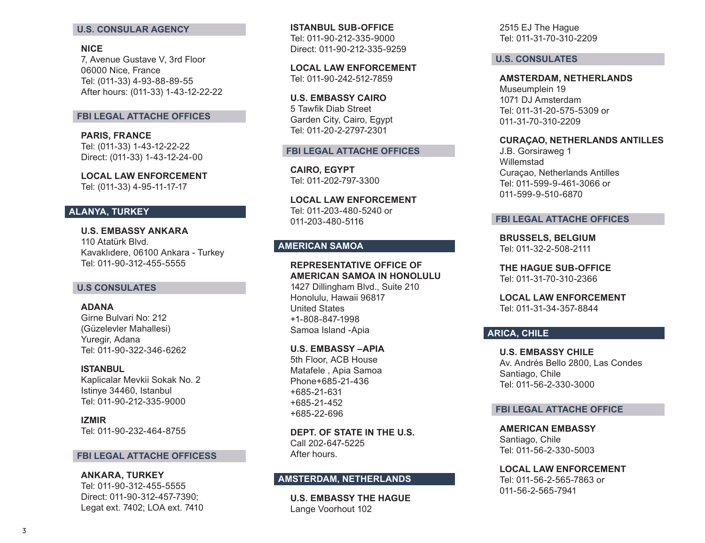#### **U.S. CONSULAR AGENCY**

### **NICE**

7, Avenue Gustave V, 3rd Floor 06000 Nice, France Tel: (011-33) 4-93-88-89-55 After hours: (011-33) 1-43-12-22-22

#### **FBI LEGAL ATTACHE OFFICES**

**PARIS, FRANCE** Tel: (011-33) 1-43-12-22-22 Direct: (011-33) 1-43-12-24-00

**LOCAL LAW ENFORCEMENT**  Tel: (011-33) 4-95-11-17-17

# **ALANYA, TURKEY**

**U.S. EMBASSY ANKARA** 110 Atatürk Blvd. Kavaklıdere, 06100 Ankara - Turkey Tel: 011-90-312-455-5555

#### **U.S CONSULATES**

### **ADANA**  Girne Bulvari No: 212 (Güzelevler Mahallesi) Yuregir, Adana Tel: 011-90-322-346-6262

#### **ISTANBUL**

Kaplicalar Mevkii Sokak No. 2 Istinye 34460, Istanbul Tel: 011-90-212-335-9000

**IZMIR** Tel: 011-90-232-464-8755

#### **FBI LEGAL ATTACHE OFFICESS**

**ANKARA, TURKEY** Tel: 011-90-312-455-5555 Direct: 011-90-312-457-7390; Legat ext. 7402; LOA ext. 7410 **ISTANBUL SUB-OFFICE**  Tel: 011-90-212-335-9000 Direct: 011-90-212-335-9259

**LOCAL LAW ENFORCEMENT** Tel: 011-90-242-512-7859

**U.S. EMBASSY CAIRO**  5 Tawfik Diab Street Garden City, Cairo, Egypt Tel: 011-20-2-2797-2301

#### **FBI LEGAL ATTACHE OFFICES**

**CAIRO, EGYPT**  Tel: 011-202-797-3300

**LOCAL LAW ENFORCEMENT** Tel: 011-203-480-5240 or 011-203-480-5116

# **AMERICAN SAMOA**

**REPRESENTATIVE OFFICE OF AMERICAN SAMOA IN HONOLULU**

1427 Dillingham Blvd., Suite 210 Honolulu, Hawaii 96817 United States +1-808-847-1998 Samoa Island -Apia

#### **U.S. EMBASSY –APIA**

5th Floor, ACB House Matafele , Apia Samoa Phone+685-21-436 +685-21-631 +685-21-452 +685-22-696

**DEPT. OF STATE IN THE U.S.** Call 202-647-5225 After hours.

# **AMSTERDAM, NETHERLANDS**

**U.S. EMBASSY THE HAGUE** Lange Voorhout 102

2515 EJ The Hague Tel: 011-31-70-310-2209

#### **U.S. CONSULATES**

**AMSTERDAM, NETHERLANDS**  Museumplein 19 1071 DJ Amsterdam Tel: 011-31-20-575-5309 or 011-31-70-310-2209

#### **CURA ÇAO, NETHERLANDS ANTILLES**

J.B. Gorsiraweg 1 Willemstad Curaçao, Netherlands Antilles Tel: 011-599-9-461-3066 or 011-599-9-510-6870

#### **FBI LEGAL ATTACHE OFFICES**

**BRUSSELS, BELGIUM**  Tel: 011-32-2-508-2111

**THE HAGUE SUB-OFFICE** Tel: 011-31-70-310-2366

**LOCAL LAW ENFORCEMENT**  Tel: 011-31-34-357-8844

# **ARICA, CHILE**

**U.S. EMBASSY CHILE** Av. Andrés Bello 2800, Las Condes Santiago, Chile Tel: 011-56-2-330-3000

### **FBI LEGAL ATTACHE OFFICE**

**AMERICAN EMBASSY** Santiago, Chile Tel: 011-56-2-330-5003

**LOCAL LAW ENFORCEMENT**  Tel: 011-56-2-565-7863 or 011-56-2-565-7941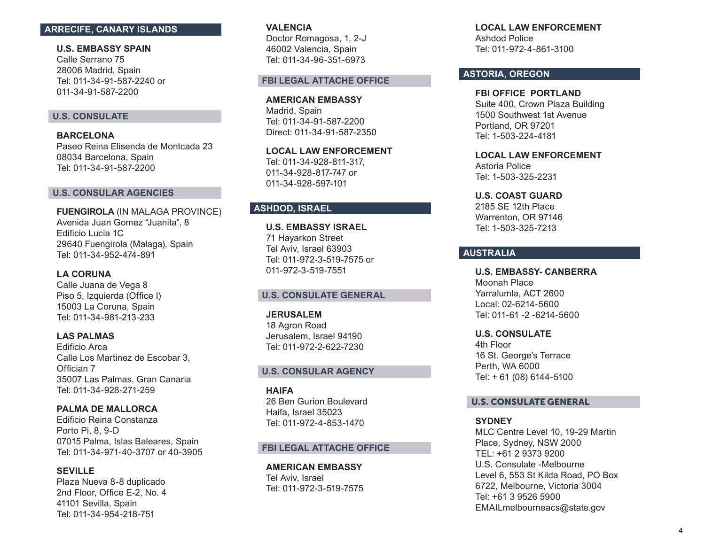# **ARRECIFE, CANARY ISLANDS**

**U.S. EMBASSY SPAIN** Calle Serrano 75 28006 Madrid, Spain Tel: 011-34-91-587-2240 or 011-34-91-587-2200

### **U.S. CONSULATE**

**BARCELONA**  Paseo Reina Elisenda de Montcada 23 08034 Barcelona, Spain Tel: 011-34-91-587-2200

### **U.S. CONSULAR AGENCIES**

**FUENGIROLA** (IN MALAGA PROVINCE) Avenida Juan Gomez "Juanita", 8 Edificio Lucia 1C 29640 Fuengirola (Malaga), Spain Tel: 011-34-952-474-891

# **LA CORUNA**

Calle Juana de Vega 8 Piso 5, Izquierda (Office I) 15003 La Coruna, Spain Tel: 011-34-981-213-233

#### **LAS PALMAS**

Edificio Arca Calle Los Martinez de Escobar 3, Offician 7 35007 Las Palmas, Gran Canaria Tel: 011-34-928-271-259

**PALMA DE MALLORCA** Edificio Reina Constanza Porto Pi, 8, 9-D 07015 Palma, Islas Baleares, Spain Tel: 011-34-971-40-3707 or 40-3905

### **SEVILLE**

Plaza Nueva 8-8 duplicado 2nd Floor, Office E-2, No. 4 41101 Sevilla, Spain Tel: 011-34-954-218-751

**VALENCIA**  Doctor Romagosa, 1, 2-J 46002 Valencia, Spain Tel: 011-34-96-351-6973

#### **FBI LEGAL ATTACHE OFFICE**

**AMERICAN EMBASSY**  Madrid, Spain Tel: 011-34-91-587-2200 Direct: 011-34-91-587-2350

**LOCAL LAW ENFORCEMENT**  Tel: 011-34-928-811-317, 011-34-928-817-747 or 011-34-928-597-101

# **ASHDOD, ISRAEL**

**U.S. EMBASSY ISRAEL**  71 Hayarkon Street Tel Aviv, Israel 63903 Tel: 011-972-3-519-7575 or 011-972-3-519-7551

### **U.S. CONSULATE GENERAL**

**JERUSALEM**  18 Agron Road Jerusalem, Israel 94190 Tel: 011-972-2-622-7230

# **U.S. CONSULAR AGENCY**

**HAIFA**  26 Ben Gurion Boulevard Haifa, Israel 35023 Tel: 011-972-4-853-1470

### **FBI LEGAL ATTACHE OFFICE**

**AMERICAN EMBASSY**  Tel Aviv, Israel Tel: 011-972-3-519-7575 **LOCAL LAW ENFORCEMENT**  Ashdod Police Tel: 011-972-4-861-3100

### **ASTORIA, OREGON**

**FBI OFFICE PORTLAND**  Suite 400, Crown Plaza Building 1500 Southwest 1st Avenue Portland, OR 97201 Tel: 1-503-224-4181

**LOCAL LAW ENFORCEMENT**  Astoria Police Tel: 1-503-325-2231

**U.S. COAST GUARD** 2185 SE 12th Place Warrenton, OR 97146 Tel: 1-503-325-7213

# **AUSTRALIA**

**U.S. EMBASSY- CANBERRA** Moonah Place Yarralumla, ACT 2600 Local: 02-6214-5600 Tel: 011-61 -2 -6214-5600

**U.S. CONSULATE**

4th Floor 16 St. George's Terrace Perth, WA 6000 Tel: + 61 (08) 6144-5100

# U.S. CONSULATE GENERAL

**SYDNEY**

MLC Centre Level 10, 19-29 Martin Place, Sydney, NSW 2000 TEL: +61 2 9373 9200 U.S. Consulate -Melbourne Level 6, 553 St Kilda Road, PO Box 6722, Melbourne, Victoria 3004 Tel: +61 3 9526 5900 EMAILmelbourneacs@state.gov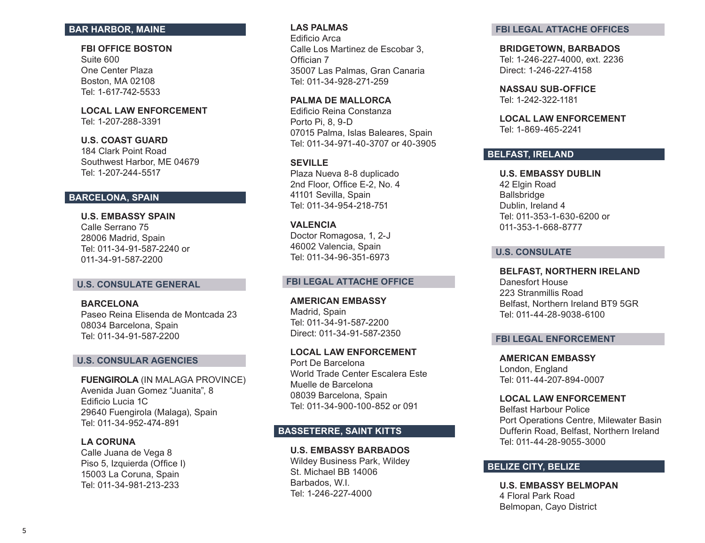# **BAR HARBOR, MAINE**

**FBI OFFICE BOSTON**  Suite 600

One Center Plaza Boston, MA 02108 Tel: 1-617-742-5533

**LOCAL LAW ENFORCEMENT**  Tel: 1-207-288-3391

### **U.S. COAST GUARD**

184 Clark Point Road Southwest Harbor, ME 04679 Tel: 1-207-244-5517

# **BARCELONA, SPAIN**

**U.S. EMBASSY SPAIN** Calle Serrano 75 28006 Madrid, Spain Tel: 011-34-91-587-2240 or 011-34-91-587-2200

#### **U.S. CONSULATE GENERAL**

**BARCELONA**  Paseo Reina Elisenda de Montcada 23 08034 Barcelona, Spain Tel: 011-34-91-587-2200

### **U.S. CONSULAR AGENCIES**

**FUENGIROLA** (IN MALAGA PROVINCE) Avenida Juan Gomez "Juanita", 8 Edificio Lucia 1C 29640 Fuengirola (Malaga), Spain Tel: 011-34-952-474-891

#### **LA CORUNA**

Calle Juana de Vega 8 Piso 5, Izquierda (Office I) 15003 La Coruna, Spain Tel: 011-34-981-213-233

### **LAS PALMAS**

Edificio Arca Calle Los Martinez de Escobar 3, Offician 7 35007 Las Palmas, Gran Canaria Tel: 011-34-928-271-259

**PALMA DE MALLORCA** Edificio Reina Constanza Porto Pi, 8, 9-D 07015 Palma, Islas Baleares, Spain Tel: 011-34-971-40-3707 or 40-3905

### **SEVILLE**

Plaza Nueva 8-8 duplicado 2nd Floor, Office E-2, No. 4 41101 Sevilla, Spain Tel: 011-34-954-218-751

### **VALENCIA**

Doctor Romagosa, 1, 2-J 46002 Valencia, Spain Tel: 011-34-96-351-6973

### **FBI LEGAL ATTACHE OFFICE**

**AMERICAN EMBASSY**  Madrid, Spain Tel: 011-34-91-587-2200 Direct: 011-34-91-587-2350

**LOCAL LAW ENFORCEMENT**  Port De Barcelona World Trade Center Escalera Este Muelle de Barcelona 08039 Barcelona, Spain Tel: 011-34-900-100-852 or 091

# **BASSETERRE, SAINT KITTS**

### **U.S. EMBASSY BARBADOS**

Wildey Business Park, Wildey St. Michael BB 14006 Barbados, W.I. Tel: 1-246-227-4000

#### **FBI LEGAL ATTACHE OFFICES**

**BRIDGETOWN, BARBADOS**  Tel: 1-246-227-4000, ext. 2236 Direct: 1-246-227-4158

**NASSAU SUB-OFFICE** Tel: 1-242-322-1181

**LOCAL LAW ENFORCEMENT**  Tel: 1-869-465-2241

### **BELFAST, IRELAND**

**U.S. EMBASSY DUBLIN**  42 Elgin Road Ballsbridge Dublin, Ireland 4 Tel: 011-353-1-630-6200 or 011-353-1-668-8777

# **U.S. CONSULATE**

**BELFAST, NORTHERN IRELAND** Danesfort House 223 Stranmillis Road Belfast, Northern Ireland BT9 5GR Tel: 011-44-28-9038-6100

### **FBI LEGAL ENFORCEMENT**

**AMERICAN EMBASSY**  London, England Tel: 011-44-207-894-0007

### **LOCAL LAW ENFORCEMENT**

Belfast Harbour Police Port Operations Centre, Milewater Basin Dufferin Road, Belfast, Northern Ireland Tel: 011-44-28-9055-3000

# **BELIZE CITY, BELIZE**

**U.S. EMBASSY BELMOPAN**  4 Floral Park Road Belmopan, Cayo District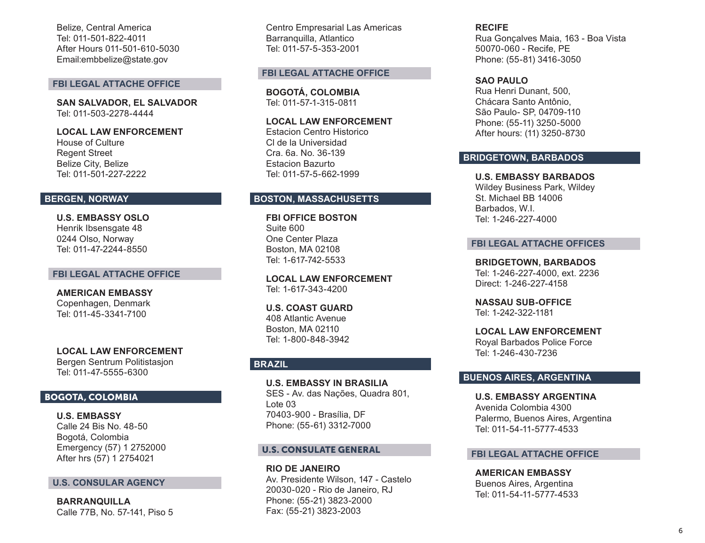Belize, Central America Tel: 011-501-822-4011 After Hours 011-501-610-5030 Email:embbelize@state.gov

#### **FBI LEGAL ATTACHE OFFICE**

**SAN SALVADOR, EL SALVADOR**  Tel: 011-503-2278-4444

### **LOCAL LAW ENFORCEMENT**

House of Culture Regent Street Belize City, Belize Tel: 011-501-227-2222

### **BERGEN, NORWAY**

**U.S. EMBASSY OSLO**  Henrik Ibsensgate 48 0244 Olso, Norway Tel: 011-47-2244-8550

### **FBI LEGAL ATTACHE OFFICE**

**AMERICAN EMBASSY**  Copenhagen, Denmark Tel: 011-45-3341-7100

**LOCAL LAW ENFORCEMENT**  Bergen Sentrum Politistasjon Tel: 011-47-5555-6300

### BOGOTA, COLOMBIA

**U.S. EMBASSY**  Calle 24 Bis No. 48-50 Bogotá, Colombia Emergency (57) 1 2752000 After hrs (57) 1 2754021

### **U.S. CONSULAR AGENCY**

**BARRANQUILLA** Calle 77B, No. 57-141, Piso 5 Centro Empresarial Las Americas Barranquilla, Atlantico Tel: 011-57-5-353-2001

### **FBI LEGAL ATTACHE OFFICE**

**BOGOTÁ, COLOMBIA**  Tel: 011-57-1-315-0811

**LOCAL LAW ENFORCEMENT** Estacion Centro Historico

Cl de la Universidad Cra. 6a. No. 36-139 Estacion Bazurto Tel: 011-57-5-662-1999

### **BOSTON, MASSACHUSETTS**

**FBI OFFICE BOSTON**  Suite 600 One Center Plaza Boston, MA 02108 Tel: 1-617-742-5533

**LOCAL LAW ENFORCEMENT** Tel: 1-617-343-4200

**U.S. COAST GUARD**  408 Atlantic Avenue Boston, MA 02110 Tel: 1-800-848-3942

# **BRAZIL**

**U.S. EMBASSY IN BRASILIA** SES - Av. das Nações, Quadra 801, Lote 03 70403-900 - Brasília, DF Phone: (55-61) 3312-7000

### U.S. CONSULATE GENERAL

**RIO DE JANEIRO** Av. Presidente Wilson, 147 - Castelo 20030-020 - Rio de Janeiro, RJ Phone: (55-21) 3823-2000 Fax: (55-21) 3823-2003

**RECIFE** Rua Gonçalves Maia, 163 - Boa Vista 50070-060 - Recife, PE Phone: (55-81) 3416-3050

#### **SAO PAULO**

Rua Henri Dunant, 500, Chácara Santo Antônio, São Paulo- SP, 04709-110 Phone: (55-11) 3250-5000 After hours: (11) 3250-8730

### **BRIDGETOWN, BARBADOS**

**U.S. EMBASSY BARBADOS**

Wildey Business Park, Wildey St. Michael BB 14006 Barbados, W.I. Tel: 1-246-227-4000

#### **FBI LEGAL ATTACHE OFFICES**

**BRIDGETOWN, BARBADOS** Tel: 1-246-227-4000, ext. 2236 Direct: 1-246-227-4158

**NASSAU SUB-OFFICE** Tel: 1-242-322-1181

**LOCAL LAW ENFORCEMENT**  Royal Barbados Police Force Tel: 1-246-430-7236

### **BUENOS AIRES, ARGENTINA**

**U.S. EMBASSY ARGENTINA**  Avenida Colombia 4300 Palermo, Buenos Aires, Argentina Tel: 011-54-11-5777-4533

### **FBI LEGAL ATTACHE OFFICE**

**AMERICAN EMBASSY** Buenos Aires, Argentina Tel: 011-54-11-5777-4533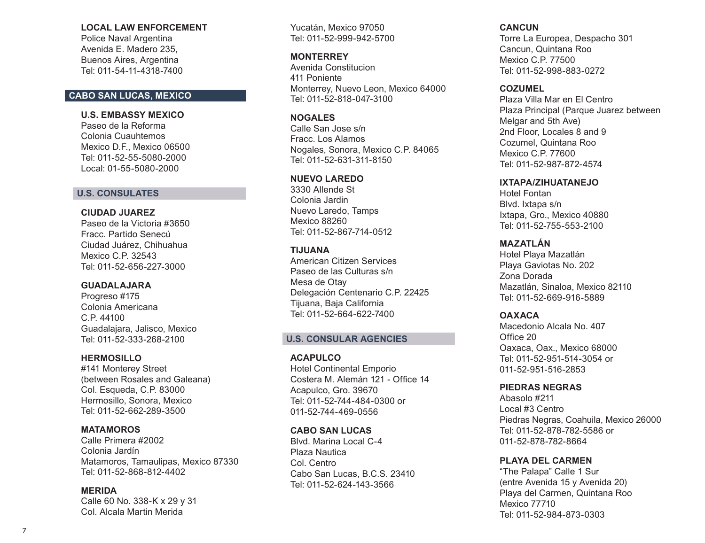### **LOCAL LAW ENFORCEMENT**

Police Naval Argentina Avenida E. Madero 235, Buenos Aires, Argentina Tel: 011-54-11-4318-7400

# **CABO SAN LUCAS, MEXICO**

### **U.S. EMBASSY MEXICO**

Paseo de la Reforma Colonia Cuauhtemos Mexico D.F., Mexico 06500 Tel: 011-52-55-5080-2000 Local: 01-55-5080-2000

### **U.S. CONSULATES**

# **CIUDAD JUAREZ**

Paseo de la Victoria #3650 Fracc. Partido Senecú Ciudad Juárez, Chihuahua Mexico C.P. 32543 Tel: 011-52-656-227-3000

# **GUADALAJARA**

Progreso #175 Colonia Americana C.P. 44100 Guadalajara, Jalisco, Mexico Tel: 011-52-333-268-2100

# **HERMOSILLO**

#141 Monterey Street (between Rosales and Galeana) Col. Esqueda, C.P. 83000 Hermosillo, Sonora, Mexico Tel: 011-52-662-289-3500

# **MATAMOROS**

Calle Primera #2002 Colonia Jardín Matamoros, Tamaulipas, Mexico 87330 Tel: 011-52-868-812-4402

# **MERIDA**

Calle 60 No. 338-K x 29 y 31 Col. Alcala Martin Merida

Yucatán, Mexico 97050 Tel: 011-52-999-942-5700

### **MONTERREY**

Avenida Constitucion 411 Poniente Monterrey, Nuevo Leon, Mexico 64000 Tel: 011-52-818-047-3100

### **NOGALES**

Calle San Jose s/n Fracc. Los Alamos Nogales, Sonora, Mexico C.P. 84065 Tel: 011-52-631-311-8150

# **NUEVO LAREDO**

3330 Allende St Colonia Jardin Nuevo Laredo, Tamps Mexico 88260 Tel: 011-52-867-714-0512

# **TIJUANA**

American Citizen Services Paseo de las Culturas s/n Mesa de Otay Delegación Centenario C.P. 22425 Tijuana, Baja California Tel: 011-52-664-622-7400

# **U.S. CONSULAR AGENCIES**

### **ACAPULCO**

Hotel Continental Emporio Costera M. Alemán 121 - Office 14 Acapulco, Gro. 39670 Tel: 011-52-744-484-0300 or 011-52-744-469-0556

# **CABO SAN LUCAS**

Blvd. Marina Local C-4 Plaza Nautica Col. Centro Cabo San Lucas, B.C.S. 23410 Tel: 011-52-624-143-3566

# **CANCUN**

Torre La Europea, Despacho 301 Cancun, Quintana Roo Mexico C.P. 77500 Tel: 011-52-998-883-0272

# **COZUMEL**

Plaza Villa Mar en El Centro Plaza Principal (Parque Juarez between Melgar and 5th Ave) 2nd Floor, Locales 8 and 9 Cozumel, Quintana Roo Mexico C.P. 77600 Tel: 011-52-987-872-4574

# **IXTAPA/ZIHUATANEJO**

Hotel Fontan Blvd. Ixtapa s/n Ixtapa, Gro., Mexico 40880 Tel: 011-52-755-553-2100

# **MAZATLÁN**

Hotel Playa Mazatlán Playa Gaviotas No. 202 Zona Dorada Mazatlán, Sinaloa, Mexico 82110 Tel: 011-52-669-916-5889

# **OAXACA**

Macedonio Alcala No. 407 Office 20 Oaxaca, Oax., Mexico 68000 Tel: 011-52-951-514-3054 or 011-52-951-516-2853

# **PIEDRAS NEGRAS**

Abasolo #211 Local #3 Centro Piedras Negras, Coahuila, Mexico 26000 Tel: 011-52-878-782-5586 or 011-52-878-782-8664

# **PLAYA DEL CARMEN**

"The Palapa" Calle 1 Sur (entre Avenida 15 y Avenida 20) Playa del Carmen, Quintana Roo Mexico 77710 Tel: 011-52-984-873-0303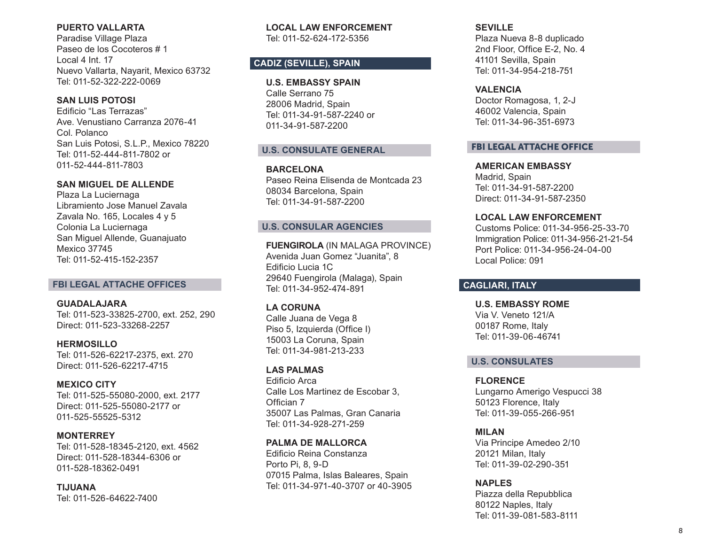# **PUERTO VALLARTA**

Paradise Village Plaza Paseo de los Cocoteros # 1 Local 4 Int. 17 Nuevo Vallarta, Nayarit, Mexico 63732 Tel: 011-52-322-222-0069

# **SAN LUIS POTOSI**

Edificio "Las Terrazas" Ave. Venustiano Carranza 2076-41 Col. Polanco San Luis Potosi, S.L.P., Mexico 78220 Tel: 011-52-444-811-7802 or 011-52-444-811-7803

# **SAN MIGUEL DE ALLENDE**

Plaza La Luciernaga Libramiento Jose Manuel Zavala Zavala No. 165, Locales 4 y 5 Colonia La Luciernaga San Miguel Allende, Guanajuato Mexico 37745 Tel: 011-52-415-152-2357

### **FBI LEGAL ATTACHE OFFICES**

**GUADALAJARA**  Tel: 011-523-33825-2700, ext. 252, 290 Direct: 011-523-33268-2257

**HERMOSILLO**  Tel: 011-526-62217-2375, ext. 270 Direct: 011-526-62217-4715

### **MEXICO CITY**

Tel: 011-525-55080-2000, ext. 2177 Direct: 011-525-55080-2177 or 011-525-55525-5312

# **MONTERREY**

Tel: 011-528-18345-2120, ext. 4562 Direct: 011-528-18344-6306 or 011-528-18362-0491

**TIJUANA**  Tel: 011-526-64622-7400 **LOCAL LAW ENFORCEMENT**  Tel: 011-52-624-172-5356

# **CADIZ (SEVILLE), SPAIN**

### **U.S. EMBASSY SPAIN**

Calle Serrano 75 28006 Madrid, Spain Tel: 011-34-91-587-2240 or 011-34-91-587-2200

### **U.S. CONSULATE GENERAL**

**BARCELONA**  Paseo Reina Elisenda de Montcada 23 08034 Barcelona, Spain Tel: 011-34-91-587-2200

# **U.S. CONSULAR AGENCIES**

**FUENGIROLA** (IN MALAGA PROVINCE) Avenida Juan Gomez "Juanita", 8 Edificio Lucia 1C 29640 Fuengirola (Malaga), Spain Tel: 011-34-952-474-891

# **LA CORUNA**

Calle Juana de Vega 8 Piso 5, Izquierda (Office I) 15003 La Coruna, Spain Tel: 011-34-981-213-233

### **LAS PALMAS**

Edificio Arca Calle Los Martinez de Escobar 3, Offician 7 35007 Las Palmas, Gran Canaria Tel: 011-34-928-271-259

### **PALMA DE MALLORCA**

Edificio Reina Constanza Porto Pi, 8, 9-D 07015 Palma, Islas Baleares, Spain Tel: 011-34-971-40-3707 or 40-3905

### **SEVILLE**

Plaza Nueva 8-8 duplicado 2nd Floor, Office E-2, No. 4 41101 Sevilla, Spain Tel: 011-34-954-218-751

### **VALENCIA**

Doctor Romagosa, 1, 2-J 46002 Valencia, Spain Tel: 011-34-96-351-6973

# FBI LEGAL ATTACHE OFFICE

**AMERICAN EMBASSY**  Madrid, Spain Tel: 011-34-91-587-2200 Direct: 011-34-91-587-2350

# **LOCAL LAW ENFORCEMENT**

Customs Police: 011-34-956-25-33-70 Immigration Police: 011-34-956-21-21-54 Port Police: 011-34-956-24-04-00 Local Police: 091

# **CAGLIARI, ITALY**

**U.S. EMBASSY ROME**  Via V. Veneto 121/A 00187 Rome, Italy Tel: 011-39-06-46741

### **U.S. CONSULATES**

# **FLORENCE**

Lungarno Amerigo Vespucci 38 50123 Florence, Italy Tel: 011-39-055-266-951

### **MILAN**

Via Principe Amedeo 2/10 20121 Milan, Italy Tel: 011-39-02-290-351

# **NAPLES**

Piazza della Repubblica 80122 Naples, Italy Tel: 011-39-081-583-8111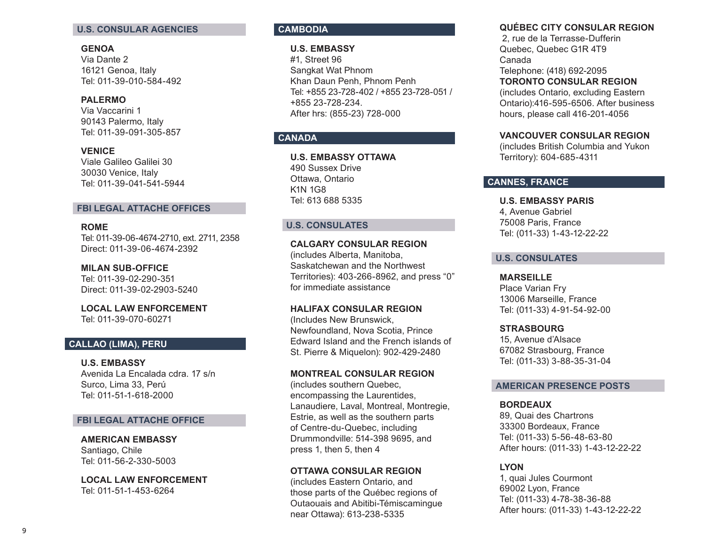### **U.S. CONSULAR AGENCIES**

### **GENOA**

Via Dante 2 16121 Genoa, Italy Tel: 011-39-010-584-492

### **PALERMO**

Via Vaccarini 1 90143 Palermo, Italy Tel: 011-39-091-305-857

**VENICE** Viale Galileo Galilei 30 30030 Venice, Italy Tel: 011-39-041-541-5944

# **FBI LEGAL ATTACHE OFFICES**

# **ROME**

Tel: 011-39-06-4674-2710, ext. 2711, 2358 Direct: 011-39-06-4674-2392

**MILAN SUB-OFFICE**  Tel: 011-39-02-290-351 Direct: 011-39-02-2903-5240

**LOCAL LAW ENFORCEMENT**  Tel: 011-39-070-60271

# **CALLAO (LIMA), PERU**

**U.S. EMBASSY** Avenida La Encalada cdra. 17 s/n Surco, Lima 33, Perú Tel: 011-51-1-618-2000

#### **FBI LEGAL ATTACHE OFFICE**

#### **AMERICAN EMBASSY**

Santiago, Chile Tel: 011-56-2-330-5003

**LOCAL LAW ENFORCEMENT**  Tel: 011-51-1-453-6264

# **CAMBODIA**

#### **U.S. EMBASSY**

#1, Street 96 Sangkat Wat Phnom Khan Daun Penh, Phnom Penh Tel: +855 23-728-402 / +855 23-728-051 / +855 23-728-234. After hrs: (855-23) 728-000

# **CANADA**

**U.S. EMBASSY OTTAWA** 490 Sussex Drive Ottawa, Ontario K1N 1G8 Tel: 613 688 5335

### **U.S. CONSULATES**

# **CALGARY CONSULAR REGION**

(includes Alberta, Manitoba, Saskatchewan and the Northwest Territories): 403-266-8962, and press "0" for immediate assistance

#### **HALIFAX CONSULAR REGION**

(Includes New Brunswick, Newfoundland, Nova Scotia, Prince Edward Island and the French islands of St. Pierre & Miquelon): 902-429-2480

### **MONTREAL CONSULAR REGION**

(includes southern Quebec, encompassing the Laurentides, Lanaudiere, Laval, Montreal, Montregie, Estrie, as well as the southern parts of Centre-du-Quebec, including Drummondville: 514-398 9695, and press 1, then 5, then 4

#### **OTTAWA CONSULAR REGION**

(includes Eastern Ontario, and those parts of the Québec regions of Outaouais and Abitibi-Témiscamingue near Ottawa): 613-238-5335

# **QUÉBEC CITY CONSULAR REGION**

 2, rue de la Terrasse-Dufferin Quebec, Quebec G1R 4T9 Canada Telephone: (418) 692-2095 **TORONTO CONSULAR REGION** (includes Ontario, excluding Eastern Ontario):416-595-6506. After business hours, please call 416-201-4056

# **VANCOUVER CONSULAR REGION**

(includes British Columbia and Yukon Territory): 604-685-4311

# **CANNES, FRANCE**

**U.S. EMBASSY PARIS** 4, Avenue Gabriel 75008 Paris, France Tel: (011-33) 1-43-12-22-22

### **U.S. CONSULATES**

#### **MARSEILLE**

Place Varian Fry 13006 Marseille, France Tel: (011-33) 4-91-54-92-00

#### **STRASBOURG**

15, Avenue d'Alsace 67082 Strasbourg, France Tel: (011-33) 3-88-35-31-04

### **AMERICAN PRESENCE POSTS**

### **BORDEAUX**

89, Quai des Chartrons 33300 Bordeaux, France Tel: (011-33) 5-56-48-63-80 After hours: (011-33) 1-43-12-22-22

### **LYON**

1, quai Jules Courmont 69002 Lyon, France Tel: (011-33) 4-78-38-36-88 After hours: (011-33) 1-43-12-22-22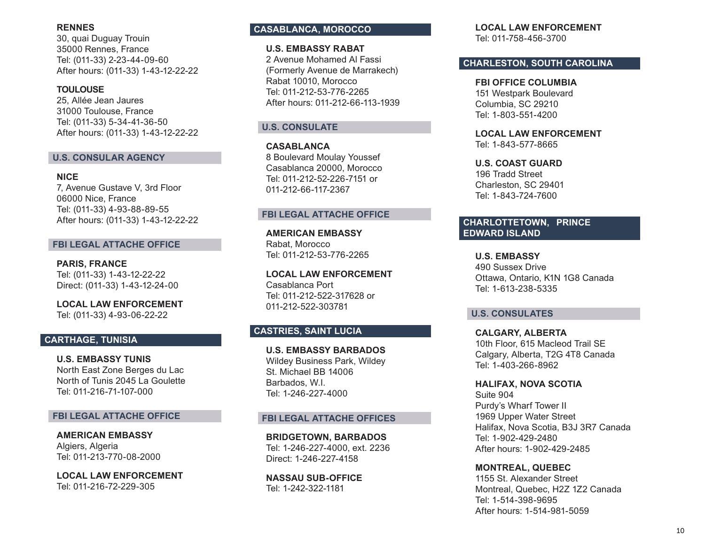### **RENNES**

30, quai Duguay Trouin 35000 Rennes, France Tel: (011-33) 2-23-44-09-60 After hours: (011-33) 1-43-12-22-22

### **TOULOUSE**

25, Allée Jean Jaures 31000 Toulouse, France Tel: (011-33) 5-34-41-36-50 After hours: (011-33) 1-43-12-22-22

### **U.S. CONSULAR AGENCY**

### **NICE**

7, Avenue Gustave V, 3rd Floor 06000 Nice, France Tel: (011-33) 4-93-88-89-55 After hours: (011-33) 1-43-12-22-22

# **FBI LEGAL ATTACHE OFFICE**

**PARIS, FRANCE** Tel: (011-33) 1-43-12-22-22 Direct: (011-33) 1-43-12-24-00

**LOCAL LAW ENFORCEMENT**  Tel: (011-33) 4-93-06-22-22

# **CARTHAGE, TUNISIA**

**U.S. EMBASSY TUNIS** North East Zone Berges du Lac North of Tunis 2045 La Goulette Tel: 011-216-71-107-000

### **FBI LEGAL ATTACHE OFFICE**

**AMERICAN EMBASSY**  Algiers, Algeria Tel: 011-213-770-08-2000

**LOCAL LAW ENFORCEMENT**  Tel: 011-216-72-229-305

# **CASABLANCA, MOROCCO**

### **U.S. EMBASSY RABAT**

2 Avenue Mohamed Al Fassi (Formerly Avenue de Marrakech) Rabat 10010, Morocco Tel: 011-212-53-776-2265 After hours: 011-212-66-113-1939

# **U.S. CONSULATE**

**CASABLANCA**  8 Boulevard Moulay Youssef Casablanca 20000, Morocco Tel: 011-212-52-226-7151 or 011-212-66-117-2367

# **FBI LEGAL ATTACHE OFFICE**

**AMERICAN EMBASSY**  Rabat, Morocco Tel: 011-212-53-776-2265

**LOCAL LAW ENFORCEMENT**  Casablanca Port Tel: 011-212-522-317628 or 011-212-522-303781

# **CASTRIES, SAINT LUCIA**

**U.S. EMBASSY BARBADOS** Wildey Business Park, Wildey St. Michael BB 14006 Barbados, W.I. Tel: 1-246-227-4000

### **FBI LEGAL ATTACHE OFFICES**

**BRIDGETOWN, BARBADOS** Tel: 1-246-227-4000, ext. 2236 Direct: 1-246-227-4158

**NASSAU SUB-OFFICE**  Tel: 1-242-322-1181

**LOCAL LAW ENFORCEMENT**  Tel: 011-758-456-3700

# **CHARLESTON, SOUTH CAROLINA**

**FBI OFFICE COLUMBIA**  151 Westpark Boulevard Columbia, SC 29210 Tel: 1-803-551-4200

**LOCAL LAW ENFORCEMENT**  Tel: 1-843-577-8665

**U.S. COAST GUARD**  196 Tradd Street Charleston, SC 29401 Tel: 1-843-724-7600

# **CHARLOTTETOWN, PRINCE EDWARD ISLAND**

**U.S. EMBASSY**  490 Sussex Drive Ottawa, Ontario, K1N 1G8 Canada Tel: 1-613-238-5335

### **U.S. CONSULATES**

**CALGARY, ALBERTA**  10th Floor, 615 Macleod Trail SE Calgary, Alberta, T2G 4T8 Canada Tel: 1-403-266-8962

**HALIFAX, NOVA SCOTIA**  Suite 904 Purdy's Wharf Tower II 1969 Upper Water Street Halifax, Nova Scotia, B3J 3R7 Canada Tel: 1-902-429-2480 After hours: 1-902-429-2485

**MONTREAL, QUEBEC**  1155 St. Alexander Street Montreal, Quebec, H2Z 1Z2 Canada Tel: 1-514-398-9695 After hours: 1-514-981-5059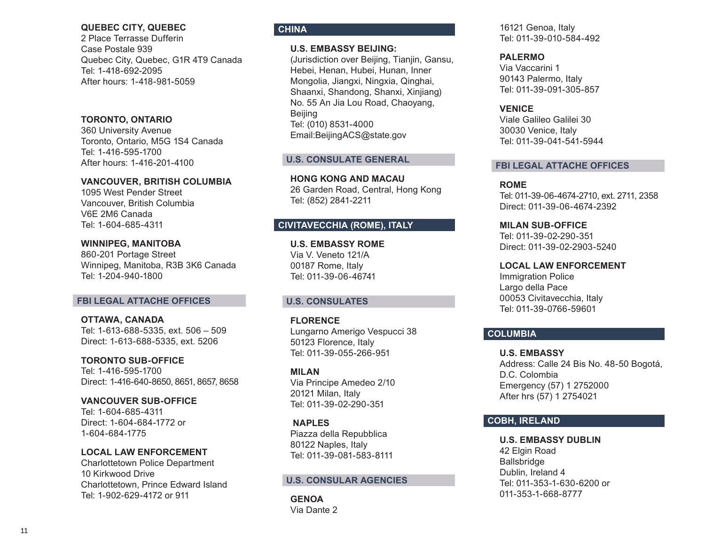### **QUEBEC CITY, QUEBEC**

2 Place Terrasse Dufferin Case Postale 939 Quebec City, Quebec, G1R 4T9 Canada Tel: 1-418-692-2095 After hours: 1-418-981-5059

# **TORONTO, ONTARIO**

360 University Avenue Toronto, Ontario, M5G 1S4 Canada Tel: 1-416-595-1700 After hours: 1-416-201-4100

### **VANCOUVER, BRITISH COLUMBIA**

1095 West Pender Street Vancouver, British Columbia V6E 2M6 Canada Tel: 1-604-685-4311

**WINNIPEG, MANITOBA**  860-201 Portage Street

Winnipeg, Manitoba, R3B 3K6 Canada Tel: 1-204-940-1800

### **FBI LEGAL ATTACHE OFFICES**

**OTTAWA, CANADA**  Tel: 1-613-688-5335, ext. 506 – 509 Direct: 1-613-688-5335, ext. 5206

**TORONTO SUB-OFFICE**  Tel: 1-416-595-1700 Direct: 1-416-640-8650, 8651, 8657, 8658

**VANCOUVER SUB-OFFICE**  Tel: 1-604-685-4311 Direct: 1-604-684-1772 or 1-604-684-1775

**LOCAL LAW ENFORCEMENT** Charlottetown Police Department 10 Kirkwood Drive Charlottetown, Prince Edward Island Tel: 1-902-629-4172 or 911

# **CHINA**

### **U.S. EMBASSY BEIJING:**

(Jurisdiction over Beijing, Tianjin, Gansu, Hebei, Henan, Hubei, Hunan, Inner Mongolia, Jiangxi, Ningxia, Qinghai, Shaanxi, Shandong, Shanxi, Xinjiang) No. 55 An Jia Lou Road, Chaoyang, Beijing Tel: (010) 8531-4000 Email:BeijingACS@state.gov

### **U.S. CONSULATE GENERAL**

**HONG KONG AND MACAU** 26 Garden Road, Central, Hong Kong Tel: (852) 2841-2211

# **CIVITAVECCHIA (ROME), ITALY**

**U.S. EMBASSY ROME**  Via V. Veneto 121/A 00187 Rome, Italy Tel: 011-39-06-46741

### **U.S. CONSULATES**

**FLORENCE**  Lungarno Amerigo Vespucci 38 50123 Florence, Italy Tel: 011-39-055-266-951

**MILAN**  Via Principe Amedeo 2/10 20121 Milan, Italy Tel: 011-39-02-290-351

**NAPLES**  Piazza della Repubblica 80122 Naples, Italy Tel: 011-39-081-583-8111

### **U.S. CONSULAR AGENCIES**

**GENOA**  Via Dante 2 16121 Genoa, Italy Tel: 011-39-010-584-492

**PALERMO** 

Via Vaccarini 1 90143 Palermo, Italy Tel: 011-39-091-305-857

### **VENICE**

Viale Galileo Galilei 30 30030 Venice, Italy Tel: 011-39-041-541-5944

### **FBI LEGAL ATTACHE OFFICES**

**ROME**  Tel: 011-39-06-4674-2710, ext. 2711, 2358 Direct: 011-39-06-4674-2392

**MILAN SUB-OFFICE**  Tel: 011-39-02-290-351 Direct: 011-39-02-2903-5240

# **LOCAL LAW ENFORCEMENT**

Immigration Police Largo della Pace 00053 Civitavecchia, Italy Tel: 011-39-0766-59601

# **COLUMBIA**

**U.S. EMBASSY**  Address: Calle 24 Bis No. 48-50 Bogotá, D.C. Colombia Emergency (57) 1 2752000 After hrs (57) 1 2754021

# **COBH, IRELAND**

**U.S. EMBASSY DUBLIN**  42 Elgin Road Ballsbridge Dublin, Ireland 4 Tel: 011-353-1-630-6200 or 011-353-1-668-8777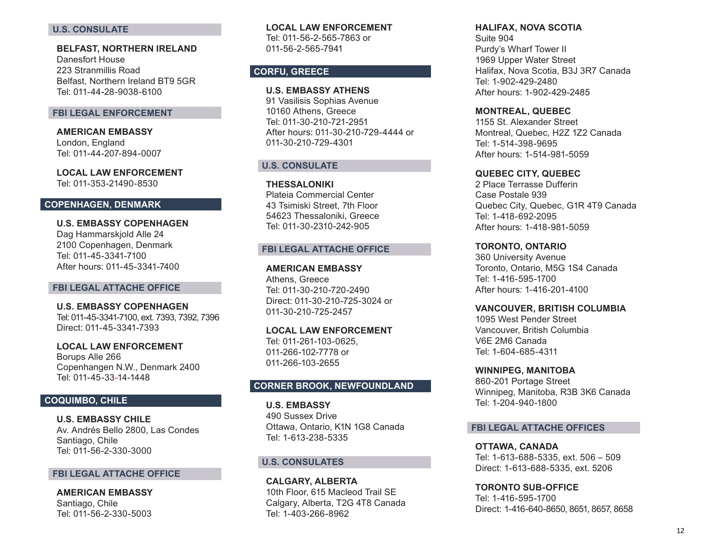### **U.S. CONSULATE**

**BELFAST, NORTHERN IRELAND**  Danesfort House 223 Stranmillis Road Belfast, Northern Ireland BT9 5GR Tel: 011-44-28-9038-6100

#### **FBI LEGAL ENFORCEMENT**

**AMERICAN EMBASSY**  London, England Tel: 011-44-207-894-0007

**LOCAL LAW ENFORCEMENT**  Tel: 011-353-21490-8530

### **COPENHAGEN, DENMARK**

**U.S. EMBASSY COPENHAGEN** Dag Hammarskjold Alle 24 2100 Copenhagen, Denmark Tel: 011-45-3341-7100 After hours: 011-45-3341-7400

#### **FBI LEGAL ATTACHE OFFICE**

**U.S. EMBASSY COPENHAGEN** Tel: 011-45-3341-7100, ext. 7393, 7392, 7396 Direct: 011-45-3341-7393

**LOCAL LAW ENFORCEMENT**  Borups Alle 266 Copenhangen N.W., Denmark 2400 Tel: 011-45-33 -14-1448

### **COQUIMBO, CHILE**

**U.S. EMBASSY CHILE** Av. Andrés Bello 2800, Las Condes Santiago, Chile Tel: 011-56-2-330-3000

#### **FBI LEGAL ATTACHE OFFICE**

**AMERICAN EMBASSY** Santiago, Chile Tel: 011-56-2-330-5003

**LOCAL LAW ENFORCEMENT**  Tel: 011-56-2-565-7863 or 011-56-2-565-7941

#### **CORFU, GREECE**

**U.S. EMBASSY ATHENS**  91 Vasilisis Sophias Avenue 10160 Athens, Greece Tel: 011-30-210-721-2951 After hours: 011-30-210-729-4444 or 011-30-210-729-4301

#### **U.S. CONSULATE**

**THESSALONIKI**  Plateia Commercial Center 43 Tsimiski Street, 7th Floor 54623 Thessaloniki, Greece Tel: 011-30-2310-242-905

### **FBI LEGAL ATTACHE OFFICE**

**AMERICAN EMBASSY**  Athens, Greece Tel: 011-30-210-720-2490 Direct: 011-30-210-725-3024 or 011-30-210-725-2457

**LOCAL LAW ENFORCEMENT**  Tel: 011-261-103-0625, 011-266-102-7778 or 011-266-103-2655

### **CORNER BROOK, NEWFOUNDLAND**

**U.S. EMBASSY**  490 Sussex Drive Ottawa, Ontario, K1N 1G8 Canada Tel: 1-613-238-5335

#### **U.S. CONSULATES**

**CALGARY, ALBERTA**  10th Floor, 615 Macleod Trail SE Calgary, Alberta, T2G 4T8 Canada Tel: 1-403-266-8962

#### **HALIFAX, NOVA SCOTIA**

Suite 904 Purdy's Wharf Tower II 1969 Upper Water Street Halifax, Nova Scotia, B3J 3R7 Canada Tel: 1-902-429-2480 After hours: 1-902-429-2485

**MONTREAL, QUEBEC** 

1155 St. Alexander Street Montreal, Quebec, H2Z 1Z2 Canada Tel: 1-514-398-9695 After hours: 1-514-981-5059

### **QUEBEC CITY, QUEBEC**

2 Place Terrasse Dufferin Case Postale 939 Quebec City, Quebec, G1R 4T9 Canada Tel: 1-418-692-2095 After hours: 1-418-981-5059

### **TORONTO, ONTARIO**

360 University Avenue Toronto, Ontario, M5G 1S4 Canada Tel: 1-416-595-1700 After hours: 1-416-201-4100

#### **VANCOUVER, BRITISH COLUMBIA**

1095 West Pender Street Vancouver, British Columbia V6E 2M6 Canada Tel: 1-604-685-4311

**WINNIPEG, MANITOBA** 

860-201 Portage Street Winnipeg, Manitoba, R3B 3K6 Canada Tel: 1-204-940-1800

### **FBI LEGAL ATTACHE OFFICES**

**OTTAWA, CANADA**  Tel: 1-613-688-5335, ext. 506 – 509 Direct: 1-613-688-5335, ext. 5206

**TORONTO SUB-OFFICE** Tel: 1-416-595-1700 Direct: 1-416-640-8650, 8651, 8657, 8658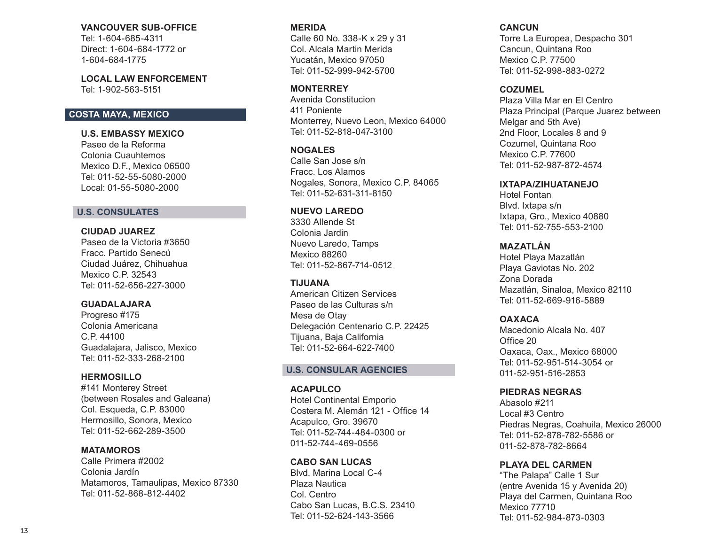### **VANCOUVER SUB-OFFICE**

Tel: 1-604-685-4311 Direct: 1-604-684-1772 or 1-604-684-1775

**LOCAL LAW ENFORCEMENT**  Tel: 1-902-563-5151

# **COSTA MAYA, MEXICO**

**U.S. EMBASSY MEXICO** Paseo de la Reforma Colonia Cuauhtemos Mexico D.F., Mexico 06500 Tel: 011-52-55-5080-2000 Local: 01-55-5080-2000

### **U.S. CONSULATES**

### **CIUDAD JUAREZ**

Paseo de la Victoria #3650 Fracc. Partido Senecú Ciudad Juárez, Chihuahua Mexico C.P. 32543 Tel: 011-52-656-227-3000

### **GUADALAJARA**

Progreso #175 Colonia Americana C.P. 44100 Guadalajara, Jalisco, Mexico Tel: 011-52-333-268-2100

### **HERMOSILLO**

#141 Monterey Street (between Rosales and Galeana) Col. Esqueda, C.P. 83000 Hermosillo, Sonora, Mexico Tel: 011-52-662-289-3500

### **MATAMOROS**

Calle Primera #2002 Colonia Jardín Matamoros, Tamaulipas, Mexico 87330 Tel: 011-52-868-812-4402

### **MERIDA**

Calle 60 No. 338-K x 29 y 31 Col. Alcala Martin Merida Yucatán, Mexico 97050 Tel: 011-52-999-942-5700

### **MONTERREY**

Avenida Constitucion 411 Poniente Monterrey, Nuevo Leon, Mexico 64000 Tel: 011-52-818-047-3100

### **NOGALES**

Calle San Jose s/n Fracc. Los Alamos Nogales, Sonora, Mexico C.P. 84065 Tel: 011-52-631-311-8150

# **NUEVO LAREDO**

3330 Allende St Colonia Jardin Nuevo Laredo, Tamps Mexico 88260 Tel: 011-52-867-714-0512

#### **TIJUANA**

American Citizen Services Paseo de las Culturas s/n Mesa de Otay Delegación Centenario C.P. 22425 Tijuana, Baja California Tel: 011-52-664-622-7400

### **U.S. CONSULAR AGENCIES**

**ACAPULCO**  Hotel Continental Emporio Costera M. Alemán 121 - Office 14 Acapulco, Gro. 39670 Tel: 011-52-744-484-0300 or 011-52-744-469-0556

### **CABO SAN LUCAS**

Blvd. Marina Local C-4 Plaza Nautica Col. Centro Cabo San Lucas, B.C.S. 23410 Tel: 011-52-624-143-3566

### **CANCUN**

Torre La Europea, Despacho 301 Cancun, Quintana Roo Mexico C.P. 77500 Tel: 011-52-998-883-0272

#### **COZUMEL**

Plaza Villa Mar en El Centro Plaza Principal (Parque Juarez between Melgar and 5th Ave) 2nd Floor, Locales 8 and 9 Cozumel, Quintana Roo Mexico C.P. 77600 Tel: 011-52-987-872-4574

### **IXTAPA/ZIHUATANEJO**

Hotel Fontan Blvd. Ixtapa s/n Ixtapa, Gro., Mexico 40880 Tel: 011-52-755-553-2100

### **MAZATLÁN**

Hotel Playa Mazatlán Playa Gaviotas No. 202 Zona Dorada Mazatlán, Sinaloa, Mexico 82110 Tel: 011-52-669-916-5889

### **OAXACA**

Macedonio Alcala No. 407 Office 20 Oaxaca, Oax., Mexico 68000 Tel: 011-52-951-514-3054 or 011-52-951-516-2853

### **PIEDRAS NEGRAS**

Abasolo #211 Local #3 Centro Piedras Negras, Coahuila, Mexico 26000 Tel: 011-52-878-782-5586 or 011-52-878-782-8664

### **PLAYA DEL CARMEN**

"The Palapa" Calle 1 Sur (entre Avenida 15 y Avenida 20) Playa del Carmen, Quintana Roo Mexico 77710 Tel: 011-52-984-873-0303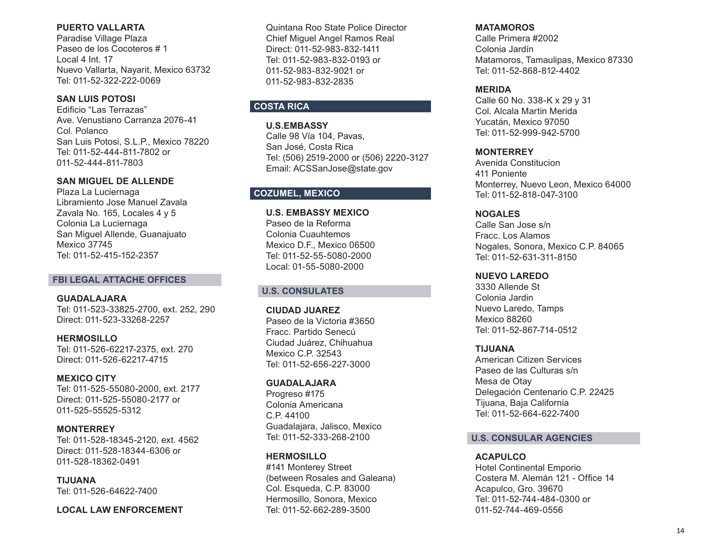# **PUERTO VALLARTA**

Paradise Village Plaza Paseo de los Cocoteros # 1 Local 4 Int. 17 Nuevo Vallarta, Nayarit, Mexico 63732 Tel: 011-52-322-222-0069

# **SAN LUIS POTOSI**

Edificio "Las Terrazas" Ave. Venustiano Carranza 2076-41 Col. Polanco San Luis Potosi, S.L.P., Mexico 78220 Tel: 011-52-444-811-7802 or 011-52-444-811-7803

# **SAN MIGUEL DE ALLENDE**

Plaza La Luciernaga Libramiento Jose Manuel Zavala Zavala No. 165, Locales 4 y 5 Colonia La Luciernaga San Miguel Allende, Guanajuato Mexico 37745 Tel: 011-52-415-152-2357

### **FBI LEGAL ATTACHE OFFICES**

**GUADALAJARA**  Tel: 011-523-33825-2700, ext. 252, 290 Direct: 011-523-33268-2257

**HERMOSILLO**  Tel: 011-526-62217-2375, ext. 270 Direct: 011-526-62217-4715

# **MEXICO CITY**

Tel: 011-525-55080-2000, ext. 2177 Direct: 011-525-55080-2177 or 011-525-55525-5312

**MONTERREY**  Tel: 011-528-18345-2120, ext. 4562 Direct: 011-528-18344-6306 or 011-528-18362-0491

**TIJUANA**  Tel: 011-526-64622-7400

**LOCAL LAW ENFORCEMENT**

Quintana Roo State Police Director Chief Miguel Angel Ramos Real Direct: 011-52-983-832-1411 Tel: 011-52-983-832-0193 or 011-52-983-832-9021 or 011-52-983-832-2835

# **COSTA RICA**

**U.S.EMBASSY** Calle 98 Vía 104, Pavas, San José, Costa Rica Tel: (506) 2519-2000 or (506) 2220-3127 Email: ACSSanJose@state.gov

# **COZUMEL, MEXICO**

**U.S. EMBASSY MEXICO** Paseo de la Reforma Colonia Cuauhtemos Mexico D.F., Mexico 06500 Tel: 011-52-55-5080-2000 Local: 01-55-5080-2000

# **U.S. CONSULATES**

**CIUDAD JUAREZ**  Paseo de la Victoria #3650 Fracc. Partido Senecú Ciudad Juárez, Chihuahua Mexico C.P. 32543 Tel: 011-52-656-227-3000

### **GUADALAJARA**

Progreso #175 Colonia Americana C.P. 44100 Guadalajara, Jalisco, Mexico Tel: 011-52-333-268-2100

# **HERMOSILLO**

#141 Monterey Street (between Rosales and Galeana) Col. Esqueda, C.P. 83000 Hermosillo, Sonora, Mexico Tel: 011-52-662-289-3500

### **MATAMOROS**

Calle Primera #2002 Colonia Jardín Matamoros, Tamaulipas, Mexico 87330 Tel: 011-52-868-812-4402

# **MERIDA**

Calle 60 No. 338-K x 29 y 31 Col. Alcala Martin Merida Yucatán, Mexico 97050 Tel: 011-52-999-942-5700

# **MONTERREY**

Avenida Constitucion 411 Poniente Monterrey, Nuevo Leon, Mexico 64000 Tel: 011-52-818-047-3100

# **NOGALES**

Calle San Jose s/n Fracc. Los Alamos Nogales, Sonora, Mexico C.P. 84065 Tel: 011-52-631-311-8150

# **NUEVO LAREDO**

3330 Allende St Colonia Jardin Nuevo Laredo, Tamps Mexico 88260 Tel: 011-52-867-714-0512

### **TIJUANA**

American Citizen Services Paseo de las Culturas s/n Mesa de Otay Delegación Centenario C.P. 22425 Tijuana, Baja California Tel: 011-52-664-622-7400

# **U.S. CONSULAR AGENCIES**

### **ACAPULCO**

Hotel Continental Emporio Costera M. Alemán 121 - Office 14 Acapulco, Gro. 39670 Tel: 011-52-744-484-0300 or 011-52-744-469-0556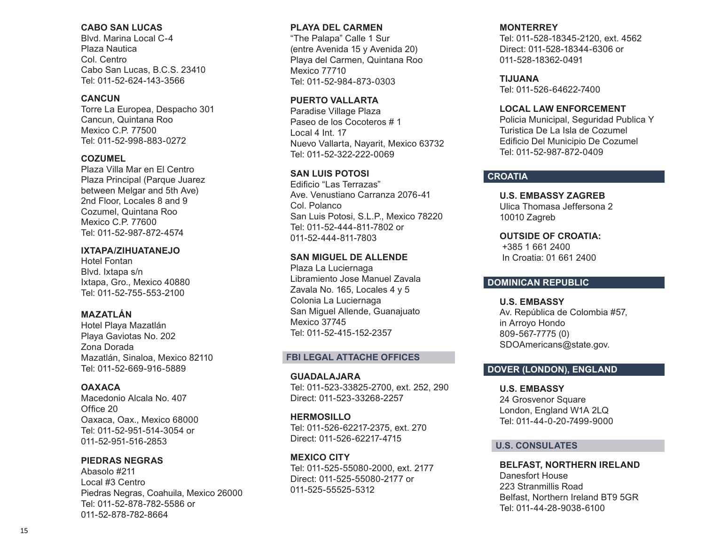### **CABO SAN LUCAS**

Blvd. Marina Local C-4 Plaza Nautica Col. Centro Cabo San Lucas, B.C.S. 23410 Tel: 011-52-624-143-3566

### **CANCUN**

Torre La Europea, Despacho 301 Cancun, Quintana Roo Mexico C.P. 77500 Tel: 011-52-998-883-0272

### **COZUMEL**

Plaza Villa Mar en El Centro Plaza Principal (Parque Juarez between Melgar and 5th Ave) 2nd Floor, Locales 8 and 9 Cozumel, Quintana Roo Mexico C.P. 77600 Tel: 011-52-987-872-4574

### **IXTAPA/ZIHUATANEJO**

Hotel Fontan Blvd. Ixtapa s/n Ixtapa, Gro., Mexico 40880 Tel: 011-52-755-553-2100

# **MAZATLÁN**

Hotel Playa Mazatlán Playa Gaviotas No. 202 Zona Dorada Mazatlán, Sinaloa, Mexico 82110 Tel: 011-52-669-916-5889

### **OAXACA**

Macedonio Alcala No. 407 Office 20 Oaxaca, Oax., Mexico 68000 Tel: 011-52-951-514-3054 or 011-52-951-516-2853

**PIEDRAS NEGRAS** Abasolo #211 Local #3 Centro Piedras Negras, Coahuila, Mexico 26000 Tel: 011-52-878-782-5586 or 011-52-878-782-8664

### **PLAYA DEL CARMEN**

"The Palapa" Calle 1 Sur (entre Avenida 15 y Avenida 20) Playa del Carmen, Quintana Roo Mexico 77710 Tel: 011-52-984-873-0303

# **PUERTO VALLARTA**

Paradise Village Plaza Paseo de los Cocoteros # 1 Local 4 Int. 17 Nuevo Vallarta, Nayarit, Mexico 63732 Tel: 011-52-322-222-0069

# **SAN LUIS POTOSI**

Edificio "Las Terrazas" Ave. Venustiano Carranza 2076-41 Col. Polanco San Luis Potosi, S.L.P., Mexico 78220 Tel: 011-52-444-811-7802 or 011-52-444-811-7803

### **SAN MIGUEL DE ALLENDE**

Plaza La Luciernaga Libramiento Jose Manuel Zavala Zavala No. 165, Locales 4 y 5 Colonia La Luciernaga San Miguel Allende, Guanajuato Mexico 37745 Tel: 011-52-415-152-2357

### **FBI LEGAL ATTACHE OFFICES**

**GUADALAJARA**  Tel: 011-523-33825-2700, ext. 252, 290 Direct: 011-523-33268-2257

**HERMOSILLO**  Tel: 011-526-62217-2375, ext. 270 Direct: 011-526-62217-4715

**MEXICO CITY** Tel: 011-525-55080-2000, ext. 2177 Direct: 011-525-55080-2177 or 011-525-55525-5312

# **MONTERREY**

Tel: 011-528-18345-2120, ext. 4562 Direct: 011-528-18344-6306 or 011-528-18362-0491

### **TIJUANA**

Tel: 011-526-64622-7400

### **LOCAL LAW ENFORCEMENT**

Policia Municipal, Seguridad Publica Y Turistica De La Isla de Cozumel Edificio Del Municipio De Cozumel Tel: 011-52-987-872-0409

# **CROATIA**

**U.S. EMBASSY ZAGREB** Ulica Thomasa Jeffersona 2 10010 Zagreb

**OUTSIDE OF CROATIA:** +385 1 661 2400 In Croatia: 01 661 2400

# **DOMINICAN REPUBLIC**

# **U.S. EMBASSY**

Av. República de Colombia #57, in Arroyo Hondo 809-567-7775 (0) SDOAmericans@state.gov.

# **DOVER (LONDON), ENGLAND**

**U.S. EMBASSY**  24 Grosvenor Square London, England W1A 2LQ Tel: 011-44-0-20-7499-9000

### **U.S. CONSULATES**

**BELFAST, NORTHERN IRELAND**  Danesfort House 223 Stranmillis Road Belfast, Northern Ireland BT9 5GR Tel: 011-44-28-9038-6100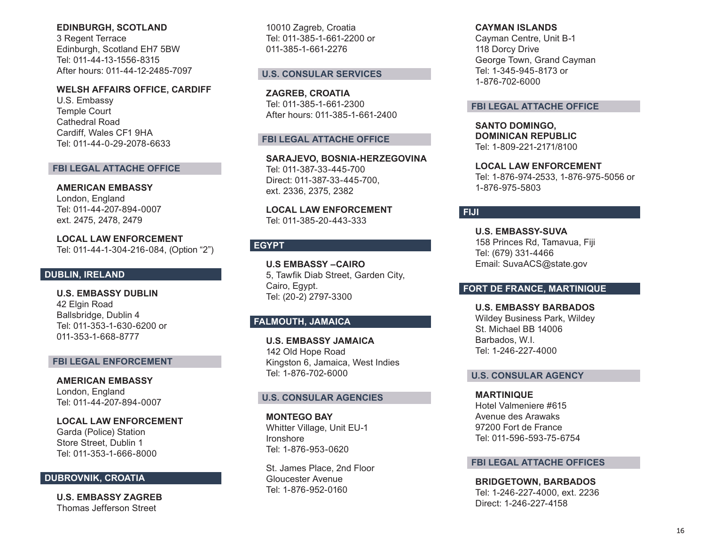### **EDINBURGH, SCOTLAND**

3 Regent Terrace Edinburgh, Scotland EH7 5BW Tel: 011-44-13-1556-8315 After hours: 011-44-12-2485-7097

### **WELSH AFFAIRS OFFICE, CARDIFF**

U.S. Embassy Temple Court Cathedral Road Cardiff, Wales CF1 9HA Tel: 011-44-0-29-2078-6633

### **FBI LEGAL ATTACHE OFFICE**

**AMERICAN EMBASSY**  London, England Tel: 011-44-207-894-0007 ext. 2475, 2478, 2479

**LOCAL LAW ENFORCEMENT**  Tel: 011-44-1-304-216-084, (Option "2")

# **DUBLIN, IRELAND**

**U.S. EMBASSY DUBLIN**  42 Elgin Road Ballsbridge, Dublin 4 Tel: 011-353-1-630-6200 or 011-353-1-668-8777

### **FBI LEGAL ENFORCEMENT**

**AMERICAN EMBASSY**  London, England Tel: 011-44-207-894-0007

**LOCAL LAW ENFORCEMENT** Garda (Police) Station Store Street, Dublin 1 Tel: 011-353-1-666-8000

# **DUBROVNIK, CROATIA**

**U.S. EMBASSY ZAGREB** Thomas Jefferson Street

10010 Zagreb, Croatia Tel: 011-385-1-661-2200 or 011-385-1-661-2276

### **U.S. CONSULAR SERVICES**

**ZAGREB, CROATIA**  Tel: 011-385-1-661-2300 After hours: 011-385-1-661-2400

### **FBI LEGAL ATTACHE OFFICE**

**SARAJEVO, BOSNIA-HERZEGOVINA** Tel: 011-387-33-445-700 Direct: 011-387-33-445-700, ext. 2336, 2375, 2382

**LOCAL LAW ENFORCEMENT** Tel: 011-385-20-443-333

# **EGYPT**

**U.S EMBASSY –CAIRO** 5, Tawfik Diab Street, Garden City, Cairo, Egypt. Tel: (20-2) 2797-3300

# **FALMOUTH, JAMAICA**

**U.S. EMBASSY JAMAICA**  142 Old Hope Road Kingston 6, Jamaica, West Indies Tel: 1-876-702-6000

### **U.S. CONSULAR AGENCIES**

**MONTEGO BAY**  Whitter Village, Unit EU-1 Ironshore Tel: 1-876-953-0620

St. James Place, 2nd Floor Gloucester Avenue Tel: 1-876-952-0160

#### **CAYMAN ISLANDS**

Cayman Centre, Unit B-1 118 Dorcy Drive George Town, Grand Cayman Tel: 1-345-945-8173 or 1-876-702-6000

### **FBI LEGAL ATTACHE OFFICE**

**SANTO DOMINGO, DOMINICAN REPUBLIC**  Tel: 1-809-221-2171/8100

**LOCAL LAW ENFORCEMENT**  Tel: 1-876-974-2533, 1-876-975-5056 or 1-876-975-5803

### **FIJI**

**U.S. EMBASSY-SUVA** 158 Princes Rd, Tamavua, Fiji Tel: (679) 331-4466 Email: SuvaACS@state.gov

### **FORT DE FRANCE, MARTINIQUE**

**U.S. EMBASSY BARBADOS** Wildey Business Park, Wildey St. Michael BB 14006 Barbados, W.I. Tel: 1-246-227-4000

### **U.S. CONSULAR AGENCY**

**MARTINIQUE** Hotel Valmeniere #615 Avenue des Arawaks 97200 Fort de France Tel: 011-596-593-75-6754

#### **FBI LEGAL ATTACHE OFFICES**

**BRIDGETOWN, BARBADOS**  Tel: 1-246-227-4000, ext. 2236 Direct: 1-246-227-4158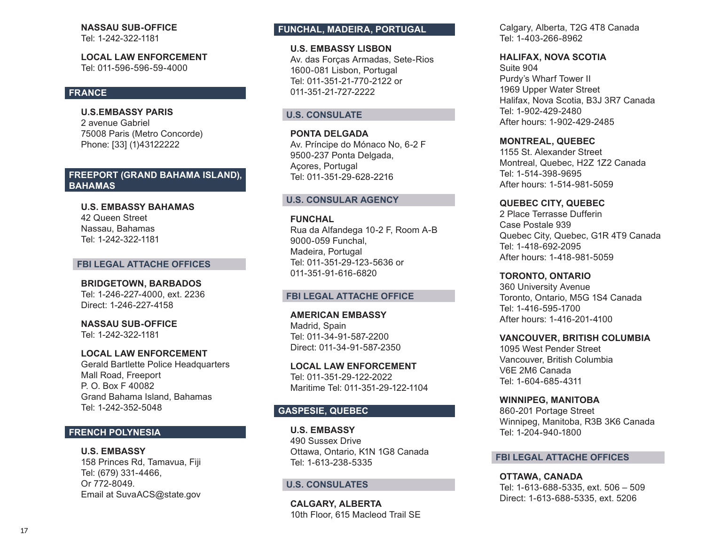# **NASSAU SUB-OFFICE**

Tel: 1-242-322-1181

**LOCAL LAW ENFORCEMENT**  Tel: 011-596-596-59-4000

# **FRANCE**

**U.S.EMBASSY PARIS** 2 avenue Gabriel 75008 Paris (Metro Concorde) Phone: [33] (1)43122222

# **FREEPORT (GRAND BAHAMA ISLAND), BAHAMAS**

**U.S. EMBASSY BAHAMAS** 42 Queen Street Nassau, Bahamas Tel: 1-242-322-1181

#### **FBI LEGAL ATTACHE OFFICES**

**BRIDGETOWN, BARBADOS**  Tel: 1-246-227-4000, ext. 2236 Direct: 1-246-227-4158

**NASSAU SUB-OFFICE** 

Tel: 1-242-322-1181

### **LOCAL LAW ENFORCEMENT**

Gerald Bartlette Police Headquarters Mall Road, Freeport P. O. Box F 40082 Grand Bahama Island, Bahamas Tel: 1-242-352-5048

# **FRENCH POLYNESIA**

**U.S. EMBASSY** 158 Princes Rd, Tamavua, Fiji Tel: (679) 331-4466, Or 772-8049. Email at SuvaACS@state.gov

# **FUNCHAL, MADEIRA, PORTUGAL**

**U.S. EMBASSY LISBON**  Av. das Forças Armadas, Sete-Rios 1600-081 Lisbon, Portugal Tel: 011-351-21-770-2122 or 011-351-21-727-2222

### **U.S. CONSULATE**

**PONTA DELGADA** Av. Príncipe do Mónaco No, 6-2 F 9500-237 Ponta Delgada, Açores, Portugal Tel: 011-351-29-628-2216

### **U.S. CONSULAR AGENCY**

**FUNCHAL**  Rua da Alfandega 10-2 F, Room A-B 9000-059 Funchal, Madeira, Portugal Tel: 011-351-29-123-5636 or

### **FBI LEGAL ATTACHE OFFICE**

011-351-91-616-6820

**AMERICAN EMBASSY**  Madrid, Spain Tel: 011-34-91-587-2200 Direct: 011-34-91-587-2350

**LOCAL LAW ENFORCEMENT**  Tel: 011-351-29-122-2022 Maritime Tel: 011-351-29-122-1104

# **GASPESIE, QUEBEC**

**U.S. EMBASSY**  490 Sussex Drive Ottawa, Ontario, K1N 1G8 Canada Tel: 1-613-238-5335

### **U.S. CONSULATES**

**CALGARY, ALBERTA**  10th Floor, 615 Macleod Trail SE Calgary, Alberta, T2G 4T8 Canada Tel: 1-403-266-8962

### **HALIFAX, NOVA SCOTIA**

Suite 904 Purdy's Wharf Tower II 1969 Upper Water Street Halifax, Nova Scotia, B3J 3R7 Canada Tel: 1-902-429-2480 After hours: 1-902-429-2485

### **MONTREAL, QUEBEC**

1155 St. Alexander Street Montreal, Quebec, H2Z 1Z2 Canada Tel: 1-514-398-9695 After hours: 1-514-981-5059

### **QUEBEC CITY, QUEBEC**

2 Place Terrasse Dufferin Case Postale 939 Quebec City, Quebec, G1R 4T9 Canada Tel: 1-418-692-2095 After hours: 1-418-981-5059

**TORONTO, ONTARIO**

360 University Avenue Toronto, Ontario, M5G 1S4 Canada Tel: 1-416-595-1700 After hours: 1-416-201-4100

#### **VANCOUVER, BRITISH COLUMBIA**

1095 West Pender Street Vancouver, British Columbia V6E 2M6 Canada Tel: 1-604-685-4311

### **WINNIPEG, MANITOBA**

860-201 Portage Street Winnipeg, Manitoba, R3B 3K6 Canada Tel: 1-204-940-1800

#### **FBI LEGAL ATTACHE OFFICES**

**OTTAWA, CANADA**  Tel: 1-613-688-5335, ext. 506 – 509 Direct: 1-613-688-5335, ext. 5206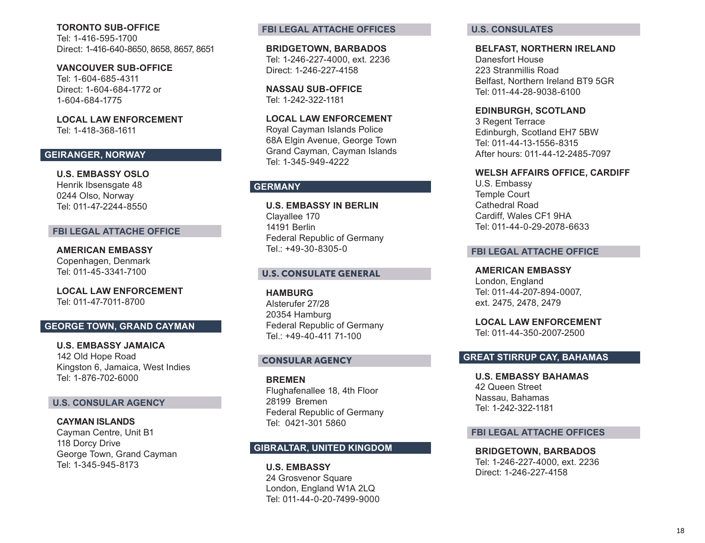### **TORONTO SUB-OFFICE**

Tel: 1-416-595-1700 Direct: 1-416-640-8650, 8658, 8657, 8651

**VANCOUVER SUB-OFFICE**

Tel: 1-604-685-4311 Direct: 1-604-684-1772 or 1-604-684-1775

**LOCAL LAW ENFORCEMENT** Tel: 1-418-368-1611

# **GEIRANGER, NORWAY**

**U.S. EMBASSY OSLO**  Henrik Ibsensgate 48 0244 Olso, Norway Tel: 011-47-2244-8550

### **FBI LEGAL ATTACHE OFFICE**

**AMERICAN EMBASSY**  Copenhagen, Denmark Tel: 011-45-3341-7100

**LOCAL LAW ENFORCEMENT**  Tel: 011-47-7011-8700

# **GEORGE TOWN, GRAND CAYMAN**

**U.S. EMBASSY JAMAICA**  142 Old Hope Road Kingston 6, Jamaica, West Indies Tel: 1-876-702-6000

### **U.S. CONSULAR AGENCY**

**CAYMAN ISLANDS** Cayman Centre, Unit B1 118 Dorcy Drive George Town, Grand Cayman Tel: 1-345-945-8173

### **FBI LEGAL ATTACHE OFFICES**

**BRIDGETOWN, BARBADOS**  Tel: 1-246-227-4000, ext. 2236 Direct: 1-246-227-4158

**NASSAU SUB-OFFICE**  Tel: 1-242-322-1181

**LOCAL LAW ENFORCEMENT** Royal Cayman Islands Police 68A Elgin Avenue, George Town

Grand Cayman, Cayman Islands Tel: 1-345-949-4222

# **GERMANY**

**U.S. EMBASSY IN BERLIN** Clayallee 170 14191 Berlin Federal Republic of Germany Tel.: +49-30-8305-0

# U.S. CONSULATE GENERAL

**HAMBURG** Alsterufer 27/28 20354 Hamburg Federal Republic of Germany Tel.: +49-40-411 71-100

### CONSULAR AGENCY

**BREMEN** Flughafenallee 18, 4th Floor 28199 Bremen Federal Republic of Germany Tel: 0421-301 5860

# **GIBRALTAR, UNITED KINGDOM**

**U.S. EMBASSY**  24 Grosvenor Square London, England W1A 2LQ Tel: 011-44-0-20-7499-9000

### **U.S. CONSULATES**

#### **BELFAST, NORTHERN IRELAND**

Danesfort House 223 Stranmillis Road Belfast, Northern Ireland BT9 5GR Tel: 011-44-28-9038-6100

**EDINBURGH, SCOTLAND**

3 Regent Terrace Edinburgh, Scotland EH7 5BW Tel: 011-44-13-1556-8315 After hours: 011-44-12-2485-7097

#### **WELSH AFFAIRS OFFICE, CARDIFF**

U.S. Embassy Temple Court Cathedral Road Cardiff, Wales CF1 9HA Tel: 011-44-0-29-2078-6633

### **FBI LEGAL ATTACHE OFFICE**

**AMERICAN EMBASSY**  London, England Tel: 011-44-207-894-0007, ext. 2475, 2478, 2479

**LOCAL LAW ENFORCEMENT**  Tel: 011-44-350-2007-2500

# **GREAT STIRRUP CAY, BAHAMAS**

**U.S. EMBASSY BAHAMAS** 42 Queen Street Nassau, Bahamas Tel: 1-242-322-1181

### **FBI LEGAL ATTACHE OFFICES**

**BRIDGETOWN, BARBADOS** Tel: 1-246-227-4000, ext. 2236 Direct: 1-246-227-4158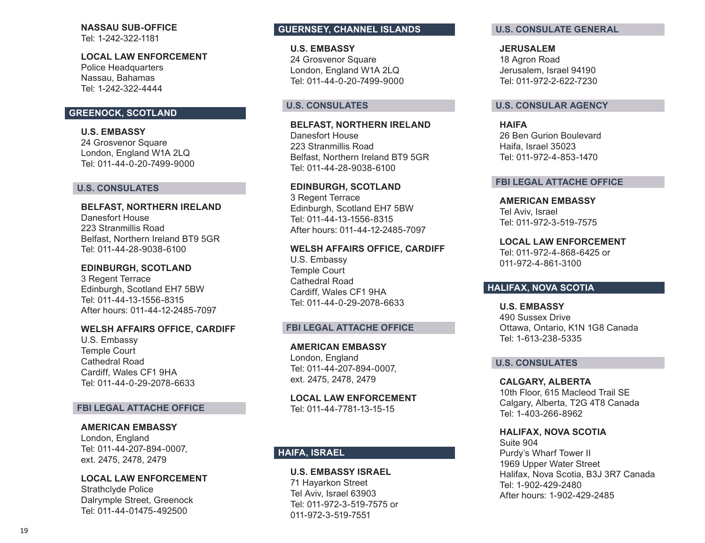# **NASSAU SUB-OFFICE**

Tel: 1-242-322-1181

### **LOCAL LAW ENFORCEMENT**

Police Headquarters Nassau, Bahamas Tel: 1-242-322-4444

# **GREENOCK, SCOTLAND**

**U.S. EMBASSY**  24 Grosvenor Square London, England W1A 2LQ Tel: 011-44-0-20-7499-9000

### **U.S. CONSULATES**

**BELFAST, NORTHERN IRELAND**  Danesfort House 223 Stranmillis Road Belfast, Northern Ireland BT9 5GR Tel: 011-44-28-9038-6100

# **EDINBURGH, SCOTLAND**

3 Regent Terrace Edinburgh, Scotland EH7 5BW Tel: 011-44-13-1556-8315 After hours: 011-44-12-2485-7097

### **WELSH AFFAIRS OFFICE, CARDIFF**

U.S. Embassy Temple Court Cathedral Road Cardiff, Wales CF1 9HA Tel: 011-44-0-29-2078-6633

### **FBI LEGAL ATTACHE OFFICE**

### **AMERICAN EMBASSY**

London, England Tel: 011-44-207-894-0007, ext. 2475, 2478, 2479

### **LOCAL LAW ENFORCEMENT**

Strathclyde Police Dalrymple Street, Greenock Tel: 011-44-01475-492500

# **GUERNSEY, CHANNEL ISLANDS**

**U.S. EMBASSY**  24 Grosvenor Square London, England W1A 2LQ Tel: 011-44-0-20-7499-9000

### **U.S. CONSULATES**

**BELFAST, NORTHERN IRELAND**  Danesfort House 223 Stranmillis Road Belfast, Northern Ireland BT9 5GR Tel: 011-44-28-9038-6100

#### **EDINBURGH, SCOTLAND**

3 Regent Terrace Edinburgh, Scotland EH7 5BW Tel: 011-44-13-1556-8315 After hours: 011-44-12-2485-7097

#### **WELSH AFFAIRS OFFICE, CARDIFF**

U.S. Embassy Temple Court Cathedral Road Cardiff, Wales CF1 9HA Tel: 011-44-0-29-2078-6633

### **FBI LEGAL ATTACHE OFFICE**

**AMERICAN EMBASSY**  London, England Tel: 011-44-207-894-0007, ext. 2475, 2478, 2479

**LOCAL LAW ENFORCEMENT**  Tel: 011-44-7781-13-15-15

# **HAIFA, ISRAEL**

**U.S. EMBASSY ISRAEL**  71 Hayarkon Street Tel Aviv, Israel 63903 Tel: 011-972-3-519-7575 or 011-972-3-519-7551

### **U.S. CONSULATE GENERAL**

**JERUSALEM**  18 Agron Road Jerusalem, Israel 94190 Tel: 011-972-2-622-7230

#### **U.S. CONSULAR AGENCY**

**HAIFA**  26 Ben Gurion Boulevard Haifa, Israel 35023 Tel: 011-972-4-853-1470

#### **FBI LEGAL ATTACHE OFFICE**

**AMERICAN EMBASSY**  Tel Aviv, Israel Tel: 011-972-3-519-7575

**LOCAL LAW ENFORCEMENT** Tel: 011-972-4-868-6425 or

### **HALIFAX, NOVA SCOTIA**

011-972-4-861-3100

**U.S. EMBASSY**  490 Sussex Drive Ottawa, Ontario, K1N 1G8 Canada Tel: 1-613-238-5335

### **U.S. CONSULATES**

**CALGARY, ALBERTA**  10th Floor, 615 Macleod Trail SE Calgary, Alberta, T2G 4T8 Canada Tel: 1-403-266-8962

**HALIFAX, NOVA SCOTIA**

Suite 904 Purdy's Wharf Tower II 1969 Upper Water Street Halifax, Nova Scotia, B3J 3R7 Canada Tel: 1-902-429-2480 After hours: 1-902-429-2485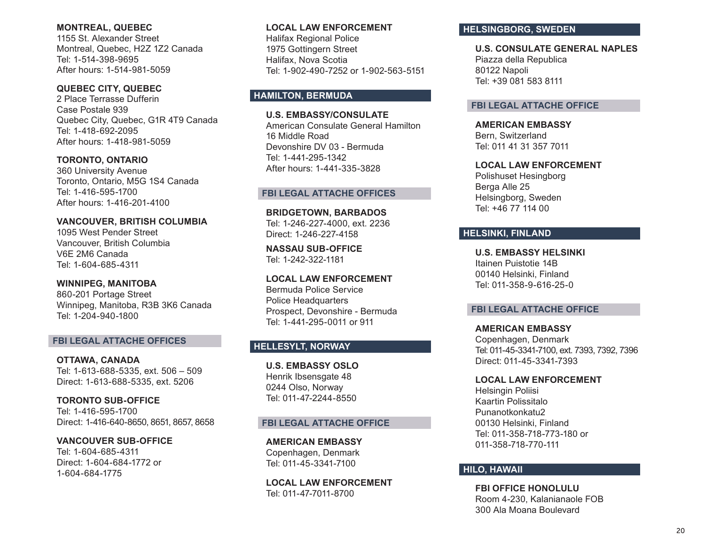### **MONTREAL, QUEBEC**

1155 St. Alexander Street Montreal, Quebec, H2Z 1Z2 Canada Tel: 1-514-398-9695 After hours: 1-514-981-5059

### **QUEBEC CITY, QUEBEC**

2 Place Terrasse Dufferin Case Postale 939 Quebec City, Quebec, G1R 4T9 Canada Tel: 1-418-692-2095 After hours: 1-418-981-5059

# **TORONTO, ONTARIO**

360 University Avenue Toronto, Ontario, M5G 1S4 Canada Tel: 1-416-595-1700 After hours: 1-416-201-4100

### **VANCOUVER, BRITISH COLUMBIA**

1095 West Pender Street Vancouver, British Columbia V6E 2M6 Canada Tel: 1-604-685-4311

### **WINNIPEG, MANITOBA**

860-201 Portage Street Winnipeg, Manitoba, R3B 3K6 Canada Tel: 1-204-940-1800

### **FBI LEGAL ATTACHE OFFICES**

**OTTAWA, CANADA**  Tel: 1-613-688-5335, ext. 506 – 509 Direct: 1-613-688-5335, ext. 5206

**TORONTO SUB-OFFICE**  Tel: 1-416-595-1700 Direct: 1-416-640-8650, 8651, 8657, 8658

**VANCOUVER SUB-OFFICE**  Tel: 1-604-685-4311 Direct: 1-604-684-1772 or 1-604-684-1775

### **LOCAL LAW ENFORCEMENT**

Halifax Regional Police 1975 Gottingern Street Halifax, Nova Scotia Tel: 1-902-490-7252 or 1-902-563-5151

# **HAMILTON, BERMUDA**

**U.S. EMBASSY/CONSULATE** American Consulate General Hamilton 16 Middle Road Devonshire DV 03 - Bermuda Tel: 1-441-295-1342 After hours: 1-441-335-3828

#### **FBI LEGAL ATTACHE OFFICES**

**BRIDGETOWN, BARBADOS**  Tel: 1-246-227-4000, ext. 2236 Direct: 1-246-227-4158

**NASSAU SUB-OFFICE** Tel: 1-242-322-1181

**LOCAL LAW ENFORCEMENT**  Bermuda Police Service Police Headquarters Prospect, Devonshire - Bermuda Tel: 1-441-295-0011 or 911

# **HELLESYLT, NORWAY**

**U.S. EMBASSY OSLO**  Henrik Ibsensgate 48 0244 Olso, Norway Tel: 011-47-2244-8550

#### **FBI LEGAL ATTACHE OFFICE**

**AMERICAN EMBASSY**  Copenhagen, Denmark Tel: 011-45-3341-7100

**LOCAL LAW ENFORCEMENT**  Tel: 011-47-7011-8700

### **HELSINGBORG, SWEDEN**

**U.S. CONSULATE GENERAL NAPLES** Piazza della Republica 80122 Napoli Tel: +39 081 583 8111

### **FBI LEGAL ATTACHE OFFICE**

**AMERICAN EMBASSY** Bern, Switzerland Tel: 011 41 31 357 7011

**LOCAL LAW ENFORCEMENT**  Polishuset Hesingborg Berga Alle 25 Helsingborg, Sweden Tel: +46 77 114 00

# **HELSINKI, FINLAND**

**U.S. EMBASSY HELSINKI** Itainen Puistotie 14B 00140 Helsinki, Finland Tel: 011-358-9-616-25-0

### **FBI LEGAL ATTACHE OFFICE**

**AMERICAN EMBASSY**  Copenhagen, Denmark Tel: 011-45-3341-7100, ext. 7393, 7392, 7396 Direct: 011-45-3341-7393

**LOCAL LAW ENFORCEMENT**

Helsingin Poliisi Kaartin Polissitalo Punanotkonkatu2 00130 Helsinki, Finland Tel: 011-358-718-773-180 or 011-358-718-770-111

### **HILO, HAWAII**

**FBI OFFICE HONOLULU** Room 4-230, Kalanianaole FOB 300 Ala Moana Boulevard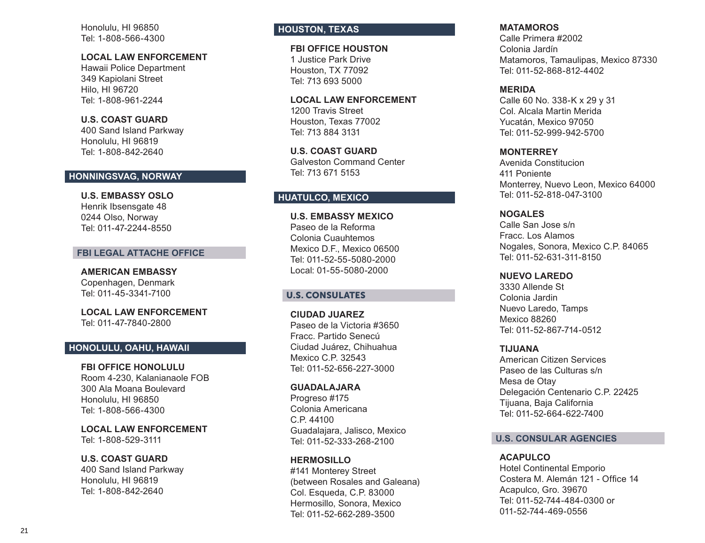Honolulu, HI 96850 Tel: 1-808-566-4300

### **LOCAL LAW ENFORCEMENT**

Hawaii Police Department 349 Kapiolani Street Hilo, HI 96720 Tel: 1-808-961-2244

**U.S. COAST GUARD**  400 Sand Island Parkway Honolulu, HI 96819 Tel: 1-808-842-2640

# **HONNINGSVAG, NORWAY**

**U.S. EMBASSY OSLO**  Henrik Ibsensgate 48 0244 Olso, Norway Tel: 011-47-2244-8550

### **FBI LEGAL ATTACHE OFFICE**

**AMERICAN EMBASSY**  Copenhagen, Denmark Tel: 011-45-3341-7100

**LOCAL LAW ENFORCEMENT**  Tel: 011-47-7840-2800

# **HONOLULU, OAHU, HAWAII**

### **FBI OFFICE HONOLULU**

Room 4-230, Kalanianaole FOB 300 Ala Moana Boulevard Honolulu, HI 96850 Tel: 1-808-566-4300

**LOCAL LAW ENFORCEMENT**  Tel: 1-808-529-3111

# **U.S. COAST GUARD**

400 Sand Island Parkway Honolulu, HI 96819 Tel: 1-808-842-2640

# **HOUSTON, TEXAS**

**FBI OFFICE HOUSTON**  1 Justice Park Drive Houston, TX 77092 Tel: 713 693 5000

**LOCAL LAW ENFORCEMENT**  1200 Travis Street Houston, Texas 77002 Tel: 713 884 3131

**U.S. COAST GUARD**  Galveston Command Center Tel: 713 671 5153

# **HUATULCO, MEXICO**

**U.S. EMBASSY MEXICO** Paseo de la Reforma Colonia Cuauhtemos Mexico D.F., Mexico 06500 Tel: 011-52-55-5080-2000 Local: 01-55-5080-2000

# U.S. CONSULATES

**CIUDAD JUAREZ**  Paseo de la Victoria #3650 Fracc. Partido Senecú Ciudad Juárez, Chihuahua Mexico C.P. 32543 Tel: 011-52-656-227-3000

### **GUADALAJARA**

Progreso #175 Colonia Americana C.P. 44100 Guadalajara, Jalisco, Mexico Tel: 011-52-333-268-2100

# **HERMOSILLO**

#141 Monterey Street (between Rosales and Galeana) Col. Esqueda, C.P. 83000 Hermosillo, Sonora, Mexico Tel: 011-52-662-289-3500

### **MATAMOROS**

Calle Primera #2002 Colonia Jardín Matamoros, Tamaulipas, Mexico 87330 Tel: 011-52-868-812-4402

### **MERIDA**

Calle 60 No. 338-K x 29 y 31 Col. Alcala Martin Merida Yucatán, Mexico 97050 Tel: 011-52-999-942-5700

### **MONTERREY**

Avenida Constitucion 411 Poniente Monterrey, Nuevo Leon, Mexico 64000 Tel: 011-52-818-047-3100

### **NOGALES**

Calle San Jose s/n Fracc. Los Alamos Nogales, Sonora, Mexico C.P. 84065 Tel: 011-52-631-311-8150

### **NUEVO LAREDO**

3330 Allende St Colonia Jardin Nuevo Laredo, Tamps Mexico 88260 Tel: 011-52-867-714-0512

### **TIJUANA**

American Citizen Services Paseo de las Culturas s/n Mesa de Otay Delegación Centenario C.P. 22425 Tijuana, Baja California Tel: 011-52-664-622-7400

### **U.S. CONSULAR AGENCIES**

### **ACAPULCO**

Hotel Continental Emporio Costera M. Alemán 121 - Office 14 Acapulco, Gro. 39670 Tel: 011-52-744-484-0300 or 011-52-744-469-0556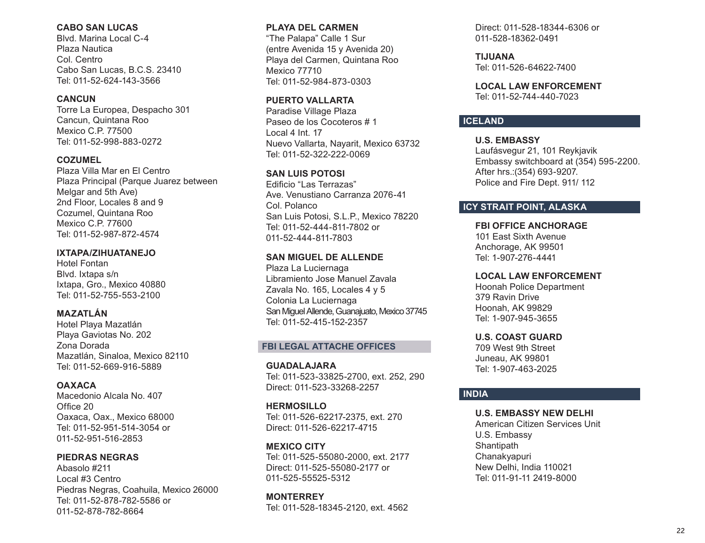### **CABO SAN LUCAS**

Blvd. Marina Local C-4 Plaza Nautica Col. Centro Cabo San Lucas, B.C.S. 23410 Tel: 011-52-624-143-3566

### **CANCUN**

Torre La Europea, Despacho 301 Cancun, Quintana Roo Mexico C.P. 77500 Tel: 011-52-998-883-0272

# **COZUMEL**

Plaza Villa Mar en El Centro Plaza Principal (Parque Juarez between Melgar and 5th Ave) 2nd Floor, Locales 8 and 9 Cozumel, Quintana Roo Mexico C.P. 77600 Tel: 011-52-987-872-4574

### **IXTAPA/ZIHUATANEJO**

Hotel Fontan Blvd. Ixtapa s/n Ixtapa, Gro., Mexico 40880 Tel: 011-52-755-553-2100

# **MAZATLÁN**

Hotel Playa Mazatlán Playa Gaviotas No. 202 Zona Dorada Mazatlán, Sinaloa, Mexico 82110 Tel: 011-52-669-916-5889

# **OAXACA**

Macedonio Alcala No. 407 Office 20 Oaxaca, Oax., Mexico 68000 Tel: 011-52-951-514-3054 or 011-52-951-516-2853

**PIEDRAS NEGRAS**  Abasolo #211 Local #3 Centro Piedras Negras, Coahuila, Mexico 26000 Tel: 011-52-878-782-5586 or 011-52-878-782-8664

# **PLAYA DEL CARMEN**

"The Palapa" Calle 1 Sur (entre Avenida 15 y Avenida 20) Playa del Carmen, Quintana Roo Mexico 77710 Tel: 011-52-984-873-0303

## **PUERTO VALLARTA**

Paradise Village Plaza Paseo de los Cocoteros # 1 Local 4 Int. 17 Nuevo Vallarta, Nayarit, Mexico 63732 Tel: 011-52-322-222-0069

### **SAN LUIS POTOSI**

Edificio "Las Terrazas" Ave. Venustiano Carranza 2076-41 Col. Polanco San Luis Potosi, S.L.P., Mexico 78220 Tel: 011-52-444-811-7802 or 011-52-444-811-7803

# **SAN MIGUEL DE ALLENDE**

Plaza La Luciernaga Libramiento Jose Manuel Zavala Zavala No. 165, Locales 4 y 5 Colonia La Luciernaga San Miguel Allende, Guanajuato, Mexico 37745 Tel: 011-52-415-152-2357

### **FBI LEGAL ATTACHE OFFICES**

**GUADALAJARA**  Tel: 011-523-33825-2700, ext. 252, 290 Direct: 011-523-33268-2257

### **HERMOSILLO**

Tel: 011-526-62217-2375, ext. 270 Direct: 011-526-62217-4715

### **MEXICO CITY**

Tel: 011-525-55080-2000, ext. 2177 Direct: 011-525-55080-2177 or 011-525-55525-5312

**MONTERREY** Tel: 011-528-18345-2120, ext. 4562 Direct: 011-528-18344-6306 or 011-528-18362-0491

**TIJUANA**  Tel: 011-526-64622-7400

**LOCAL LAW ENFORCEMENT**  Tel: 011-52-744-440-7023

# **ICELAND**

# **U.S. EMBASSY**

Laufásvegur 21, 101 Reykjavik Embassy switchboard at (354) 595-2200. After hrs.:(354) 693-9207. Police and Fire Dept. 911/ 112

# **ICY STRAIT POINT, ALASKA**

### **FBI OFFICE ANCHORAGE**

101 East Sixth Avenue Anchorage, AK 99501 Tel: 1-907-276-4441

### **LOCAL LAW ENFORCEMENT**

Hoonah Police Department 379 Ravin Drive Hoonah, AK 99829 Tel: 1-907-945-3655

#### **U.S. COAST GUARD**

709 West 9th Street Juneau, AK 99801 Tel: 1-907-463-2025

### **INDIA**

### **U.S. EMBASSY NEW DELHI**

American Citizen Services Unit U.S. Embassy **Shantipath** Chanakyapuri New Delhi, India 110021 Tel: 011-91-11 2419-8000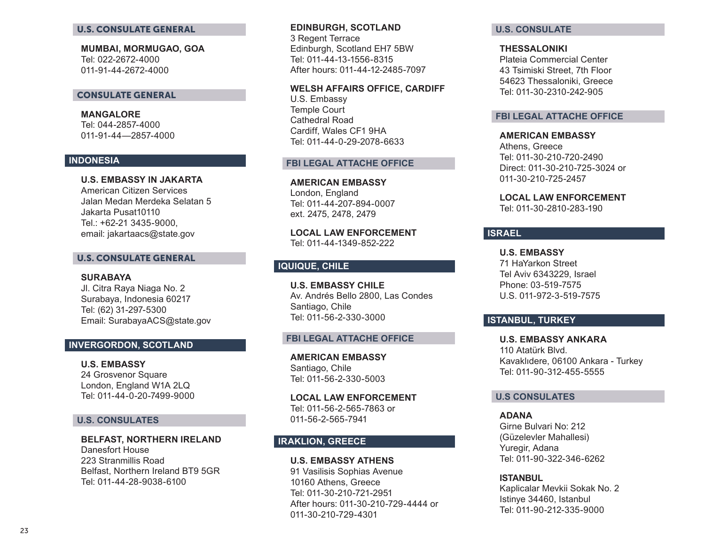#### U.S. CONSULATE GENERAL

**MUMBAI, MORMUGAO, GOA** Tel: 022-2672-4000 011-91-44-2672-4000

#### CONSULATE GENERAL

**MANGALORE** Tel: 044-2857-4000 011-91-44—2857-4000

### **INDONESIA**

**U.S. EMBASSY IN JAKARTA** American Citizen Services Jalan Medan Merdeka Selatan 5 Jakarta Pusat10110 Tel.: +62-21 3435-9000, email: jakartaacs@state.gov

# U.S. CONSULATE GENERAL

**SURABAYA** Jl. Citra Raya Niaga No. 2 Surabaya, Indonesia 60217 Tel: (62) 31-297-5300 Email: SurabayaACS@state.gov

# **INVERGORDON, SCOTLAND**

**U.S. EMBASSY**  24 Grosvenor Square London, England W1A 2LQ Tel: 011-44-0-20-7499-9000

### **U.S. CONSULATES**

**BELFAST, NORTHERN IRELAND**  Danesfort House 223 Stranmillis Road Belfast, Northern Ireland BT9 5GR Tel: 011-44-28-9038-6100

### **EDINBURGH, SCOTLAND**  3 Regent Terrace Edinburgh, Scotland EH7 5BW Tel: 011-44-13-1556-8315 After hours: 011-44-12-2485-7097

**WELSH AFFAIRS OFFICE, CARDIFF**

U.S. Embassy Temple Court Cathedral Road Cardiff, Wales CF1 9HA Tel: 011-44-0-29-2078-6633

### **FBI LEGAL ATTACHE OFFICE**

**AMERICAN EMBASSY**  London, England Tel: 011-44-207-894-0007 ext. 2475, 2478, 2479

**LOCAL LAW ENFORCEMENT**  Tel: 011-44-1349-852-222

# **IQUIQUE, CHILE**

**U.S. EMBASSY CHILE** Av. Andrés Bello 2800, Las Condes Santiago, Chile Tel: 011-56-2-330-3000

#### **FBI LEGAL ATTACHE OFFICE**

**AMERICAN EMBASSY**  Santiago, Chile Tel: 011-56-2-330-5003

**LOCAL LAW ENFORCEMENT** Tel: 011-56-2-565-7863 or 011-56-2-565-7941

# **IRAKLION, GREECE**

# **U.S. EMBASSY ATHENS**

91 Vasilisis Sophias Avenue 10160 Athens, Greece Tel: 011-30-210-721-2951 After hours: 011-30-210-729-4444 or 011-30-210-729-4301

### **U.S. CONSULATE**

**THESSALONIKI** 

Plateia Commercial Center 43 Tsimiski Street, 7th Floor 54623 Thessaloniki, Greece Tel: 011-30-2310-242-905

### **FBI LEGAL ATTACHE OFFICE**

**AMERICAN EMBASSY**  Athens, Greece Tel: 011-30-210-720-2490 Direct: 011-30-210-725-3024 or 011-30-210-725-2457

# **LOCAL LAW ENFORCEMENT**

Tel: 011-30-2810-283-190

### **ISRAEL**

**U.S. EMBASSY** 71 HaYarkon Street Tel Aviv 6343229, Israel Phone: 03-519-7575 U.S. 011-972-3-519-7575

# **ISTANBUL, TURKEY**

**U.S. EMBASSY ANKARA** 110 Atatürk Blvd. Kavaklıdere, 06100 Ankara - Turkey Tel: 011-90-312-455-5555

### **U.S CONSULATES**

#### **ADANA**

Girne Bulvari No: 212 (Güzelevler Mahallesi) Yuregir, Adana Tel: 011-90-322-346-6262

### **ISTANBUL**

Kaplicalar Mevkii Sokak No. 2 Istinye 34460, Istanbul Tel: 011-90-212-335-9000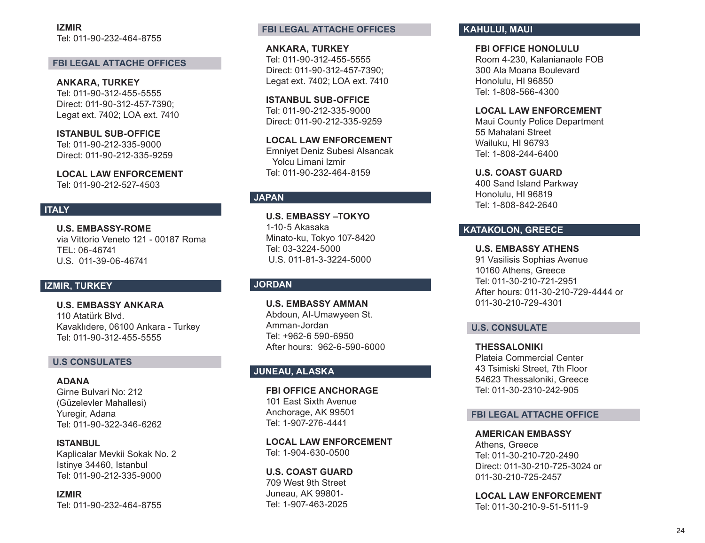**IZMIR** Tel: 011-90-232-464-8755

### **FBI LEGAL ATTACHE OFFICES**

**ANKARA, TURKEY**  Tel: 011-90-312-455-5555 Direct: 011-90-312-457-7390; Legat ext. 7402; LOA ext. 7410

**ISTANBUL SUB-OFFICE**  Tel: 011-90-212-335-9000 Direct: 011-90-212-335-9259

**LOCAL LAW ENFORCEMENT**  Tel: 011-90-212-527-4503

### **ITALY**

**U.S. EMBASSY-ROME** via Vittorio Veneto 121 - 00187 Roma TEL: 06-46741 U.S. 011-39-06-46741

# **IZMIR, TURKEY**

**U.S. EMBASSY ANKARA** 110 Atatürk Blvd. Kavaklıdere, 06100 Ankara - Turkey Tel: 011-90-312-455-5555

### **U.S CONSULATES**

**ADANA**  Girne Bulvari No: 212 (Güzelevler Mahallesi) Yuregir, Adana Tel: 011-90-322-346-6262

**ISTANBUL**  Kaplicalar Mevkii Sokak No. 2 Istinye 34460, Istanbul Tel: 011-90-212-335-9000

**IZMIR**  Tel: 011-90-232-464-8755

### **FBI LEGAL ATTACHE OFFICES**

**ANKARA, TURKEY**  Tel: 011-90-312-455-5555 Direct: 011-90-312-457-7390; Legat ext. 7402; LOA ext. 7410

**ISTANBUL SUB-OFFICE**  Tel: 011-90-212-335-9000 Direct: 011-90-212-335-9259

**LOCAL LAW ENFORCEMENT**  Emniyet Deniz Subesi Alsancak Yolcu Limani Izmir Tel: 011-90-232-464-8159

### **JAPAN**

**U.S. EMBASSY –TOKYO** 1-10-5 Akasaka Minato-ku, Tokyo 107-8420 Tel: 03-3224-5000 U.S. 011-81-3-3224-5000

### **JORDAN**

**U.S. EMBASSY AMMAN** Abdoun, Al-Umawyeen St. Amman-Jordan Tel: +962-6 590-6950 After hours: 962-6-590-6000

### **JUNEAU, ALASKA**

**FBI OFFICE ANCHORAGE** 101 East Sixth Avenue Anchorage, AK 99501 Tel: 1-907-276-4441

**LOCAL LAW ENFORCEMENT**  Tel: 1-904-630-0500

**U.S. COAST GUARD**  709 West 9th Street Juneau, AK 99801- Tel: 1-907-463-2025

# **KAHULUI, MAUI**

**FBI OFFICE HONOLULU** Room 4-230, Kalanianaole FOB 300 Ala Moana Boulevard Honolulu, HI 96850 Tel: 1-808-566-4300

### **LOCAL LAW ENFORCEMENT**

Maui County Police Department 55 Mahalani Street Wailuku, HI 96793 Tel: 1-808-244-6400

**U.S. COAST GUARD**  400 Sand Island Parkway Honolulu, HI 96819 Tel: 1-808-842-2640

# **KATAKOLON, GREECE**

**U.S. EMBASSY ATHENS**  91 Vasilisis Sophias Avenue 10160 Athens, Greece Tel: 011-30-210-721-2951 After hours: 011-30-210-729-4444 or 011-30-210-729-4301

### **U.S. CONSULATE**

**THESSALONIKI**  Plateia Commercial Center 43 Tsimiski Street, 7th Floor 54623 Thessaloniki, Greece Tel: 011-30-2310-242-905

### **FBI LEGAL ATTACHE OFFICE**

**AMERICAN EMBASSY**  Athens, Greece Tel: 011-30-210-720-2490 Direct: 011-30-210-725-3024 or 011-30-210-725-2457

**LOCAL LAW ENFORCEMENT**  Tel: 011-30-210-9-51-5111-9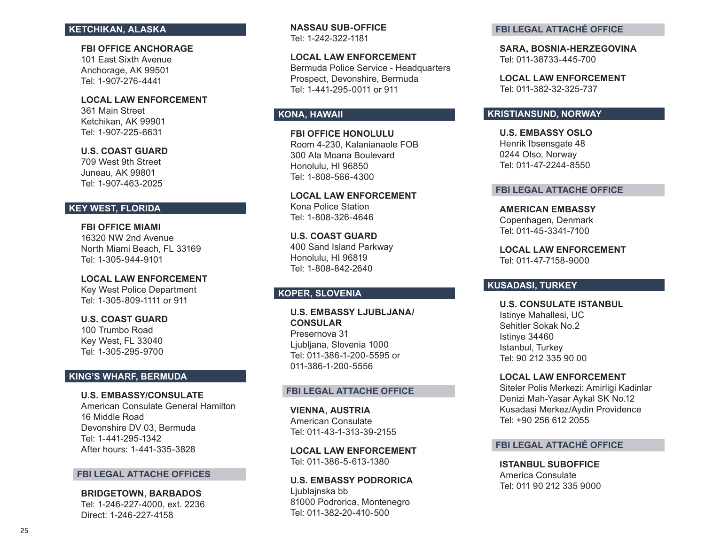### **KETCHIKAN, ALASKA**

**FBI OFFICE ANCHORAGE** 101 East Sixth Avenue Anchorage, AK 99501 Tel: 1-907-276-4441

**LOCAL LAW ENFORCEMENT** 361 Main Street Ketchikan, AK 99901 Tel: 1-907-225-6631

**U.S. COAST GUARD**  709 West 9th Street Juneau, AK 99801 Tel: 1-907-463-2025

# **KEY WEST, FLORIDA**

**FBI OFFICE MIAMI** 16320 NW 2nd Avenue North Miami Beach, FL 33169 Tel: 1-305-944-9101

**LOCAL LAW ENFORCEMENT**  Key West Police Department Tel: 1-305-809-1111 or 911

**U.S. COAST GUARD**  100 Trumbo Road Key West, FL 33040 Tel: 1-305-295-9700

# **KING'S WHARF, BERMUDA**

**U.S. EMBASSY/CONSULATE**  American Consulate General Hamilton 16 Middle Road Devonshire DV 03, Bermuda Tel: 1-441-295-1342 After hours: 1-441-335-3828

#### **FBI LEGAL ATTACHE OFFICES**

**BRIDGETOWN, BARBADOS**  Tel: 1-246-227-4000, ext. 2236 Direct: 1-246-227-4158

**NASSAU SUB-OFFICE** Tel: 1-242-322-1181

**LOCAL LAW ENFORCEMENT**  Bermuda Police Service - Headquarters Prospect, Devonshire, Bermuda Tel: 1-441-295-0011 or 911

# **KONA, HAWAII**

**FBI OFFICE HONOLULU** Room 4-230, Kalanianaole FOB 300 Ala Moana Boulevard Honolulu, HI 96850 Tel: 1-808-566-4300

**LOCAL LAW ENFORCEMENT**  Kona Police Station Tel: 1-808-326-4646

**U.S. COAST GUARD** 400 Sand Island Parkway Honolulu, HI 96819 Tel: 1-808-842-2640

# **KOPER, SLOVENIA**

**U.S. EMBASSY LJUBLJANA/ CONSULAR** Presernova 31 Ljubljana, Slovenia 1000 Tel: 011-386-1-200-5595 or 011-386-1-200-5556

### **FBI LEGAL ATTACHE OFFICE**

**VIENNA, AUSTRIA**  American Consulate Tel: 011-43-1-313-39-2155

**LOCAL LAW ENFORCEMENT**  Tel: 011-386-5-613-1380

**U.S. EMBASSY PODRORICA** Ljublajnska bb 81000 Podrorica, Montenegro Tel: 011-382-20-410-500

#### **FBI LEGAL ATTACHÉ OFFICE**

**SARA, BOSNIA-HERZEGOVINA**  Tel: 011-38733-445-700

**LOCAL LAW ENFORCEMENT**  Tel: 011-382-32-325-737

### **KRISTIANSUND, NORWAY**

**U.S. EMBASSY OSLO**  Henrik Ibsensgate 48 0244 Olso, Norway Tel: 011-47-2244-8550

### **FBI LEGAL ATTACHE OFFICE**

**AMERICAN EMBASSY**  Copenhagen, Denmark Tel: 011-45-3341-7100

**LOCAL LAW ENFORCEMENT**  Tel: 011-47-7158-9000

# **KUSADASI, TURKEY**

**U.S. CONSULATE ISTANBUL** Istinye Mahallesi, UC Sehitler Sokak No.2 Istinye 34460 Istanbul, Turkey Tel: 90 212 335 90 00

**LOCAL LAW ENFORCEMENT**  Siteler Polis Merkezi: Amirligi Kadinlar Denizi Mah-Yasar Aykal SK No.12 Kusadasi Merkez/Aydin Providence Tel: +90 256 612 2055

# **FBI LEGAL ATTACHÉ OFFICE**

**ISTANBUL SUBOFFICE**  America Consulate Tel: 011 90 212 335 9000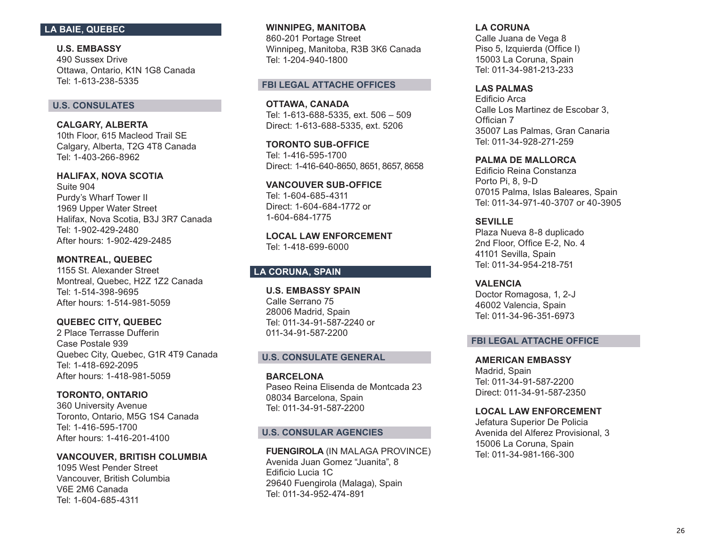# **LA BAIE, QUEBEC**

**U.S. EMBASSY**  490 Sussex Drive Ottawa, Ontario, K1N 1G8 Canada Tel: 1-613-238-5335

### **U.S. CONSULATES**

**CALGARY, ALBERTA**  10th Floor, 615 Macleod Trail SE Calgary, Alberta, T2G 4T8 Canada Tel: 1-403-266-8962

**HALIFAX, NOVA SCOTIA**  Suite 904 Purdy's Wharf Tower II 1969 Upper Water Street Halifax, Nova Scotia, B3J 3R7 Canada Tel: 1-902-429-2480 After hours: 1-902-429-2485

**MONTREAL, QUEBEC**  1155 St. Alexander Street Montreal, Quebec, H2Z 1Z2 Canada Tel: 1-514-398-9695 After hours: 1-514-981-5059

**QUEBEC CITY, QUEBEC**  2 Place Terrasse Dufferin Case Postale 939 Quebec City, Quebec, G1R 4T9 Canada Tel: 1-418-692-2095 After hours: 1-418-981-5059

**TORONTO, ONTARIO**  360 University Avenue Toronto, Ontario, M5G 1S4 Canada Tel: 1-416-595-1700 After hours: 1-416-201-4100

**VANCOUVER, BRITISH COLUMBIA** 1095 West Pender Street Vancouver, British Columbia V6E 2M6 Canada Tel: 1-604-685-4311

**WINNIPEG, MANITOBA** 860-201 Portage Street Winnipeg, Manitoba, R3B 3K6 Canada Tel: 1-204-940-1800

### **FBI LEGAL ATTACHE OFFICES**

**OTTAWA, CANADA**  Tel: 1-613-688-5335, ext. 506 – 509 Direct: 1-613-688-5335, ext. 5206

**TORONTO SUB-OFFICE** Tel: 1-416-595-1700 Direct: 1-416-640-8650, 8651, 8657, 8658

**VANCOUVER SUB-OFFICE** Tel: 1-604-685-4311 Direct: 1-604-684-1772 or 1-604-684-1775

**LOCAL LAW ENFORCEMENT**  Tel: 1-418-699-6000

# **LA CORUNA, SPAIN**

**U.S. EMBASSY SPAIN** Calle Serrano 75 28006 Madrid, Spain Tel: 011-34-91-587-2240 or 011-34-91-587-2200

#### **U.S. CONSULATE GENERAL**

**BARCELONA**  Paseo Reina Elisenda de Montcada 23 08034 Barcelona, Spain Tel: 011-34-91-587-2200

### **U.S. CONSULAR AGENCIES**

**FUENGIROLA** (IN MALAGA PROVINCE) Avenida Juan Gomez "Juanita", 8 Edificio Lucia 1C 29640 Fuengirola (Malaga), Spain Tel: 011-34-952-474-891

**LA CORUNA**  Calle Juana de Vega 8 Piso 5, Izquierda (Office I) 15003 La Coruna, Spain Tel: 011-34-981-213-233

#### **LAS PALMAS**

Edificio Arca Calle Los Martinez de Escobar 3, Offician 7 35007 Las Palmas, Gran Canaria Tel: 011-34-928-271-259

### **PALMA DE MALLORCA**

Edificio Reina Constanza Porto Pi, 8, 9-D 07015 Palma, Islas Baleares, Spain Tel: 011-34-971-40-3707 or 40-3905

**SEVILLE** 

Plaza Nueva 8-8 duplicado 2nd Floor, Office E-2, No. 4 41101 Sevilla, Spain Tel: 011-34-954-218-751

**VALENCIA**  Doctor Romagosa, 1, 2-J 46002 Valencia, Spain Tel: 011-34-96-351-6973

### **FBI LEGAL ATTACHE OFFICE**

**AMERICAN EMBASSY** Madrid, Spain Tel: 011-34-91-587-2200 Direct: 011-34-91-587-2350

### **LOCAL LAW ENFORCEMENT**

Jefatura Superior De Policia Avenida del Alferez Provisional, 3 15006 La Coruna, Spain Tel: 011-34-981-166-300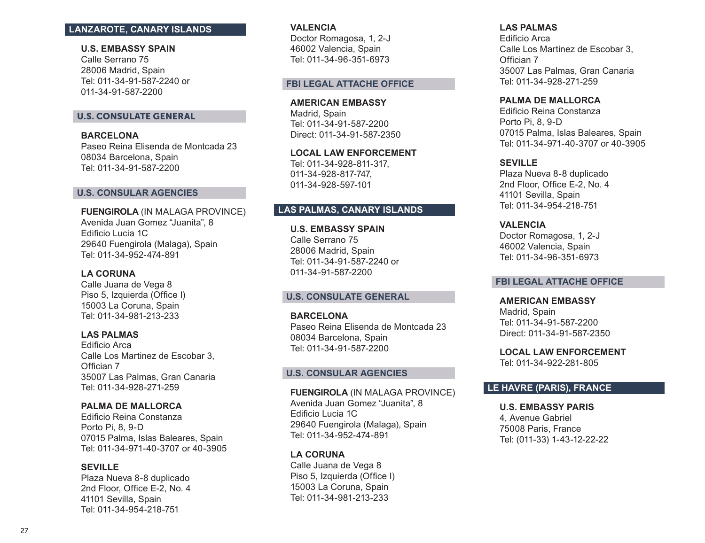# **LANZAROTE, CANARY ISLANDS**

**U.S. EMBASSY SPAIN**

Calle Serrano 75 28006 Madrid, Spain Tel: 011-34-91-587-2240 or 011-34-91-587-2200

### U.S. CONSULATE GENERAL

**BARCELONA**  Paseo Reina Elisenda de Montcada 23 08034 Barcelona, Spain Tel: 011-34-91-587-2200

#### **U.S. CONSULAR AGENCIES**

**FUENGIROLA** (IN MALAGA PROVINCE) Avenida Juan Gomez "Juanita", 8 Edificio Lucia 1C 29640 Fuengirola (Malaga), Spain Tel: 011-34-952-474-891

# **LA CORUNA**

Calle Juana de Vega 8 Piso 5, Izquierda (Office I) 15003 La Coruna, Spain Tel: 011-34-981-213-233

### **LAS PALMAS**

Edificio Arca Calle Los Martinez de Escobar 3, Offician 7 35007 Las Palmas, Gran Canaria Tel: 011-34-928-271-259

### **PALMA DE MALLORCA**

Edificio Reina Constanza Porto Pi, 8, 9-D 07015 Palma, Islas Baleares, Spain Tel: 011-34-971-40-3707 or 40-3905

### **SEVILLE**

Plaza Nueva 8-8 duplicado 2nd Floor, Office E-2, No. 4 41101 Sevilla, Spain Tel: 011-34-954-218-751

#### **VALENCIA**

Doctor Romagosa, 1, 2-J 46002 Valencia, Spain Tel: 011-34-96-351-6973

#### **FBI LEGAL ATTACHE OFFICE**

**AMERICAN EMBASSY**  Madrid, Spain Tel: 011-34-91-587-2200 Direct: 011-34-91-587-2350

**LOCAL LAW ENFORCEMENT**  Tel: 011-34-928-811-317, 011-34-928-817-747, 011-34-928-597-101

# **LAS PALMAS, CANARY ISLANDS**

**U.S. EMBASSY SPAIN** Calle Serrano 75 28006 Madrid, Spain Tel: 011-34-91-587-2240 or 011-34-91-587-2200

### **U.S. CONSULATE GENERAL**

**BARCELONA**  Paseo Reina Elisenda de Montcada 23 08034 Barcelona, Spain Tel: 011-34-91-587-2200

### **U.S. CONSULAR AGENCIES**

**FUENGIROLA** (IN MALAGA PROVINCE) Avenida Juan Gomez "Juanita", 8 Edificio Lucia 1C 29640 Fuengirola (Malaga), Spain Tel: 011-34-952-474-891

### **LA CORUNA**

Calle Juana de Vega 8 Piso 5, Izquierda (Office I) 15003 La Coruna, Spain Tel: 011-34-981-213-233

### **LAS PALMAS**

Edificio Arca Calle Los Martinez de Escobar 3, Offician 7 35007 Las Palmas, Gran Canaria Tel: 011-34-928-271-259

### **PALMA DE MALLORCA**

Edificio Reina Constanza Porto Pi, 8, 9-D 07015 Palma, Islas Baleares, Spain Tel: 011-34-971-40-3707 or 40-3905

### **SEVILLE**

Plaza Nueva 8-8 duplicado 2nd Floor, Office E-2, No. 4 41101 Sevilla, Spain Tel: 011-34-954-218-751

**VALENCIA** Doctor Romagosa, 1, 2-J

46002 Valencia, Spain Tel: 011-34-96-351-6973

#### **FBI LEGAL ATTACHE OFFICE**

**AMERICAN EMBASSY**  Madrid, Spain Tel: 011-34-91-587-2200 Direct: 011-34-91-587-2350

**LOCAL LAW ENFORCEMENT**  Tel: 011-34-922-281-805

# **LE HAVRE (PARIS), FRANCE**

### **U.S. EMBASSY PARIS**

4, Avenue Gabriel 75008 Paris, France Tel: (011-33) 1-43-12-22-22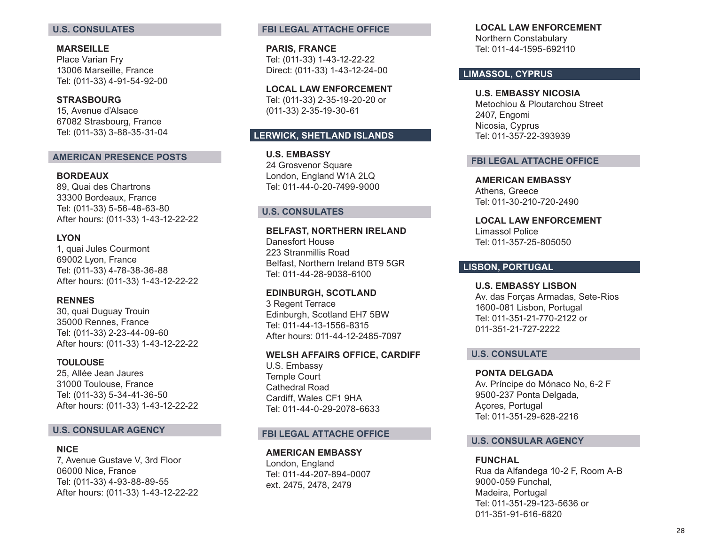# **U.S. CONSULATES**

**MARSEILLE**  Place Varian Fry 13006 Marseille, France Tel: (011-33) 4-91-54-92-00

**STRASBOURG**  15, Avenue d'Alsace 67082 Strasbourg, France Tel: (011-33) 3-88-35-31-04

### **AMERICAN PRESENCE POSTS**

### **BORDEAUX**

89, Quai des Chartrons 33300 Bordeaux, France Tel: (011-33) 5-56-48-63-80 After hours: (011-33) 1-43-12-22-22

### **LYON**

1, quai Jules Courmont 69002 Lyon, France Tel: (011-33) 4-78-38-36-88 After hours: (011-33) 1-43-12-22-22

#### **RENNES**

30, quai Duguay Trouin 35000 Rennes, France Tel: (011-33) 2-23-44-09-60 After hours: (011-33) 1-43-12-22-22

#### **TOULOUSE**

25, Allée Jean Jaures 31000 Toulouse, France Tel: (011-33) 5-34-41-36-50 After hours: (011-33) 1-43-12-22-22

### **U.S. CONSULAR AGENCY**

#### **NICE**

7, Avenue Gustave V, 3rd Floor 06000 Nice, France Tel: (011-33) 4-93-88-89-55 After hours: (011-33) 1-43-12-22-22

### **FBI LEGAL ATTACHE OFFICE**

**PARIS, FRANCE** Tel: (011-33) 1-43-12-22-22 Direct: (011-33) 1-43-12-24-00

**LOCAL LAW ENFORCEMENT** Tel: (011-33) 2-35-19-20-20 or (011-33) 2-35-19-30-61

# **LERWICK, SHETLAND ISLANDS**

**U.S. EMBASSY** 24 Grosvenor Square London, England W1A 2LQ Tel: 011-44-0-20-7499-9000

# **U.S. CONSULATES**

### **BELFAST, NORTHERN IRELAND**

Danesfort House 223 Stranmillis Road Belfast, Northern Ireland BT9 5GR Tel: 011-44-28-9038-6100

### **EDINBURGH, SCOTLAND**

3 Regent Terrace Edinburgh, Scotland EH7 5BW Tel: 011-44-13-1556-8315 After hours: 011-44-12-2485-7097

### **WELSH AFFAIRS OFFICE, CARDIFF**

U.S. Embassy Temple Court Cathedral Road Cardiff, Wales CF1 9HA Tel: 011-44-0-29-2078-6633

#### **FBI LEGAL ATTACHE OFFICE**

**AMERICAN EMBASSY**  London, England Tel: 011-44-207-894-0007 ext. 2475, 2478, 2479

#### **LOCAL LAW ENFORCEMENT**  Northern Constabulary

Tel: 011-44-1595-692110

### **LIMASSOL, CYPRUS**

**U.S. EMBASSY NICOSIA**  Metochiou & Ploutarchou Street 2407, Engomi Nicosia, Cyprus Tel: 011-357-22-393939

### **FBI LEGAL ATTACHE OFFICE**

**AMERICAN EMBASSY**  Athens, Greece Tel: 011-30-210-720-2490

**LOCAL LAW ENFORCEMENT**  Limassol Police Tel: 011-357-25-805050

# **LISBON, PORTUGAL**

**U.S. EMBASSY LISBON**  Av. das Forças Armadas, Sete-Rios 1600-081 Lisbon, Portugal Tel: 011-351-21-770-2122 or 011-351-21-727-2222

# **U.S. CONSULATE**

**PONTA DELGADA**  Av. Príncipe do Mónaco No, 6-2 F 9500-237 Ponta Delgada, Açores, Portugal Tel: 011-351-29-628-2216

### **U.S. CONSULAR AGENCY**

### **FUNCHAL**

Rua da Alfandega 10-2 F, Room A-B 9000-059 Funchal, Madeira, Portugal Tel: 011-351-29-123-5636 or 011-351-91-616-6820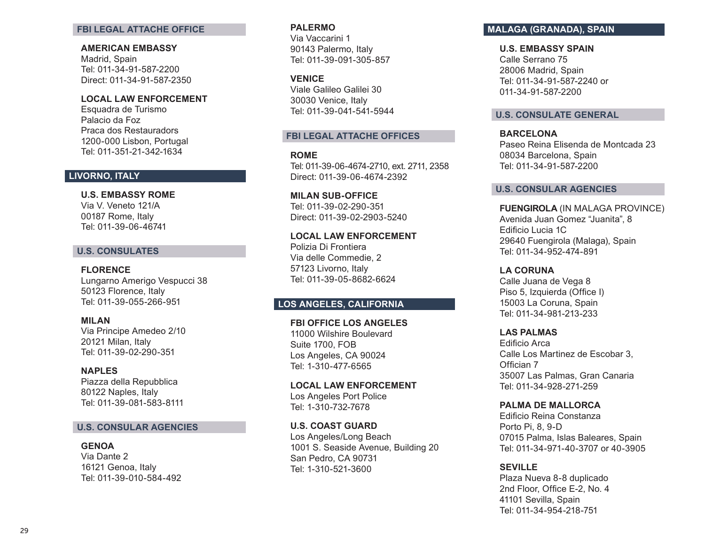#### **FBI LEGAL ATTACHE OFFICE**

#### **AMERICAN EMBASSY**

Madrid, Spain Tel: 011-34-91-587-2200 Direct: 011-34-91-587-2350

### **LOCAL LAW ENFORCEMENT**

Esquadra de Turismo Palacio da Foz Praca dos Restauradors 1200-000 Lisbon, Portugal Tel: 011-351-21-342-1634

## **LIVORNO, ITALY**

**U.S. EMBASSY ROME**  Via V. Veneto 121/A

00187 Rome, Italy Tel: 011-39-06-46741

# **U.S. CONSULATES**

**FLORENCE**  Lungarno Amerigo Vespucci 38 50123 Florence, Italy Tel: 011-39-055-266-951

### **MILAN**  Via Principe Amedeo 2/10 20121 Milan, Italy Tel: 011-39-02-290-351

**NAPLES** Piazza della Repubblica 80122 Naples, Italy Tel: 011-39-081-583-8111

### **U.S. CONSULAR AGENCIES**

**GENOA** Via Dante 2 16121 Genoa, Italy Tel: 011-39-010-584-492

#### **PALERMO**

Via Vaccarini 1 90143 Palermo, Italy Tel: 011-39-091-305-857

#### **VENICE**

Viale Galileo Galilei 30 30030 Venice, Italy Tel: 011-39-041-541-5944

### **FBI LEGAL ATTACHE OFFICES**

**ROME**  Tel: 011-39-06-4674-2710, ext. 2711, 2358 Direct: 011-39-06-4674-2392

**MILAN SUB-OFFICE**  Tel: 011-39-02-290-351 Direct: 011-39-02-2903-5240

**LOCAL LAW ENFORCEMENT**  Polizia Di Frontiera Via delle Commedie, 2 57123 Livorno, Italy Tel: 011-39-05-8682-6624

# **LOS ANGELES, CALIFORNIA**

**FBI OFFICE LOS ANGELES**  11000 Wilshire Boulevard Suite 1700, FOB Los Angeles, CA 90024 Tel: 1-310-477-6565

**LOCAL LAW ENFORCEMENT**  Los Angeles Port Police Tel: 1-310-732-7678

**U.S. COAST GUARD**  Los Angeles/Long Beach 1001 S. Seaside Avenue, Building 20 San Pedro, CA 90731 Tel: 1-310-521-3600

# **MALAGA (GRANADA), SPAIN**

**U.S. EMBASSY SPAIN**

Calle Serrano 75 28006 Madrid, Spain Tel: 011-34-91-587-2240 or 011-34-91-587-2200

### **U.S. CONSULATE GENERAL**

**BARCELONA** Paseo Reina Elisenda de Montcada 23 08034 Barcelona, Spain Tel: 011-34-91-587-2200

### **U.S. CONSULAR AGENCIES**

**FUENGIROLA** (IN MALAGA PROVINCE) Avenida Juan Gomez "Juanita", 8 Edificio Lucia 1C 29640 Fuengirola (Malaga), Spain Tel: 011-34-952-474-891

# **LA CORUNA**

Calle Juana de Vega 8 Piso 5, Izquierda (Office I) 15003 La Coruna, Spain Tel: 011-34-981-213-233

**LAS PALMAS** 

Edificio Arca Calle Los Martinez de Escobar 3, Offician 7 35007 Las Palmas, Gran Canaria Tel: 011-34-928-271-259

### **PALMA DE MALLORCA**

Edificio Reina Constanza Porto Pi, 8, 9-D 07015 Palma, Islas Baleares, Spain Tel: 011-34-971-40-3707 or 40-3905

### **SEVILLE**

Plaza Nueva 8-8 duplicado 2nd Floor, Office E-2, No. 4 41101 Sevilla, Spain Tel: 011-34-954-218-751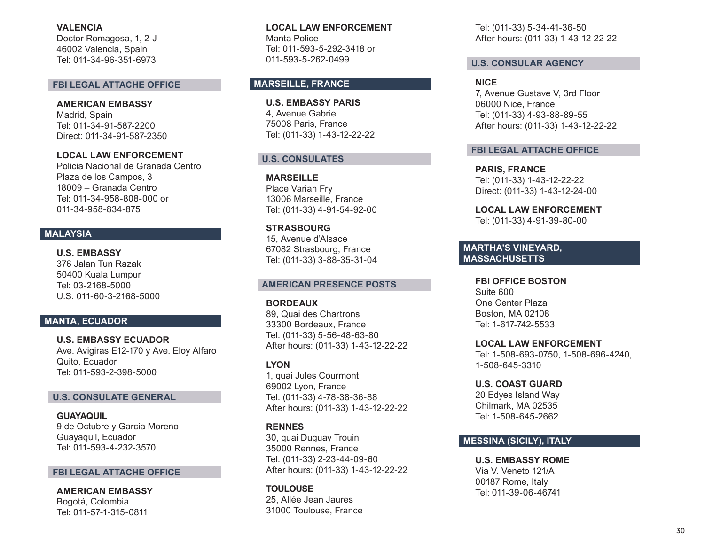**VALENCIA** Doctor Romagosa, 1, 2-J

46002 Valencia, Spain Tel: 011-34-96-351-6973

### **FBI LEGAL ATTACHE OFFICE**

**AMERICAN EMBASSY**  Madrid, Spain Tel: 011-34-91-587-2200 Direct: 011-34-91-587-2350

**LOCAL LAW ENFORCEMENT** Policia Nacional de Granada Centro Plaza de los Campos, 3 18009 – Granada Centro Tel: 011-34-958-808-000 or 011-34-958-834-875

# **MALAYSIA**

**U.S. EMBASSY** 376 Jalan Tun Razak 50400 Kuala Lumpur Tel: 03-2168-5000 U.S. 011-60-3-2168-5000

# **MANTA, ECUADOR**

**U.S. EMBASSY ECUADOR**  Ave. Avigiras E12-170 y Ave. Eloy Alfaro Quito, Ecuador Tel: 011-593-2-398-5000

#### **U.S. CONSULATE GENERAL**

**GUAYAQUIL**  9 de Octubre y Garcia Moreno Guayaquil, Ecuador Tel: 011-593-4-232-3570

### **FBI LEGAL ATTACHE OFFICE**

**AMERICAN EMBASSY**  Bogotá, Colombia Tel: 011-57-1-315-0811

**LOCAL LAW ENFORCEMENT**  Manta Police Tel: 011-593-5-292-3418 or 011-593-5-262-0499

### **MARSEILLE, FRANCE**

**U.S. EMBASSY PARIS** 4, Avenue Gabriel 75008 Paris, France Tel: (011-33) 1-43-12-22-22

### **U.S. CONSULATES**

**MARSEILLE**  Place Varian Fry 13006 Marseille, France Tel: (011-33) 4-91-54-92-00

**STRASBOURG**  15, Avenue d'Alsace 67082 Strasbourg, France Tel: (011-33) 3-88-35-31-04

#### **AMERICAN PRESENCE POSTS**

**BORDEAUX**  89, Quai des Chartrons 33300 Bordeaux, France Tel: (011-33) 5-56-48-63-80 After hours: (011-33) 1-43-12-22-22

**LYON**  1, quai Jules Courmont 69002 Lyon, France Tel: (011-33) 4-78-38-36-88 After hours: (011-33) 1-43-12-22-22

### **RENNES**

30, quai Duguay Trouin 35000 Rennes, France Tel: (011-33) 2-23-44-09-60 After hours: (011-33) 1-43-12-22-22

**TOULOUSE** 25, Allée Jean Jaures 31000 Toulouse, France Tel: (011-33) 5-34-41-36-50 After hours: (011-33) 1-43-12-22-22

### **U.S. CONSULAR AGENCY**

**NICE**  7, Avenue Gustave V, 3rd Floor

06000 Nice, France Tel: (011-33) 4-93-88-89-55 After hours: (011-33) 1-43-12-22-22

### **FBI LEGAL ATTACHE OFFICE**

**PARIS, FRANCE** Tel: (011-33) 1-43-12-22-22 Direct: (011-33) 1-43-12-24-00

**LOCAL LAW ENFORCEMENT**  Tel: (011-33) 4-91-39-80-00

### **MARTHA'S VINEYARD, MASSACHUSETTS**

**FBI OFFICE BOSTON**  Suite 600 One Center Plaza Boston, MA 02108 Tel: 1-617-742-5533

**LOCAL LAW ENFORCEMENT** Tel: 1-508-693-0750, 1-508-696-4240, 1-508-645-3310

**U.S. COAST GUARD**  20 Edyes Island Way Chilmark, MA 02535 Tel: 1-508-645-2662

# **MESSINA (SICILY), ITALY**

**U.S. EMBASSY ROME**  Via V. Veneto 121/A 00187 Rome, Italy Tel: 011-39-06-46741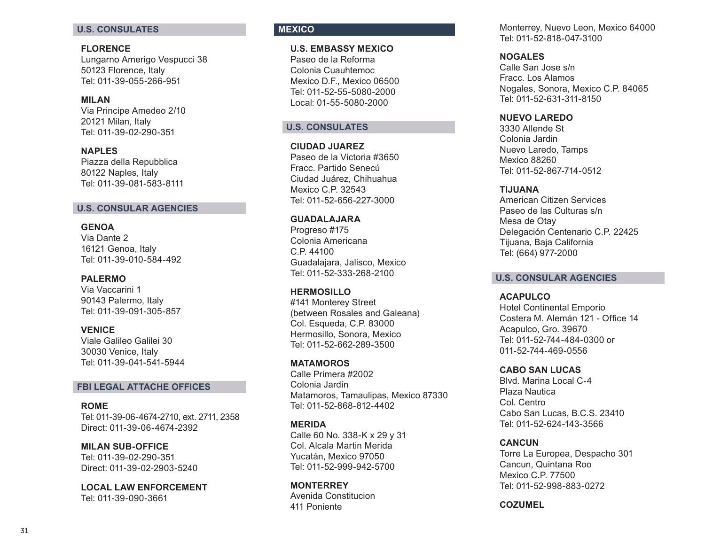### **U.S. CONSULATES**

### **FLORENCE**

Lungarno Amerigo Vespucci 38 50123 Florence, Italy Tel: 011-39-055-266-951

### **MILAN**

Via Principe Amedeo 2/10 20121 Milan, Italy Tel: 011-39-02-290-351

**NAPLES** Piazza della Repubblica 80122 Naples, Italy Tel: 011-39-081-583-8111

# **U.S. CONSULAR AGENCIES**

### **GENOA**

Via Dante 2 16121 Genoa, Italy Tel: 011-39-010-584-492

#### **PALERMO**

Via Vaccarini 1 90143 Palermo, Italy Tel: 011-39-091-305-857

#### **VENICE**

Viale Galileo Galilei 30 30030 Venice, Italy Tel: 011-39-041-541-5944

### **FBI LEGAL ATTACHE OFFICES**

**ROME**  Tel: 011-39-06-4674-2710, ext. 2711, 2358 Direct: 011-39-06-4674-2392

**MILAN SUB-OFFICE**  Tel: 011-39-02-290-351 Direct: 011-39-02-2903-5240

**LOCAL LAW ENFORCEMENT**  Tel: 011-39-090-3661

# **MEXICO**

**U.S. EMBASSY MEXICO** Paseo de la Reforma Colonia Cuauhtemoc Mexico D.F., Mexico 06500 Tel: 011-52-55-5080-2000 Local: 01-55-5080-2000

# **U.S. CONSULATES**

**CIUDAD JUAREZ**  Paseo de la Victoria #3650 Fracc. Partido Senecú Ciudad Juárez, Chihuahua Mexico C.P. 32543 Tel: 011-52-656-227-3000

**GUADALAJARA** Progreso #175 Colonia Americana C.P. 44100 Guadalajara, Jalisco, Mexico Tel: 011-52-333-268-2100

**HERMOSILLO** #141 Monterey Street (between Rosales and Galeana) Col. Esqueda, C.P. 83000 Hermosillo, Sonora, Mexico Tel: 011-52-662-289-3500

**MATAMOROS** Calle Primera #2002 Colonia Jardín Matamoros, Tamaulipas, Mexico 87330 Tel: 011-52-868-812-4402

#### **MERIDA**

Calle 60 No. 338-K x 29 y 31 Col. Alcala Martin Merida Yucatán, Mexico 97050 Tel: 011-52-999-942-5700

**MONTERREY** Avenida Constitucion 411 Poniente

Monterrey, Nuevo Leon, Mexico 64000 Tel: 011-52-818-047-3100

#### **NOGALES**

Calle San Jose s/n Fracc. Los Alamos Nogales, Sonora, Mexico C.P. 84065 Tel: 011-52-631-311-8150

### **NUEVO LAREDO**

3330 Allende St Colonia Jardin Nuevo Laredo, Tamps Mexico 88260 Tel: 011-52-867-714-0512

### **TIJUANA**

American Citizen Services Paseo de las Culturas s/n Mesa de Otay Delegación Centenario C.P. 22425 Tijuana, Baja California Tel: (664) 977-2000

### **U.S. CONSULAR AGENCIES**

#### **ACAPULCO**

Hotel Continental Emporio Costera M. Alemán 121 - Office 14 Acapulco, Gro. 39670 Tel: 011-52-744-484-0300 or 011-52-744-469-0556

#### **CABO SAN LUCAS**

Blvd. Marina Local C-4 Plaza Nautica Col. Centro Cabo San Lucas, B.C.S. 23410 Tel: 011-52-624-143-3566

### **CANCUN**

Torre La Europea, Despacho 301 Cancun, Quintana Roo Mexico C.P. 77500 Tel: 011-52-998-883-0272

**COZUMEL**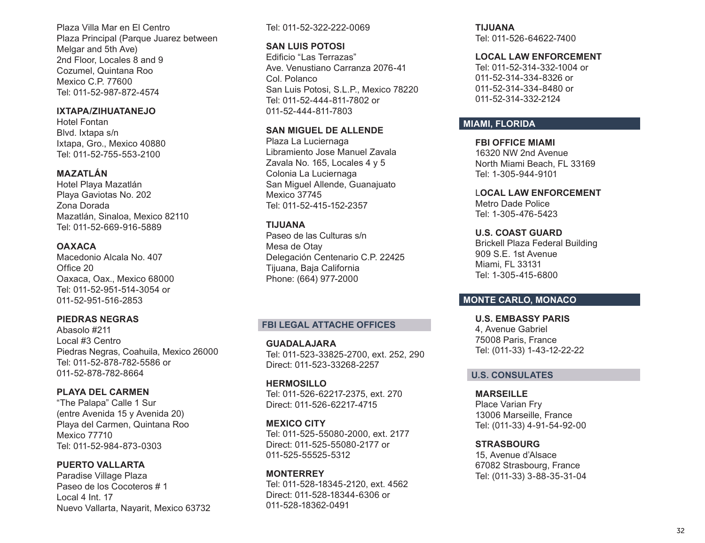Plaza Villa Mar en El Centro Plaza Principal (Parque Juarez between Melgar and 5th Ave) 2nd Floor, Locales 8 and 9 Cozumel, Quintana Roo Mexico C.P. 77600 Tel: 011-52-987-872-4574

### **IXTAPA/ZIHUATANEJO**

Hotel Fontan Blvd. Ixtapa s/n Ixtapa, Gro., Mexico 40880 Tel: 011-52-755-553-2100

# **MAZATLÁN**

Hotel Playa Mazatlán Playa Gaviotas No. 202 Zona Dorada Mazatlán, Sinaloa, Mexico 82110 Tel: 011-52-669-916-5889

# **OAXACA**

Macedonio Alcala No. 407 Office 20 Oaxaca, Oax., Mexico 68000 Tel: 011-52-951-514-3054 or 011-52-951-516-2853

### **PIEDRAS NEGRAS**

Abasolo #211 Local #3 Centro Piedras Negras, Coahuila, Mexico 26000 Tel: 011-52-878-782-5586 or 011-52-878-782-8664

### **PLAYA DEL CARMEN**

"The Palapa" Calle 1 Sur (entre Avenida 15 y Avenida 20) Playa del Carmen, Quintana Roo Mexico 77710 Tel: 011-52-984-873-0303

# **PUERTO VALLARTA**

Paradise Village Plaza Paseo de los Cocoteros # 1 Local 4 Int. 17 Nuevo Vallarta, Nayarit, Mexico 63732

### Tel: 011-52-322-222-0069

### **SAN LUIS POTOSI**

Edificio "Las Terrazas" Ave. Venustiano Carranza 2076-41 Col. Polanco San Luis Potosi, S.L.P., Mexico 78220 Tel: 011-52-444-811-7802 or 011-52-444-811-7803

# **SAN MIGUEL DE ALLENDE**

Plaza La Luciernaga Libramiento Jose Manuel Zavala Zavala No. 165, Locales 4 y 5 Colonia La Luciernaga San Miguel Allende, Guanajuato Mexico 37745 Tel: 011-52-415-152-2357

### **TIJUANA**

Paseo de las Culturas s/n Mesa de Otay Delegación Centenario C.P. 22425 Tijuana, Baja California Phone: (664) 977-2000

# **FBI LEGAL ATTACHE OFFICES**

**GUADALAJARA**  Tel: 011-523-33825-2700, ext. 252, 290 Direct: 011-523-33268-2257

**HERMOSILLO** Tel: 011-526-62217-2375, ext. 270 Direct: 011-526-62217-4715

### **MEXICO CITY**

Tel: 011-525-55080-2000, ext. 2177 Direct: 011-525-55080-2177 or 011-525-55525-5312

**MONTERREY**  Tel: 011-528-18345-2120, ext. 4562 Direct: 011-528-18344-6306 or 011-528-18362-0491

**TIJUANA** Tel: 011-526-64622-7400

### **LOCAL LAW ENFORCEMENT**

Tel: 011-52-314-332-1004 or 011-52-314-334-8326 or 011-52-314-334-8480 or 011-52-314-332-2124

# **MIAMI, FLORIDA**

**FBI OFFICE MIAMI**  16320 NW 2nd Avenue North Miami Beach, FL 33169 Tel: 1-305-944-9101 L**OCAL LAW ENFORCEMENT**

Metro Dade Police Tel: 1-305-476-5423

**U.S. COAST GUARD**  Brickell Plaza Federal Building 909 S.E. 1st Avenue Miami, FL 33131 Tel: 1-305-415-6800

# **MONTE CARLO, MONACO**

**U.S. EMBASSY PARIS** 4, Avenue Gabriel 75008 Paris, France Tel: (011-33) 1-43-12-22-22

# **U.S. CONSULATES**

**MARSEILLE**  Place Varian Fry 13006 Marseille, France Tel: (011-33) 4-91-54-92-00

### **STRASBOURG**

15, Avenue d'Alsace 67082 Strasbourg, France Tel: (011-33) 3-88-35-31-04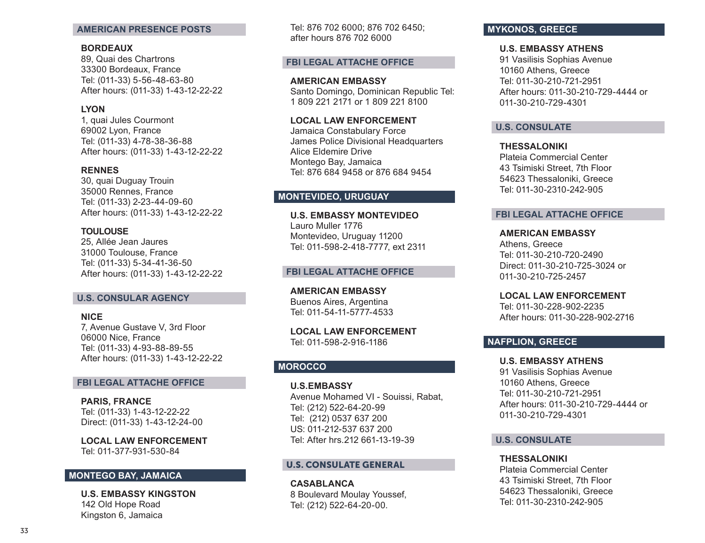#### **AMERICAN PRESENCE POSTS**

### **BORDEAUX**

89, Quai des Chartrons 33300 Bordeaux, France Tel: (011-33) 5-56-48-63-80 After hours: (011-33) 1-43-12-22-22

### **LYON**

1, quai Jules Courmont 69002 Lyon, France Tel: (011-33) 4-78-38-36-88 After hours: (011-33) 1-43-12-22-22

#### **RENNES**

30, quai Duguay Trouin 35000 Rennes, France Tel: (011-33) 2-23-44-09-60 After hours: (011-33) 1-43-12-22-22

### **TOULOUSE**

25, Allée Jean Jaures 31000 Toulouse, France Tel: (011-33) 5-34-41-36-50 After hours: (011-33) 1-43-12-22-22

#### **U.S. CONSULAR AGENCY**

### **NICE**

7, Avenue Gustave V, 3rd Floor 06000 Nice, France Tel: (011-33) 4-93-88-89-55 After hours: (011-33) 1-43-12-22-22

#### **FBI LEGAL ATTACHE OFFICE**

**PARIS, FRANCE** Tel: (011-33) 1-43-12-22-22 Direct: (011-33) 1-43-12-24-00

**LOCAL LAW ENFORCEMENT**  Tel: 011-377-931-530-84

### **MONTEGO BAY, JAMAICA**

**U.S. EMBASSY KINGSTON** 142 Old Hope Road Kingston 6, Jamaica

Tel: 876 702 6000; 876 702 6450; after hours 876 702 6000

### **FBI LEGAL ATTACHE OFFICE**

**AMERICAN EMBASSY**  Santo Domingo, Dominican Republic Tel: 1 809 221 2171 or 1 809 221 8100

### **LOCAL LAW ENFORCEMENT**

Jamaica Constabulary Force James Police Divisional Headquarters Alice Eldemire Drive Montego Bay, Jamaica Tel: 876 684 9458 or 876 684 9454

# **MONTEVIDEO, URUGUAY**

**U.S. EMBASSY MONTEVIDEO** Lauro Muller 1776 Montevideo, Uruguay 11200 Tel: 011-598-2-418-7777, ext 2311

### **FBI LEGAL ATTACHE OFFICE**

**AMERICAN EMBASSY**  Buenos Aires, Argentina Tel: 011-54-11-5777-4533

**LOCAL LAW ENFORCEMENT**  Tel: 011-598-2-916-1186

### **MOROCCO**

**U.S.EMBASSY** Avenue Mohamed VI - Souissi, Rabat, Tel: (212) 522-64-20-99 Tel: (212) 0537 637 200 US: 011-212-537 637 200 Tel: After hrs.212 661-13-19-39

#### U.S. CONSULATE GENERAL

**CASABLANCA** 8 Boulevard Moulay Youssef, Tel: (212) 522-64-20-00.

# **MYKONOS, GREECE**

### **U.S. EMBASSY ATHENS**

91 Vasilisis Sophias Avenue 10160 Athens, Greece Tel: 011-30-210-721-2951 After hours: 011-30-210-729-4444 or 011-30-210-729-4301

### **U.S. CONSULATE**

**THESSALONIKI**  Plateia Commercial Center 43 Tsimiski Street, 7th Floor 54623 Thessaloniki, Greece Tel: 011-30-2310-242-905

#### **FBI LEGAL ATTACHE OFFICE**

**AMERICAN EMBASSY**  Athens, Greece Tel: 011-30-210-720-2490 Direct: 011-30-210-725-3024 or 011-30-210-725-2457

**LOCAL LAW ENFORCEMENT**  Tel: 011-30-228-902-2235 After hours: 011-30-228-902-2716

### **NAFPLION, GREECE**

**U.S. EMBASSY ATHENS**  91 Vasilisis Sophias Avenue 10160 Athens, Greece Tel: 011-30-210-721-2951 After hours: 011-30-210-729-4444 or 011-30-210-729-4301

### **U.S. CONSULATE**

**THESSALONIKI**  Plateia Commercial Center 43 Tsimiski Street, 7th Floor 54623 Thessaloniki, Greece Tel: 011-30-2310-242-905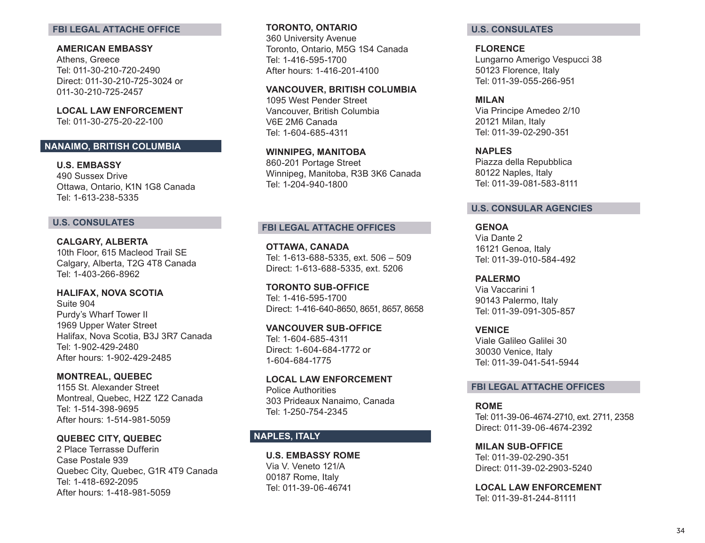### **FBI LEGAL ATTACHE OFFICE**

**AMERICAN EMBASSY**  Athens, Greece Tel: 011-30-210-720-2490 Direct: 011-30-210-725-3024 or 011-30-210-725-2457

**LOCAL LAW ENFORCEMENT**  Tel: 011-30-275-20-22-100

# **NANAIMO, BRITISH COLUMBIA**

**U.S. EMBASSY**  490 Sussex Drive Ottawa, Ontario, K1N 1G8 Canada Tel: 1-613-238-5335

### **U.S. CONSULATES**

**CALGARY, ALBERTA**  10th Floor, 615 Macleod Trail SE Calgary, Alberta, T2G 4T8 Canada Tel: 1-403-266-8962

**HALIFAX, NOVA SCOTIA**  Suite 904 Purdy's Wharf Tower II 1969 Upper Water Street Halifax, Nova Scotia, B3J 3R7 Canada Tel: 1-902-429-2480 After hours: 1-902-429-2485

**MONTREAL, QUEBEC** 1155 St. Alexander Street Montreal, Quebec, H2Z 1Z2 Canada Tel: 1-514-398-9695 After hours: 1-514-981-5059

**QUEBEC CITY, QUEBEC**  2 Place Terrasse Dufferin Case Postale 939 Quebec City, Quebec, G1R 4T9 Canada Tel: 1-418-692-2095 After hours: 1-418-981-5059

**TORONTO, ONTARIO**  360 University Avenue Toronto, Ontario, M5G 1S4 Canada Tel: 1-416-595-1700 After hours: 1-416-201-4100

**VANCOUVER, BRITISH COLUMBIA**  1095 West Pender Street Vancouver, British Columbia V6E 2M6 Canada Tel: 1-604-685-4311

**WINNIPEG, MANITOBA** 860-201 Portage Street Winnipeg, Manitoba, R3B 3K6 Canada Tel: 1-204-940-1800

### **FBI LEGAL ATTACHE OFFICES**

**OTTAWA, CANADA**  Tel: 1-613-688-5335, ext. 506 – 509 Direct: 1-613-688-5335, ext. 5206

**TORONTO SUB-OFFICE**  Tel: 1-416-595-1700 Direct: 1-416-640-8650, 8651, 8657, 8658

**VANCOUVER SUB-OFFICE**  Tel: 1-604-685-4311 Direct: 1-604-684-1772 or 1-604-684-1775

**LOCAL LAW ENFORCEMENT**  Police Authorities 303 Prideaux Nanaimo, Canada Tel: 1-250-754-2345

# **NAPLES, ITALY**

**U.S. EMBASSY ROME**  Via V. Veneto 121/A 00187 Rome, Italy Tel: 011-39-06-46741

### **U.S. CONSULATES**

**FLORENCE**  Lungarno Amerigo Vespucci 38 50123 Florence, Italy Tel: 011-39-055-266-951

**MILAN**  Via Principe Amedeo 2/10 20121 Milan, Italy Tel: 011-39-02-290-351

**NAPLES** Piazza della Repubblica 80122 Naples, Italy Tel: 011-39-081-583-8111

# **U.S. CONSULAR AGENCIES**

**GENOA**  Via Dante 2 16121 Genoa, Italy Tel: 011-39-010-584-492

**PALERMO**  Via Vaccarini 1 90143 Palermo, Italy Tel: 011-39-091-305-857

**VENICE**  Viale Galileo Galilei 30 30030 Venice, Italy Tel: 011-39-041-541-5944

### **FBI LEGAL ATTACHE OFFICES**

**ROME**  Tel: 011-39-06-4674-2710, ext. 2711, 2358 Direct: 011-39-06-4674-2392

**MILAN SUB-OFFICE**  Tel: 011-39-02-290-351 Direct: 011-39-02-2903-5240

**LOCAL LAW ENFORCEMENT**  Tel: 011-39-81-244-81111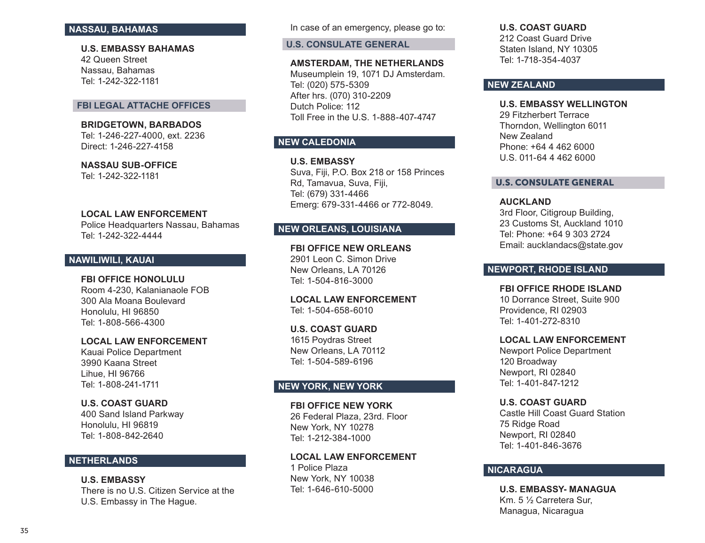### **NASSAU, BAHAMAS**

**U.S. EMBASSY BAHAMAS** 42 Queen Street Nassau, Bahamas Tel: 1-242-322-1181

### **FBI LEGAL ATTACHE OFFICES**

**BRIDGETOWN, BARBADOS**  Tel: 1-246-227-4000, ext. 2236 Direct: 1-246-227-4158

**NASSAU SUB-OFFICE** Tel: 1-242-322-1181

#### **LOCAL LAW ENFORCEMENT**

Police Headquarters Nassau, Bahamas Tel: 1-242-322-4444

# **NAWILIWILI, KAUAI**

#### **FBI OFFICE HONOLULU**

Room 4-230, Kalanianaole FOB 300 Ala Moana Boulevard Honolulu, HI 96850 Tel: 1-808-566-4300

### **LOCAL LAW ENFORCEMENT**

Kauai Police Department 3990 Kaana Street Lihue, HI 96766 Tel: 1-808-241-1711

### **U.S. COAST GUARD**

400 Sand Island Parkway Honolulu, HI 96819 Tel: 1-808-842-2640

# **NETHERLANDS**

**U.S. EMBASSY** There is no U.S. Citizen Service at the U.S. Embassy in The Hague.

In case of an emergency, please go to:

**U.S. CONSULATE GENERAL** 

#### **AMSTERDAM, THE NETHERLANDS**

Museumplein 19, 1071 DJ Amsterdam. Tel: (020) 575-5309 After hrs. (070) 310-2209 Dutch Police: 112 Toll Free in the U.S. 1-888-407-4747

# **NEW CALEDONIA**

**U.S. EMBASSY** Suva, Fiji, P.O. Box 218 or 158 Princes Rd, Tamavua, Suva, Fiji, Tel: (679) 331-4466 Emerg: 679-331-4466 or 772-8049.

# **NEW ORLEANS, LOUISIANA**

**FBI OFFICE NEW ORLEANS** 2901 Leon C. Simon Drive New Orleans, LA 70126 Tel: 1-504-816-3000

**LOCAL LAW ENFORCEMENT**  Tel: 1-504-658-6010

**U.S. COAST GUARD**  1615 Poydras Street New Orleans, LA 70112 Tel: 1-504-589-6196

# **NEW YORK, NEW YORK**

### **FBI OFFICE NEW YORK**

26 Federal Plaza, 23rd. Floor New York, NY 10278 Tel: 1-212-384-1000

### **LOCAL LAW ENFORCEMENT**

1 Police Plaza New York, NY 10038 Tel: 1-646-610-5000

#### **U.S. COAST GUARD**

212 Coast Guard Drive Staten Island, NY 10305 Tel: 1-718-354-4037

### **NEW ZEALAND**

### **U.S. EMBASSY WELLINGTON**

29 Fitzherbert Terrace Thorndon, Wellington 6011 New Zealand Phone: +64 4 462 6000 U.S. 011-64 4 462 6000

### U.S. CONSULATE GENERAL

#### **AUCKLAND**

3rd Floor, Citigroup Building, 23 Customs St, Auckland 1010 Tel: Phone: +64 9 303 2724 Email: aucklandacs@state.gov

### **NEWPORT, RHODE ISLAND**

**FBI OFFICE RHODE ISLAND**  10 Dorrance Street, Suite 900 Providence, RI 02903 Tel: 1-401-272-8310

#### **LOCAL LAW ENFORCEMENT**

Newport Police Department 120 Broadway Newport, RI 02840 Tel: 1-401-847-1212

### **U.S. COAST GUARD**

Castle Hill Coast Guard Station 75 Ridge Road Newport, RI 02840 Tel: 1-401-846-3676

### **NICARAGUA**

**U.S. EMBASSY- MANAGUA** Km. 5 ½ Carretera Sur, Managua, Nicaragua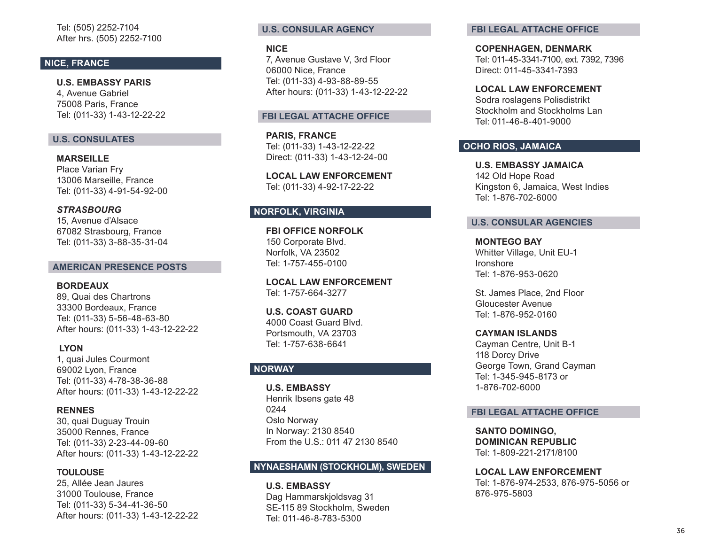Tel: (505) 2252-7104 After hrs. (505) 2252-7100

# **NICE, FRANCE**

**U.S. EMBASSY PARIS** 4, Avenue Gabriel 75008 Paris, France Tel: (011-33) 1-43-12-22-22

### **U.S. CONSULATES**

**MARSEILLE**  Place Varian Fry 13006 Marseille, France Tel: (011-33) 4-91-54-92-00

### *STRASBOURG*

15, Avenue d'Alsace 67082 Strasbourg, France Tel: (011-33) 3-88-35-31-04

#### **AMERICAN PRESENCE POSTS**

**BORDEAUX** 

89, Quai des Chartrons 33300 Bordeaux, France Tel: (011-33) 5-56-48-63-80 After hours: (011-33) 1-43-12-22-22

### **LYON**

1, quai Jules Courmont 69002 Lyon, France Tel: (011-33) 4-78-38-36-88 After hours: (011-33) 1-43-12-22-22

#### **RENNES**

30, quai Duguay Trouin 35000 Rennes, France Tel: (011-33) 2-23-44-09-60 After hours: (011-33) 1-43-12-22-22

### **TOULOUSE**

25, Allée Jean Jaures 31000 Toulouse, France Tel: (011-33) 5-34-41-36-50 After hours: (011-33) 1-43-12-22-22

### **U.S. CONSULAR AGENCY**

### **NICE**

7, Avenue Gustave V, 3rd Floor 06000 Nice, France Tel: (011-33) 4-93-88-89-55 After hours: (011-33) 1-43-12-22-22

#### **FBI LEGAL ATTACHE OFFICE**

**PARIS, FRANCE** Tel: (011-33) 1-43-12-22-22 Direct: (011-33) 1-43-12-24-00

**LOCAL LAW ENFORCEMENT**  Tel: (011-33) 4-92-17-22-22

# **NORFOLK, VIRGINIA**

**FBI OFFICE NORFOLK**  150 Corporate Blvd. Norfolk, VA 23502 Tel: 1-757-455-0100

**LOCAL LAW ENFORCEMENT**  Tel: 1-757-664-3277

# **U.S. COAST GUARD**

4000 Coast Guard Blvd. Portsmouth, VA 23703 Tel: 1-757-638-6641

#### **NORWAY**

**U.S. EMBASSY** Henrik Ibsens gate 48 0244 Oslo Norway In Norway: 2130 8540 From the U.S.: 011 47 2130 8540

# **NYNAESHAMN (STOCKHOLM), SWEDEN**

**U.S. EMBASSY**  Dag Hammarskjoldsvag 31 SE-115 89 Stockholm, Sweden Tel: 011-46-8-783-5300

#### **FBI LEGAL ATTACHE OFFICE**

**COPENHAGEN, DENMARK**  Tel: 011-45-3341-7100, ext. 7392, 7396 Direct: 011-45-3341-7393

#### **LOCAL LAW ENFORCEMENT**

Sodra roslagens Polisdistrikt Stockholm and Stockholms Lan Tel: 011-46-8-401-9000

# **OCHO RIOS, JAMAICA**

**U.S. EMBASSY JAMAICA**  142 Old Hope Road Kingston 6, Jamaica, West Indies Tel: 1-876-702-6000

### **U.S. CONSULAR AGENCIES**

**MONTEGO BAY**  Whitter Village, Unit EU-1 Ironshore Tel: 1-876-953-0620

St. James Place, 2nd Floor Gloucester Avenue Tel: 1-876-952-0160

#### **CAYMAN ISLANDS**

Cayman Centre, Unit B-1 118 Dorcy Drive George Town, Grand Cayman Tel: 1-345-945-8173 or 1-876-702-6000

### **FBI LEGAL ATTACHE OFFICE**

**SANTO DOMINGO, DOMINICAN REPUBLIC**  Tel: 1-809-221-2171/8100

**LOCAL LAW ENFORCEMENT** Tel: 1-876-974-2533, 876-975-5056 or

876-975-5803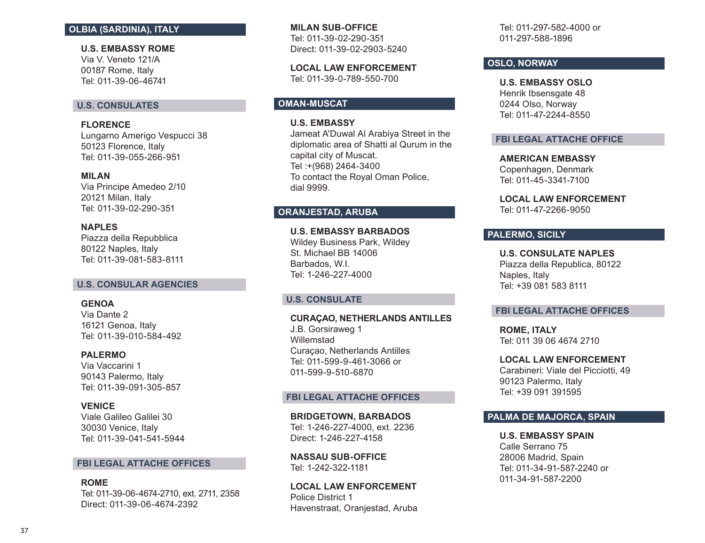### **OLBIA (SARDINIA), ITALY**

**U.S. EMBASSY ROME**  Via V. Veneto 121/A 00187 Rome, Italy Tel: 011-39-06-46741

# **U.S. CONSULATES**

**FLORENCE**  Lungarno Amerigo Vespucci 38 50123 Florence, Italy Tel: 011-39-055-266-951

#### **MILAN**

Via Principe Amedeo 2/10 20121 Milan, Italy Tel: 011-39-02-290-351

**NAPLES**  Piazza della Repubblica 80122 Naples, Italy Tel: 011-39-081-583-8111

#### **U.S. CONSULAR AGENCIES**

**GENOA**  Via Dante 2 16121 Genoa, Italy Tel: 011-39-010-584-492

#### **PALERMO**

Via Vaccarini 1 90143 Palermo, Italy Tel: 011-39-091-305-857

#### **VENICE**

Viale Galileo Galilei 30 30030 Venice, Italy Tel: 011-39-041-541-5944

### **FBI LEGAL ATTACHE OFFICES**

**ROME**  Tel: 011-39-06-4674-2710, ext. 2711, 2358 Direct: 011-39-06-4674-2392

**MILAN SUB-OFFICE**  Tel: 011-39-02-290-351 Direct: 011-39-02-2903-5240

**LOCAL LAW ENFORCEMENT**  Tel: 011-39-0-789-550-700

# **OMAN-MUSCAT**

**U.S. EMBASSY**

Jameat A'Duwal Al Arabiya Street in the diplomatic area of Shatti al Qurum in the capital city of Muscat. Tel :+(968) 2464-3400 To contact the Royal Oman Police, dial 9999.

# **ORANJESTAD, ARUBA**

**U.S. EMBASSY BARBADOS** Wildey Business Park, Wildey St. Michael BB 14006 Barbados, W.I. Tel: 1-246-227-4000

# **U.S. CONSULATE**

**CURAÇAO, NETHERLANDS ANTILLES** J.B. Gorsiraweg 1 Willemstad Curaçao, Netherlands Antilles Tel: 011-599-9-461-3066 or 011-599-9-510-6870

#### **FBI LEGAL ATTACHE OFFICES**

**BRIDGETOWN, BARBADOS**  Tel: 1-246-227-4000, ext. 2236 Direct: 1-246-227-4158

**NASSAU SUB-OFFICE**  Tel: 1-242-322-1181

**LOCAL LAW ENFORCEMENT**  Police District 1 Havenstraat, Oranjestad, Aruba

Tel: 011-297-582-4000 or 011-297-588-1896

# **OSLO, NORWAY**

**U.S. EMBASSY OSLO**  Henrik Ibsensgate 48 0244 Olso, Norway Tel: 011-47-2244-8550

### **FBI LEGAL ATTACHE OFFICE**

**AMERICAN EMBASSY** Copenhagen, Denmark Tel: 011-45-3341-7100

**LOCAL LAW ENFORCEMENT** Tel: 011-47-2266-9050

### **PALERMO, SICILY**

**U.S. CONSULATE NAPLES** Piazza della Republica, 80122 Naples, Italy Tel: +39 081 583 8111

### **FBI LEGAL ATTACHE OFFICES**

**ROME, ITALY**  Tel: 011 39 06 4674 2710

### **LOCAL LAW ENFORCEMENT**

Carabineri: Viale del Picciotti, 49 90123 Palermo, Italy Tel: +39 091 391595

### **PALMA DE MAJORCA, SPAIN**

**U.S. EMBASSY SPAIN** Calle Serrano 75 28006 Madrid, Spain Tel: 011-34-91-587-2240 or 011-34-91-587-2200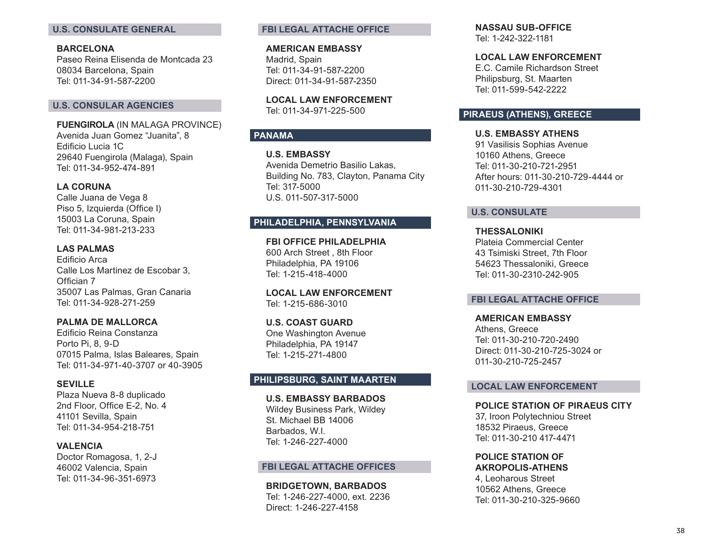# **U.S. CONSULATE GENERAL**

**BARCELONA**  Paseo Reina Elisenda de Montcada 23 08034 Barcelona, Spain Tel: 011-34-91-587-2200

### **U.S. CONSULAR AGENCIES**

**FUENGIROLA** (IN MALAGA PROVINCE) Avenida Juan Gomez "Juanita", 8 Edificio Lucia 1C 29640 Fuengirola (Malaga), Spain Tel: 011-34-952-474-891

### **LA CORUNA**

Calle Juana de Vega 8 Piso 5, Izquierda (Office I) 15003 La Coruna, Spain Tel: 011-34-981-213-233

#### **LAS PALMAS**

Edificio Arca Calle Los Martinez de Escobar 3, Offician 7 35007 Las Palmas, Gran Canaria Tel: 011-34-928-271-259

### **PALMA DE MALLORCA**

Edificio Reina Constanza Porto Pi, 8, 9-D 07015 Palma, Islas Baleares, Spain Tel: 011-34-971-40-3707 or 40-3905

#### **SEVILLE**

Plaza Nueva 8-8 duplicado 2nd Floor, Office E-2, No. 4 41101 Sevilla, Spain Tel: 011-34-954-218-751

### **VALENCIA**

Doctor Romagosa, 1, 2-J 46002 Valencia, Spain Tel: 011-34-96-351-6973

### **FBI LEGAL ATTACHE OFFICE**

**AMERICAN EMBASSY**  Madrid, Spain Tel: 011-34-91-587-2200 Direct: 011-34-91-587-2350

**LOCAL LAW ENFORCEMENT**  Tel: 011-34-971-225-500

# **PANAMA**

**U.S. EMBASSY** Avenida Demetrio Basilio Lakas, Building No. 783, Clayton, Panama City Tel: 317-5000 U.S. 011-507-317-5000

# **PHILADELPHIA, PENNSYLVANIA**

**FBI OFFICE PHILADELPHIA**  600 Arch Street , 8th Floor Philadelphia, PA 19106 Tel: 1-215-418-4000

**LOCAL LAW ENFORCEMENT**  Tel: 1-215-686-3010

**U.S. COAST GUARD**  One Washington Avenue Philadelphia, PA 19147 Tel: 1-215-271-4800

# **PHILIPSBURG, SAINT MAARTEN**

**U.S. EMBASSY BARBADOS** Wildey Business Park, Wildey St. Michael BB 14006 Barbados, W.I. Tel: 1-246-227-4000

### **FBI LEGAL ATTACHE OFFICES**

**BRIDGETOWN, BARBADOS**  Tel: 1-246-227-4000, ext. 2236 Direct: 1-246-227-4158

**NASSAU SUB-OFFICE**  Tel: 1-242-322-1181

### **LOCAL LAW ENFORCEMENT**

E.C. Camile Richardson Street Philipsburg, St. Maarten Tel: 011-599-542-2222

### **PIRAEUS (ATHENS), GREECE**

**U.S. EMBASSY ATHENS**  91 Vasilisis Sophias Avenue 10160 Athens, Greece Tel: 011-30-210-721-2951 After hours: 011-30-210-729-4444 or 011-30-210-729-4301

#### **U.S. CONSULATE**

**THESSALONIKI**  Plateia Commercial Center 43 Tsimiski Street, 7th Floor 54623 Thessaloniki, Greece Tel: 011-30-2310-242-905

### **FBI LEGAL ATTACHE OFFICE**

**AMERICAN EMBASSY**  Athens, Greece Tel: 011-30-210-720-2490 Direct: 011-30-210-725-3024 or 011-30-210-725-2457

#### **LOCAL LAW ENFORCEMENT**

**POLICE STATION OF PIRAEUS CITY**  37, Iroon Polytechniou Street 18532 Piraeus, Greece

Tel: 011-30-210 417-4471

**POLICE STATION OF AKROPOLIS-ATHENS** 

4, Leoharous Street 10562 Athens, Greece Tel: 011-30-210-325-9660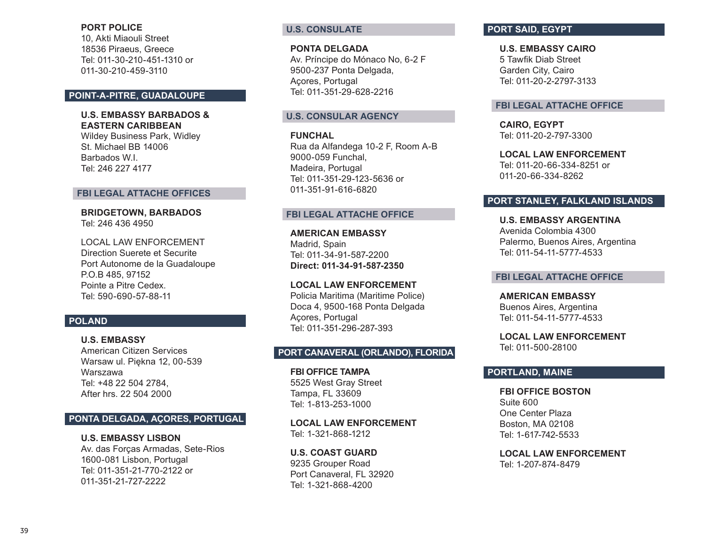### **PORT POLICE**

10, Akti Miaouli Street 18536 Piraeus, Greece Tel: 011-30-210-451-1310 or 011-30-210-459-3110

# **POINT-A-PITRE, GUADALOUPE**

# **U.S. EMBASSY BARBADOS & EASTERN CARIBBEAN**

Wildey Business Park, Widley St. Michael BB 14006 Barbados W.I. Tel: 246 227 4177

#### **FBI LEGAL ATTACHE OFFICES**

**BRIDGETOWN, BARBADOS**  Tel: 246 436 4950

LOCAL LAW ENFORCEMENT Direction Suerete et Securite Port Autonome de la Guadaloupe P.O.B 485, 97152 Pointe a Pitre Cedex. Tel: 590-690-57-88-11

### **POLAND**

**U.S. EMBASSY** American Citizen Services Warsaw ul. Piękna 12, 00-539 Warszawa Tel: +48 22 504 2784, After hrs. 22 504 2000

### **PONTA DELGADA, AÇORES, PORTUGAL**

**U.S. EMBASSY LISBON**  Av. das Forças Armadas, Sete-Rios 1600-081 Lisbon, Portugal Tel: 011-351-21-770-2122 or 011-351-21-727-2222

# **U.S. CONSULATE**

### **PONTA DELGADA**

Av. Príncipe do Mónaco No, 6-2 F 9500-237 Ponta Delgada, Açores, Portugal Tel: 011-351-29-628-2216

### **U.S. CONSULAR AGENCY**

**FUNCHAL**  Rua da Alfandega 10-2 F, Room A-B 9000-059 Funchal, Madeira, Portugal Tel: 011-351-29-123-5636 or 011-351-91-616-6820

### **FBI LEGAL ATTACHE OFFICE**

**AMERICAN EMBASSY**  Madrid, Spain Tel: 011-34-91-587-2200 **Direct: 011-34-91-587-2350**

**LOCAL LAW ENFORCEMENT**  Policia Maritima (Maritime Police) Doca 4, 9500-168 Ponta Delgada Açores, Portugal Tel: 011-351-296-287-393

# **PORT CANAVERAL (ORLANDO), FLORIDA**

**FBI OFFICE TAMPA**  5525 West Gray Street Tampa, FL 33609 Tel: 1-813-253-1000

**LOCAL LAW ENFORCEMENT**  Tel: 1-321-868-1212

**U.S. COAST GUARD** 9235 Grouper Road Port Canaveral, FL 32920 Tel: 1-321-868-4200

# **PORT SAID, EGYPT**

**U.S. EMBASSY CAIRO**  5 Tawfik Diab Street Garden City, Cairo Tel: 011-20-2-2797-3133

#### **FBI LEGAL ATTACHE OFFICE**

**CAIRO, EGYPT**  Tel: 011-20-2-797-3300

**LOCAL LAW ENFORCEMENT**  Tel: 011-20-66-334-8251 or 011-20-66-334-8262

### **PORT STANLEY, FALKLAND ISLANDS**

**U.S. EMBASSY ARGENTINA**  Avenida Colombia 4300 Palermo, Buenos Aires, Argentina Tel: 011-54-11-5777-4533

### **FBI LEGAL ATTACHE OFFICE**

**AMERICAN EMBASSY**  Buenos Aires, Argentina Tel: 011-54-11-5777-4533

**LOCAL LAW ENFORCEMENT**  Tel: 011-500-28100

# **PORTLAND, MAINE**

**FBI OFFICE BOSTON**  Suite 600 One Center Plaza Boston, MA 02108 Tel: 1-617-742-5533

**LOCAL LAW ENFORCEMENT** Tel: 1-207-874-8479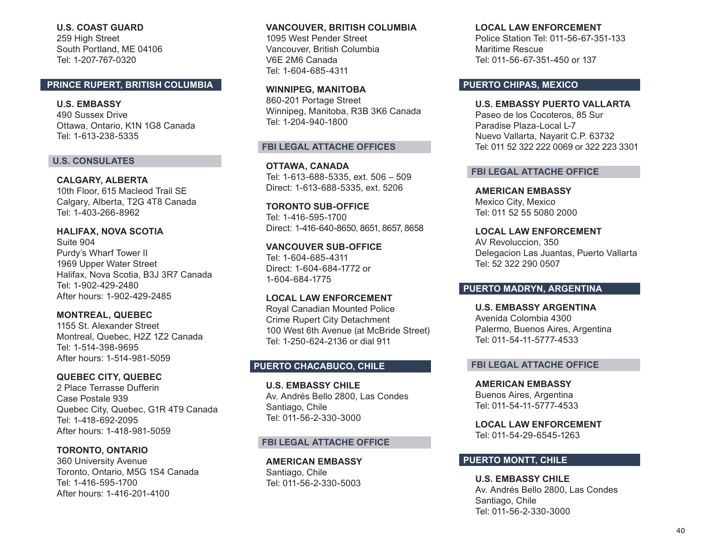**U.S. COAST GUARD**  259 High Street South Portland, ME 04106 Tel: 1-207-767-0320

### **PRINCE RUPERT, BRITISH COLUMBIA**

**U.S. EMBASSY**  490 Sussex Drive Ottawa, Ontario, K1N 1G8 Canada Tel: 1-613-238-5335

### **U.S. CONSULATES**

**CALGARY, ALBERTA** 10th Floor, 615 Macleod Trail SE Calgary, Alberta, T2G 4T8 Canada Tel: 1-403-266-8962

**HALIFAX, NOVA SCOTIA**  Suite 904 Purdy's Wharf Tower II 1969 Upper Water Street Halifax, Nova Scotia, B3J 3R7 Canada Tel: 1-902-429-2480 After hours: 1-902-429-2485

**MONTREAL, QUEBEC**  1155 St. Alexander Street Montreal, Quebec, H2Z 1Z2 Canada Tel: 1-514-398-9695 After hours: 1-514-981-5059

**QUEBEC CITY, QUEBEC** 2 Place Terrasse Dufferin Case Postale 939 Quebec City, Quebec, G1R 4T9 Canada Tel: 1-418-692-2095 After hours: 1-418-981-5059

**TORONTO, ONTARIO**  360 University Avenue Toronto, Ontario, M5G 1S4 Canada Tel: 1-416-595-1700 After hours: 1-416-201-4100

**VANCOUVER, BRITISH COLUMBIA** 1095 West Pender Street Vancouver, British Columbia V6E 2M6 Canada Tel: 1-604-685-4311

**WINNIPEG, MANITOBA** 860-201 Portage Street Winnipeg, Manitoba, R3B 3K6 Canada Tel: 1-204-940-1800

### **FBI LEGAL ATTACHE OFFICES**

**OTTAWA, CANADA**  Tel: 1-613-688-5335, ext. 506 – 509 Direct: 1-613-688-5335, ext. 5206

**TORONTO SUB-OFFICE**  Tel: 1-416-595-1700 Direct: 1-416-640-8650, 8651, 8657, 8658

**VANCOUVER SUB-OFFICE**  Tel: 1-604-685-4311 Direct: 1-604-684-1772 or 1-604-684-1775

**LOCAL LAW ENFORCEMENT**  Royal Canadian Mounted Police Crime Rupert City Detachment 100 West 6th Avenue (at McBride Street) Tel: 1-250-624-2136 or dial 911

### **PUERTO CHACABUCO, CHILE**

**U.S. EMBASSY CHILE** Av. Andrés Bello 2800, Las Condes Santiago, Chile Tel: 011-56-2-330-3000

#### **FBI LEGAL ATTACHE OFFICE**

**AMERICAN EMBASSY** Santiago, Chile Tel: 011-56-2-330-5003

#### **LOCAL LAW ENFORCEMENT**

Police Station Tel: 011-56-67-351-133 Maritime Rescue Tel: 011-56-67-351-450 or 137

# **PUERTO CHIPAS, MEXICO**

**U.S. EMBASSY PUERTO VALLARTA** Paseo de los Cocoteros, 85 Sur Paradise Plaza-Local L-7 Nuevo Vallarta, Nayarit C.P. 63732 Tel: 011 52 322 222 0069 or 322 223 3301

### **FBI LEGAL ATTACHE OFFICE**

**AMERICAN EMBASSY** Mexico City, Mexico Tel: 011 52 55 5080 2000

**LOCAL LAW ENFORCEMENT**  AV Revoluccion, 350 Delegacion Las Juantas, Puerto Vallarta Tel: 52 322 290 0507

### **PUERTO MADRYN, ARGENTINA**

**U.S. EMBASSY ARGENTINA** Avenida Colombia 4300 Palermo, Buenos Aires, Argentina Tel: 011-54-11-5777-4533

### **FBI LEGAL ATTACHE OFFICE**

**AMERICAN EMBASSY**  Buenos Aires, Argentina Tel: 011-54-11-5777-4533

**LOCAL LAW ENFORCEMENT** Tel: 011-54-29-6545-1263

# **PUERTO MONTT, CHILE**

**U.S. EMBASSY CHILE** Av. Andrés Bello 2800, Las Condes Santiago, Chile Tel: 011-56-2-330-3000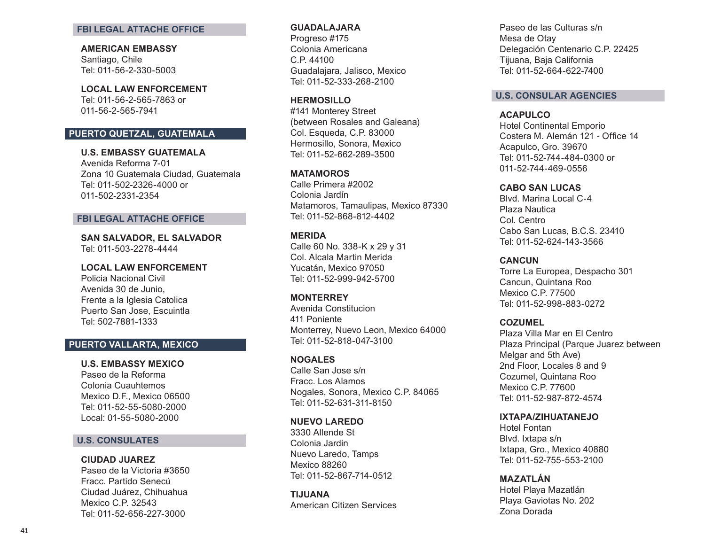#### **FBI LEGAL ATTACHE OFFICE**

**AMERICAN EMBASSY** Santiago, Chile Tel: 011-56-2-330-5003

**LOCAL LAW ENFORCEMENT**  Tel: 011-56-2-565-7863 or 011-56-2-565-7941

# **PUERTO QUETZAL, GUATEMALA**

**U.S. EMBASSY GUATEMALA** Avenida Reforma 7-01

Zona 10 Guatemala Ciudad, Guatemala Tel: 011-502-2326-4000 or 011-502-2331-2354

#### **FBI LEGAL ATTACHE OFFICE**

**SAN SALVADOR, EL SALVADOR**  Tel: 011-503-2278-4444

### **LOCAL LAW ENFORCEMENT**

Policia Nacional Civil Avenida 30 de Junio, Frente a la Iglesia Catolica Puerto San Jose, Escuintla Tel: 502-7881-1333

### **PUERTO VALLARTA, MEXICO**

### **U.S. EMBASSY MEXICO**

Paseo de la Reforma Colonia Cuauhtemos Mexico D.F., Mexico 06500 Tel: 011-52-55-5080-2000 Local: 01-55-5080-2000

### **U.S. CONSULATES**

#### **CIUDAD JUAREZ**

Paseo de la Victoria #3650 Fracc. Partido Senecú Ciudad Juárez, Chihuahua Mexico C.P. 32543 Tel: 011-52-656-227-3000

#### **GUADALAJARA**

Progreso #175 Colonia Americana C.P. 44100 Guadalajara, Jalisco, Mexico Tel: 011-52-333-268-2100

### **HERMOSILLO**

#141 Monterey Street (between Rosales and Galeana) Col. Esqueda, C.P. 83000 Hermosillo, Sonora, Mexico Tel: 011-52-662-289-3500

### **MATAMOROS**

Calle Primera #2002 Colonia Jardín Matamoros, Tamaulipas, Mexico 87330 Tel: 011-52-868-812-4402

### **MERIDA**

Calle 60 No. 338-K x 29 y 31 Col. Alcala Martin Merida Yucatán, Mexico 97050 Tel: 011-52-999-942-5700

### **MONTERREY**

Avenida Constitucion 411 Poniente Monterrey, Nuevo Leon, Mexico 64000 Tel: 011-52-818-047-3100

### **NOGALES**

Calle San Jose s/n Fracc. Los Alamos Nogales, Sonora, Mexico C.P. 84065 Tel: 011-52-631-311-8150

### **NUEVO LAREDO**

3330 Allende St Colonia Jardin Nuevo Laredo, Tamps Mexico 88260 Tel: 011-52-867-714-0512

**TIJUANA** American Citizen Services

Paseo de las Culturas s/n Mesa de Otay Delegación Centenario C.P. 22425 Tijuana, Baja California Tel: 011-52-664-622-7400

### **U.S. CONSULAR AGENCIES**

#### **ACAPULCO**

Hotel Continental Emporio Costera M. Alemán 121 - Office 14 Acapulco, Gro. 39670 Tel: 011-52-744-484-0300 or 011-52-744-469-0556

#### **CABO SAN LUCAS**

Blvd. Marina Local C-4 Plaza Nautica Col. Centro Cabo San Lucas, B.C.S. 23410 Tel: 011-52-624-143-3566

#### **CANCUN**

Torre La Europea, Despacho 301 Cancun, Quintana Roo Mexico C.P. 77500 Tel: 011-52-998-883-0272

#### **COZUMEL**

Plaza Villa Mar en El Centro Plaza Principal (Parque Juarez between Melgar and 5th Ave) 2nd Floor, Locales 8 and 9 Cozumel, Quintana Roo Mexico C.P. 77600 Tel: 011-52-987-872-4574

### **IXTAPA/ZIHUATANEJO**

Hotel Fontan Blvd. Ixtapa s/n Ixtapa, Gro., Mexico 40880 Tel: 011-52-755-553-2100

### **MAZATLÁN**

Hotel Playa Mazatlán Playa Gaviotas No. 202 Zona Dorada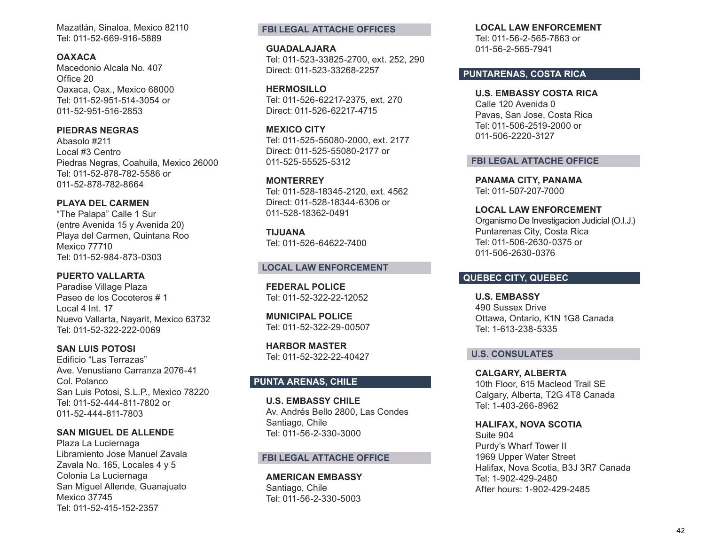Mazatlán, Sinaloa, Mexico 82110 Tel: 011-52-669-916-5889

### **OAXACA**

Macedonio Alcala No. 407 Office 20 Oaxaca, Oax., Mexico 68000 Tel: 011-52-951-514-3054 or 011-52-951-516-2853

# **PIEDRAS NEGRAS**

Abasolo #211 Local #3 Centro Piedras Negras, Coahuila, Mexico 26000 Tel: 011-52-878-782-5586 or 011-52-878-782-8664

### **PLAYA DEL CARMEN**

"The Palapa" Calle 1 Sur (entre Avenida 15 y Avenida 20) Playa del Carmen, Quintana Roo Mexico 77710 Tel: 011-52-984-873-0303

### **PUERTO VALLARTA**

Paradise Village Plaza Paseo de los Cocoteros # 1 Local 4 Int. 17 Nuevo Vallarta, Nayarit, Mexico 63732 Tel: 011-52-322-222-0069

# **SAN LUIS POTOSI**

Edificio "Las Terrazas" Ave. Venustiano Carranza 2076-41 Col. Polanco San Luis Potosi, S.L.P., Mexico 78220 Tel: 011-52-444-811-7802 or 011-52-444-811-7803

#### **SAN MIGUEL DE ALLENDE**

Plaza La Luciernaga Libramiento Jose Manuel Zavala Zavala No. 165, Locales 4 y 5 Colonia La Luciernaga San Miguel Allende, Guanajuato Mexico 37745 Tel: 011-52-415-152-2357

### **FBI LEGAL ATTACHE OFFICES**

**GUADALAJARA**  Tel: 011-523-33825-2700, ext. 252, 290 Direct: 011-523-33268-2257

**HERMOSILLO**  Tel: 011-526-62217-2375, ext. 270 Direct: 011-526-62217-4715

### **MEXICO CITY**

Tel: 011-525-55080-2000, ext. 2177 Direct: 011-525-55080-2177 or 011-525-55525-5312

### **MONTERREY**

Tel: 011-528-18345-2120, ext. 4562 Direct: 011-528-18344-6306 or 011-528-18362-0491

### **TIJUANA**  Tel: 011-526-64622-7400

# **LOCAL LAW ENFORCEMENT**

**FEDERAL POLICE**  Tel: 011-52-322-22-12052

**MUNICIPAL POLICE**  Tel: 011-52-322-29-00507

**HARBOR MASTER**  Tel: 011-52-322-22-40427

### **PUNTA ARENAS, CHILE**

**U.S. EMBASSY CHILE** Av. Andrés Bello 2800, Las Condes Santiago, Chile Tel: 011-56-2-330-3000

#### **FBI LEGAL ATTACHE OFFICE**

**AMERICAN EMBASSY** Santiago, Chile Tel: 011-56-2-330-5003

### **LOCAL LAW ENFORCEMENT**

Tel: 011-56-2-565-7863 or 011-56-2-565-7941

# **PUNTARENAS, COSTA RICA**

**U.S. EMBASSY COSTA RICA** Calle 120 Avenida 0 Pavas, San Jose, Costa Rica Tel: 011-506-2519-2000 or 011-506-2220-3127

#### **FBI LEGAL ATTACHE OFFICE**

**PANAMA CITY, PANAMA**  Tel: 011-507-207-7000

**LOCAL LAW ENFORCEMENT**  Organismo De Investigacion Judicial (O.I.J.) Puntarenas City, Costa Rica Tel: 011-506-2630-0375 or 011-506-2630-0376

# **QUEBEC CITY, QUEBEC**

**U.S. EMBASSY**  490 Sussex Drive Ottawa, Ontario, K1N 1G8 Canada Tel: 1-613-238-5335

# **U.S. CONSULATES**

**CALGARY, ALBERTA**  10th Floor, 615 Macleod Trail SE Calgary, Alberta, T2G 4T8 Canada Tel: 1-403-266-8962

**HALIFAX, NOVA SCOTIA**  Suite 904 Purdy's Wharf Tower II 1969 Upper Water Street Halifax, Nova Scotia, B3J 3R7 Canada Tel: 1-902-429-2480 After hours: 1-902-429-2485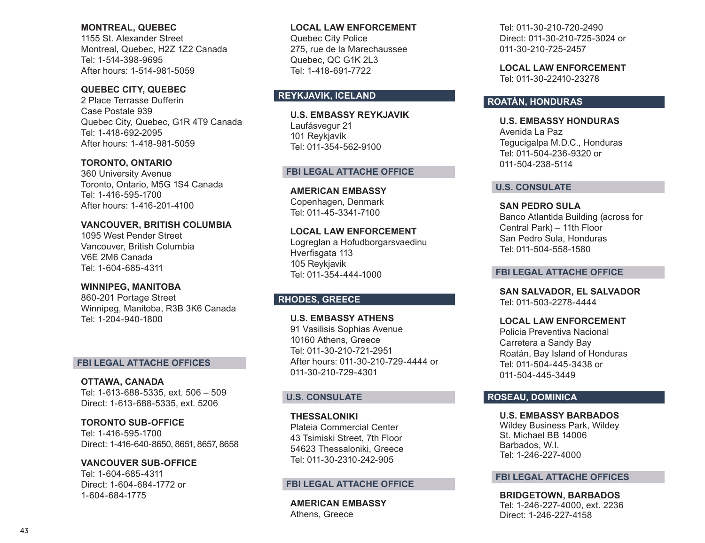### **MONTREAL, QUEBEC**

1155 St. Alexander Street Montreal, Quebec, H2Z 1Z2 Canada Tel: 1-514-398-9695 After hours: 1-514-981-5059

# **QUEBEC CITY, QUEBEC**

2 Place Terrasse Dufferin Case Postale 939 Quebec City, Quebec, G1R 4T9 Canada Tel: 1-418-692-2095 After hours: 1-418-981-5059

# **TORONTO, ONTARIO**

360 University Avenue Toronto, Ontario, M5G 1S4 Canada Tel: 1-416-595-1700 After hours: 1-416-201-4100

### **VANCOUVER, BRITISH COLUMBIA**

1095 West Pender Street Vancouver, British Columbia V6E 2M6 Canada Tel: 1-604-685-4311

# **WINNIPEG, MANITOBA**

860-201 Portage Street Winnipeg, Manitoba, R3B 3K6 Canada Tel: 1-204-940-1800

### **FBI LEGAL ATTACHE OFFICES**

**OTTAWA, CANADA**  Tel: 1-613-688-5335, ext. 506 – 509 Direct: 1-613-688-5335, ext. 5206

**TORONTO SUB-OFFICE** Tel: 1-416-595-1700 Direct: 1-416-640-8650, 8651, 8657, 8658

**VANCOUVER SUB-OFFICE**  Tel: 1-604-685-4311 Direct: 1-604-684-1772 or 1-604-684-1775

### **LOCAL LAW ENFORCEMENT**

Quebec City Police 275, rue de la Marechaussee Quebec, QC G1K 2L3 Tel: 1-418-691-7722

# **REYKJAVIK, ICELAND**

**U.S. EMBASSY REYKJAVIK** Laufásvegur 21 101 Reykjavík Tel: 011-354-562-9100

### **FBI LEGAL ATTACHE OFFICE**

**AMERICAN EMBASSY** Copenhagen, Denmark Tel: 011-45-3341-7100

### **LOCAL LAW ENFORCEMENT**

Logreglan a Hofudborgarsvaedinu Hverfisgata 113 105 Reykjavik Tel: 011-354-444-1000

# **RHODES, GREECE**

**U.S. EMBASSY ATHENS** 91 Vasilisis Sophias Avenue 10160 Athens, Greece Tel: 011-30-210-721-2951 After hours: 011-30-210-729-4444 or 011-30-210-729-4301

# **U.S. CONSULATE**

**THESSALONIKI**  Plateia Commercial Center 43 Tsimiski Street, 7th Floor 54623 Thessaloniki, Greece Tel: 011-30-2310-242-905

# **FBI LEGAL ATTACHE OFFICE**

**AMERICAN EMBASSY**  Athens, Greece

Tel: 011-30-210-720-2490 Direct: 011-30-210-725-3024 or 011-30-210-725-2457

**LOCAL LAW ENFORCEMENT**  Tel: 011-30-22410-23278

# **ROATÁN, HONDURAS**

**U.S. EMBASSY HONDURAS** Avenida La Paz Tegucigalpa M.D.C., Honduras Tel: 011-504-236-9320 or 011-504-238-5114

### **U.S. CONSULATE**

**SAN PEDRO SULA** Banco Atlantida Building (across for Central Park) – 11th Floor San Pedro Sula, Honduras Tel: 011-504-558-1580

### **FBI LEGAL ATTACHE OFFICE**

**SAN SALVADOR, EL SALVADOR** Tel: 011-503-2278-4444

**LOCAL LAW ENFORCEMENT**  Policia Preventiva Nacional Carretera a Sandy Bay Roatán, Bay Island of Honduras Tel: 011-504-445-3438 or 011-504-445-3449

# **ROSEAU, DOMINICA**

**U.S. EMBASSY BARBADOS** Wildey Business Park, Wildey St. Michael BB 14006 Barbados, W.I. Tel: 1-246-227-4000

### **FBI LEGAL ATTACHE OFFICES**

**BRIDGETOWN, BARBADOS** 

Tel: 1-246-227-4000, ext. 2236 Direct: 1-246-227-4158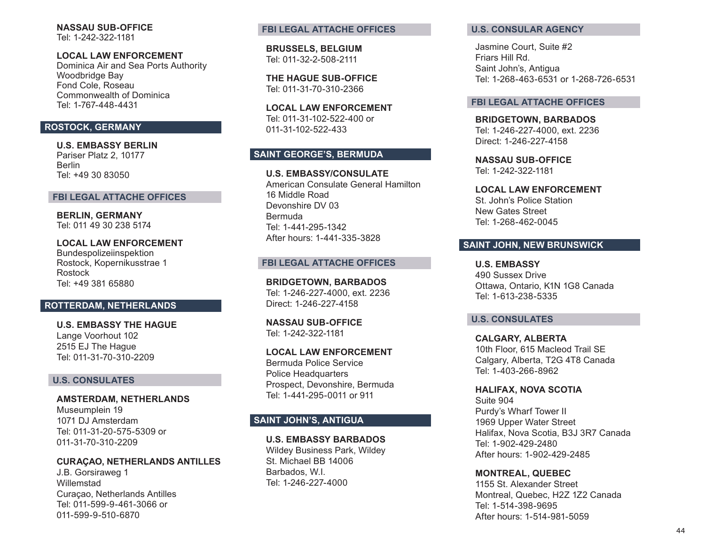**NASSAU SUB-OFFICE**  Tel: 1-242-322-1181

### **LOCAL LAW ENFORCEMENT**

Dominica Air and Sea Ports Authority Woodbridge Bay Fond Cole, Roseau Commonwealth of Dominica Tel: 1-767-448-4431

# **ROSTOCK, GERMANY**

**U.S. EMBASSY BERLIN** Pariser Platz 2, 10177 Berlin Tel: +49 30 83050

#### **FBI LEGAL ATTACHE OFFICES**

**BERLIN, GERMANY**  Tel: 011 49 30 238 5174

**LOCAL LAW ENFORCEMENT** Bundespolizeiinspektion Rostock, Kopernikusstrae 1 Rostock Tel: +49 381 65880

### **ROTTERDAM, NETHERLANDS**

**U.S. EMBASSY THE HAGUE** Lange Voorhout 102 2515 EJ The Hague Tel: 011-31-70-310-2209

### **U.S. CONSULATES**

**AMSTERDAM, NETHERLANDS**  Museumplein 19 1071 DJ Amsterdam Tel: 011-31-20-575-5309 or 011-31-70-310-2209

**CURAÇAO, NETHERLANDS ANTILLES**

J.B. Gorsiraweg 1 Willemstad Curaçao, Netherlands Antilles Tel: 011-599-9-461-3066 or 011-599-9-510-6870

### **FBI LEGAL ATTACHE OFFICES**

**BRUSSELS, BELGIUM**  Tel: 011-32-2-508-2111

**THE HAGUE SUB-OFFICE**  Tel: 011-31-70-310-2366

**LOCAL LAW ENFORCEMENT**  Tel: 011-31-102-522-400 or 011-31-102-522-433

### **SAINT GEORGE'S, BERMUDA**

**U.S. EMBASSY/CONSULATE**  American Consulate General Hamilton 16 Middle Road Devonshire DV 03 Bermuda Tel: 1-441-295-1342 After hours: 1-441-335-3828

#### **FBI LEGAL ATTACHE OFFICES**

**BRIDGETOWN, BARBADOS**  Tel: 1-246-227-4000, ext. 2236 Direct: 1-246-227-4158

**NASSAU SUB-OFFICE** Tel: 1-242-322-1181

**LOCAL LAW ENFORCEMENT** Bermuda Police Service Police Headquarters Prospect, Devonshire, Bermuda Tel: 1-441-295-0011 or 911

### **SAINT JOHN'S, ANTIGUA**

**U.S. EMBASSY BARBADOS** Wildey Business Park, Wildey St. Michael BB 14006 Barbados, W.I. Tel: 1-246-227-4000

#### **U.S. CONSULAR AGENCY**

Jasmine Court, Suite #2 Friars Hill Rd. Saint John's, Antigua Tel: 1-268-463-6531 or 1-268-726-6531

#### **FBI LEGAL ATTACHE OFFICES**

**BRIDGETOWN, BARBADOS**  Tel: 1-246-227-4000, ext. 2236 Direct: 1-246-227-4158

**NASSAU SUB-OFFICE** Tel: 1-242-322-1181

**LOCAL LAW ENFORCEMENT**  St. John's Police Station New Gates Street Tel: 1-268-462-0045

### **SAINT JOHN, NEW BRUNSWICK**

**U.S. EMBASSY**  490 Sussex Drive Ottawa, Ontario, K1N 1G8 Canada Tel: 1-613-238-5335

### **U.S. CONSULATES**

**CALGARY, ALBERTA**  10th Floor, 615 Macleod Trail SE Calgary, Alberta, T2G 4T8 Canada Tel: 1-403-266-8962

**HALIFAX, NOVA SCOTIA**  Suite 904 Purdy's Wharf Tower II 1969 Upper Water Street Halifax, Nova Scotia, B3J 3R7 Canada Tel: 1-902-429-2480 After hours: 1-902-429-2485

#### **MONTREAL, QUEBEC**

1155 St. Alexander Street Montreal, Quebec, H2Z 1Z2 Canada Tel: 1-514-398-9695 After hours: 1-514-981-5059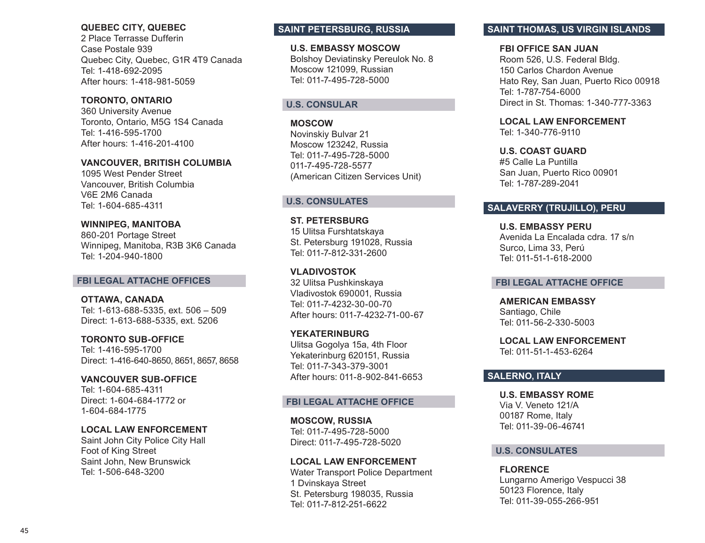### **QUEBEC CITY, QUEBEC**

2 Place Terrasse Dufferin Case Postale 939 Quebec City, Quebec, G1R 4T9 Canada Tel: 1-418-692-2095 After hours: 1-418-981-5059

# **TORONTO, ONTARIO**

360 University Avenue Toronto, Ontario, M5G 1S4 Canada Tel: 1-416-595-1700 After hours: 1-416-201-4100

# **VANCOUVER, BRITISH COLUMBIA**

1095 West Pender Street Vancouver, British Columbia V6E 2M6 Canada Tel: 1-604-685-4311

# **WINNIPEG, MANITOBA**

860-201 Portage Street Winnipeg, Manitoba, R3B 3K6 Canada Tel: 1-204-940-1800

### **FBI LEGAL ATTACHE OFFICES**

# **OTTAWA, CANADA**

Tel: 1-613-688-5335, ext. 506 – 509 Direct: 1-613-688-5335, ext. 5206

**TORONTO SUB-OFFICE** Tel: 1-416-595-1700 Direct: 1-416-640-8650, 8651, 8657, 8658

**VANCOUVER SUB-OFFICE** Tel: 1-604-685-4311 Direct: 1-604-684-1772 or 1-604-684-1775

# **LOCAL LAW ENFORCEMENT**

Saint John City Police City Hall Foot of King Street Saint John, New Brunswick Tel: 1-506-648-3200

# **SAINT PETERSBURG, RUSSIA**

**U.S. EMBASSY MOSCOW** Bolshoy Deviatinsky Pereulok No. 8 Moscow 121099, Russian Tel: 011-7-495-728-5000

# **U.S. CONSULAR**

**MOSCOW** Novinskiy Bulvar 21 Moscow 123242, Russia Tel: 011-7-495-728-5000 011-7-495-728-5577 (American Citizen Services Unit)

### **U.S. CONSULATES**

**ST. PETERSBURG**  15 Ulitsa Furshtatskaya St. Petersburg 191028, Russia Tel: 011-7-812-331-2600

**VLADIVOSTOK**  32 Ulitsa Pushkinskaya Vladivostok 690001, Russia Tel: 011-7-4232-30-00-70 After hours: 011-7-4232-71-00-67

**YEKATERINBURG**  Ulitsa Gogolya 15a, 4th Floor Yekaterinburg 620151, Russia Tel: 011-7-343-379-3001 After hours: 011-8-902-841-6653

# **FBI LEGAL ATTACHE OFFICE**

**MOSCOW, RUSSIA**  Tel: 011-7-495-728-5000 Direct: 011-7-495-728-5020

### **LOCAL LAW ENFORCEMENT**

Water Transport Police Department 1 Dvinskaya Street St. Petersburg 198035, Russia Tel: 011-7-812-251-6622

# **SAINT THOMAS, US VIRGIN ISLANDS**

### **FBI OFFICE SAN JUAN**

Room 526, U.S. Federal Bldg. 150 Carlos Chardon Avenue Hato Rey, San Juan, Puerto Rico 00918 Tel: 1-787-754-6000 Direct in St. Thomas: 1-340-777-3363

# **LOCAL LAW ENFORCEMENT**

Tel: 1-340-776-9110

**U.S. COAST GUARD**  #5 Calle La Puntilla San Juan, Puerto Rico 00901 Tel: 1-787-289-2041

# **SALAVERRY (TRUJILLO), PERU**

**U.S. EMBASSY PERU** Avenida La Encalada cdra. 17 s/n Surco, Lima 33, Perú Tel: 011-51-1-618-2000

### **FBI LEGAL ATTACHE OFFICE**

**AMERICAN EMBASSY** Santiago, Chile Tel: 011-56-2-330-5003

**LOCAL LAW ENFORCEMENT**  Tel: 011-51-1-453-6264

### **SALERNO, ITALY**

**U.S. EMBASSY ROME**  Via V. Veneto 121/A 00187 Rome, Italy Tel: 011-39-06-46741

### **U.S. CONSULATES**

**FLORENCE** Lungarno Amerigo Vespucci 38 50123 Florence, Italy Tel: 011-39-055-266-951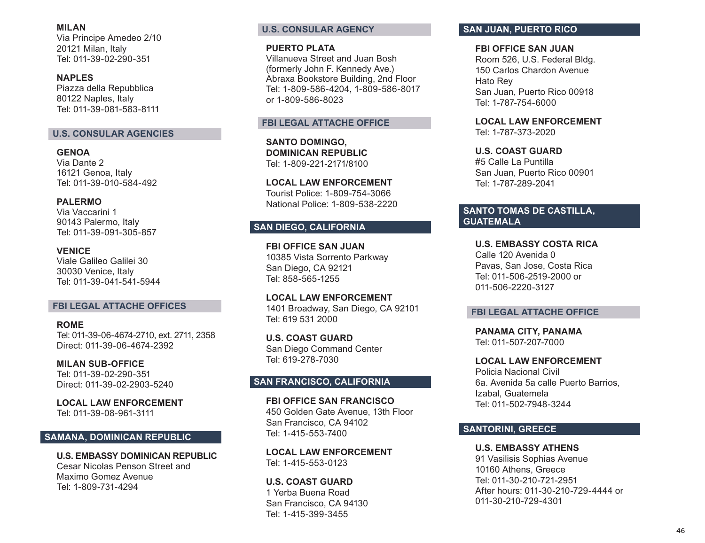**MILAN**  Via Principe Amedeo 2/10 20121 Milan, Italy Tel: 011-39-02-290-351

**NAPLES**  Piazza della Repubblica 80122 Naples, Italy Tel: 011-39-081-583-8111

# **U.S. CONSULAR AGENCIES**

**GENOA**  Via Dante 2 16121 Genoa, Italy Tel: 011-39-010-584-492

**PALERMO**  Via Vaccarini 1 90143 Palermo, Italy Tel: 011-39-091-305-857

**VENICE**  Viale Galileo Galilei 30 30030 Venice, Italy Tel: 011-39-041-541-5944

### **FBI LEGAL ATTACHE OFFICES**

**ROME**  Tel: 011-39-06-4674-2710, ext. 2711, 2358 Direct: 011-39-06-4674-2392

**MILAN SUB-OFFICE**  Tel: 011-39-02-290-351 Direct: 011-39-02-2903-5240

**LOCAL LAW ENFORCEMENT**  Tel: 011-39-08-961-3111

# **SAMANA, DOMINICAN REPUBLIC**

**U.S. EMBASSY DOMINICAN REPUBLIC**  Cesar Nicolas Penson Street and Maximo Gomez Avenue Tel: 1-809-731-4294

# **U.S. CONSULAR AGENCY**

**PUERTO PLATA** 

Villanueva Street and Juan Bosh (formerly John F. Kennedy Ave.) Abraxa Bookstore Building, 2nd Floor Tel: 1-809-586-4204, 1-809-586-8017 or 1-809-586-8023

### **FBI LEGAL ATTACHE OFFICE**

**SANTO DOMINGO, DOMINICAN REPUBLIC**  Tel: 1-809-221-2171/8100

**LOCAL LAW ENFORCEMENT**  Tourist Police: 1-809-754-3066 National Police: 1-809-538-2220

# **SAN DIEGO, CALIFORNIA**

**FBI OFFICE SAN JUAN**  10385 Vista Sorrento Parkway San Diego, CA 92121 Tel: 858-565-1255

**LOCAL LAW ENFORCEMENT**  1401 Broadway, San Diego, CA 92101 Tel: 619 531 2000

**U.S. COAST GUARD**  San Diego Command Center Tel: 619-278-7030

### **SAN FRANCISCO, CALIFORNIA**

**FBI OFFICE SAN FRANCISCO**  450 Golden Gate Avenue, 13th Floor San Francisco, CA 94102 Tel: 1-415-553-7400

**LOCAL LAW ENFORCEMENT** Tel: 1-415-553-0123

**U.S. COAST GUARD**  1 Yerba Buena Road San Francisco, CA 94130 Tel: 1-415-399-3455

# **SAN JUAN, PUERTO RICO**

**FBI OFFICE SAN JUAN** 

Room 526, U.S. Federal Bldg. 150 Carlos Chardon Avenue Hato Rey San Juan, Puerto Rico 00918 Tel: 1-787-754-6000

**LOCAL LAW ENFORCEMENT**  Tel: 1-787-373-2020

**U.S. COAST GUARD**  #5 Calle La Puntilla San Juan, Puerto Rico 00901 Tel: 1-787-289-2041

# **SANTO TOMAS DE CASTILLA, GUATEMALA**

**U.S. EMBASSY COSTA RICA** Calle 120 Avenida 0 Pavas, San Jose, Costa Rica Tel: 011-506-2519-2000 or 011-506-2220-3127

#### **FBI LEGAL ATTACHE OFFICE**

**PANAMA CITY, PANAMA**  Tel: 011-507-207-7000

**LOCAL LAW ENFORCEMENT**  Policia Nacional Civil 6a. Avenida 5a calle Puerto Barrios, Izabal, Guatemela Tel: 011-502-7948-3244

# **SANTORINI, GREECE**

**U.S. EMBASSY ATHENS**  91 Vasilisis Sophias Avenue 10160 Athens, Greece Tel: 011-30-210-721-2951 After hours: 011-30-210-729-4444 or 011-30-210-729-4301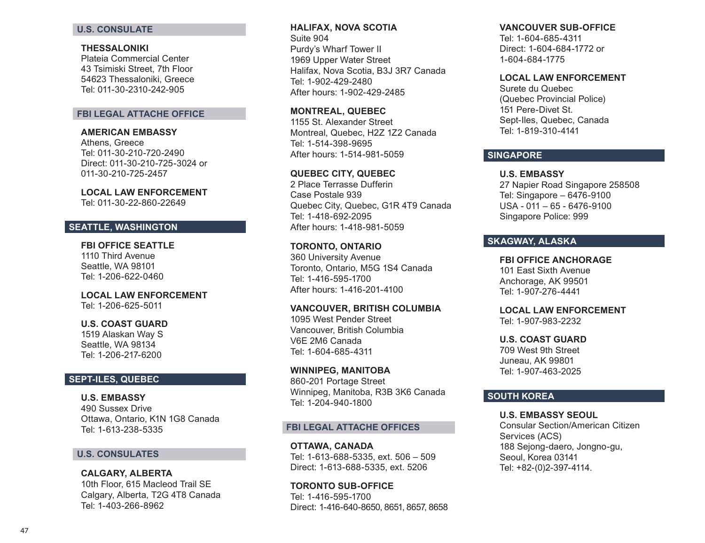### **U.S. CONSULATE**

#### **THESSALONIKI**

Plateia Commercial Center 43 Tsimiski Street, 7th Floor 54623 Thessaloniki, Greece Tel: 011-30-2310-242-905

### **FBI LEGAL ATTACHE OFFICE**

#### **AMERICAN EMBASSY**

Athens, Greece Tel: 011-30-210-720-2490 Direct: 011-30-210-725-3024 or 011-30-210-725-2457

#### **LOCAL LAW ENFORCEMENT**

Tel: 011-30-22-860-22649

### **SEATTLE, WASHINGTON**

#### **FBI OFFICE SEATTLE**  1110 Third Avenue

Seattle, WA 98101 Tel: 1-206-622-0460

### **LOCAL LAW ENFORCEMENT**  Tel: 1-206-625-5011

#### **U.S. COAST GUARD**

1519 Alaskan Way S Seattle, WA 98134 Tel: 1-206-217-6200

### **SEPT-ILES, QUEBEC**

**U.S. EMBASSY**  490 Sussex Drive Ottawa, Ontario, K1N 1G8 Canada Tel: 1-613-238-5335

# **U.S. CONSULATES**

**CALGARY, ALBERTA**  10th Floor, 615 Macleod Trail SE Calgary, Alberta, T2G 4T8 Canada Tel: 1-403-266-8962

# **HALIFAX, NOVA SCOTIA**

Suite 904 Purdy's Wharf Tower II 1969 Upper Water Street Halifax, Nova Scotia, B3J 3R7 Canada Tel: 1-902-429-2480 After hours: 1-902-429-2485

**MONTREAL, QUEBEC**  1155 St. Alexander Street Montreal, Quebec, H2Z 1Z2 Canada Tel: 1-514-398-9695 After hours: 1-514-981-5059

# **QUEBEC CITY, QUEBEC**

2 Place Terrasse Dufferin Case Postale 939 Quebec City, Quebec, G1R 4T9 Canada Tel: 1-418-692-2095 After hours: 1-418-981-5059

### **TORONTO, ONTARIO**

360 University Avenue Toronto, Ontario, M5G 1S4 Canada Tel: 1-416-595-1700 After hours: 1-416-201-4100

#### **VANCOUVER, BRITISH COLUMBIA**

1095 West Pender Street Vancouver, British Columbia V6E 2M6 Canada Tel: 1-604-685-4311

#### **WINNIPEG, MANITOBA**

860-201 Portage Street Winnipeg, Manitoba, R3B 3K6 Canada Tel: 1-204-940-1800

### **FBI LEGAL ATTACHE OFFICES**

**OTTAWA, CANADA**  Tel: 1-613-688-5335, ext. 506 – 509 Direct: 1-613-688-5335, ext. 5206

**TORONTO SUB-OFFICE** Tel: 1-416-595-1700 Direct: 1-416-640-8650, 8651, 8657, 8658

#### **VANCOUVER SUB-OFFICE**

Tel: 1-604-685-4311 Direct: 1-604-684-1772 or 1-604-684-1775

### **LOCAL LAW ENFORCEMENT**

Surete du Quebec (Quebec Provincial Police) 151 Pere-Divet St. Sept-Iles, Quebec, Canada Tel: 1-819-310-4141

### **SINGAPORE**

### **U.S. EMBASSY**

27 Napier Road Singapore 258508 Tel: Singapore – 6476-9100 USA - 011 – 65 - 6476-9100 Singapore Police: 999

# **SKAGWAY, ALASKA**

### **FBI OFFICE ANCHORAGE**

101 East Sixth Avenue Anchorage, AK 99501 Tel: 1-907-276-4441

# **LOCAL LAW ENFORCEMENT**

Tel: 1-907-983-2232

### **U.S. COAST GUARD**

709 West 9th Street Juneau, AK 99801 Tel: 1-907-463-2025

### **SOUTH KOREA**

#### **U.S. EMBASSY SEOUL**

Consular Section/American Citizen Services (ACS) 188 Sejong-daero, Jongno-gu, Seoul, Korea 03141 Tel: +82-(0)2-397-4114.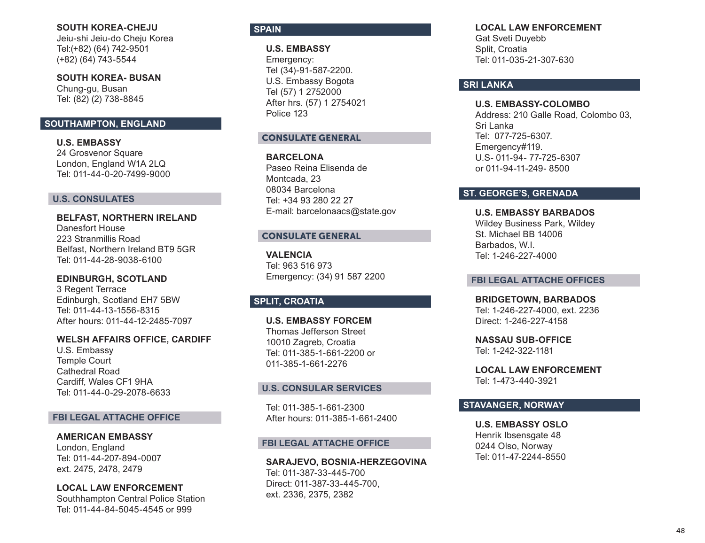### **SOUTH KOREA-CHEJU**

Jeiu-shi Jeiu-do Cheju Korea Tel:(+82) (64) 742-9501 (+82) (64) 743-5544

**SOUTH KOREA- BUSAN** Chung-gu, Busan Tel: (82) (2) 738-8845

### **SOUTHAMPTON, ENGLAND**

**U.S. EMBASSY**  24 Grosvenor Square London, England W1A 2LQ Tel: 011-44-0-20-7499-9000

### **U.S. CONSULATES**

**BELFAST, NORTHERN IRELAND**  Danesfort House 223 Stranmillis Road Belfast, Northern Ireland BT9 5GR Tel: 011-44-28-9038-6100

**EDINBURGH, SCOTLAND** 3 Regent Terrace Edinburgh, Scotland EH7 5BW Tel: 011-44-13-1556-8315 After hours: 011-44-12-2485-7097

### **WELSH AFFAIRS OFFICE, CARDIFF**

U.S. Embassy Temple Court Cathedral Road Cardiff, Wales CF1 9HA Tel: 011-44-0-29-2078-6633

### **FBI LEGAL ATTACHE OFFICE**

**AMERICAN EMBASSY** London, England Tel: 011-44-207-894-0007 ext. 2475, 2478, 2479

### **LOCAL LAW ENFORCEMENT**

Southhampton Central Police Station Tel: 011-44-84-5045-4545 or 999

### **SPAIN**

**U.S. EMBASSY** Emergency: Tel (34)-91-587-2200. U.S. Embassy Bogota Tel (57) 1 2752000 After hrs. (57) 1 2754021 Police 123

### CONSULATE GENERAL

**BARCELONA** Paseo Reina Elisenda de Montcada, 23 08034 Barcelona Tel: +34 93 280 22 27 E-mail: barcelonaacs@state.gov

#### CONSULATE GENERAL

**VALENCIA** Tel: 963 516 973 Emergency: (34) 91 587 2200

# **SPLIT, CROATIA**

**U.S. EMBASSY FORCEM** Thomas Jefferson Street 10010 Zagreb, Croatia Tel: 011-385-1-661-2200 or 011-385-1-661-2276

### **U.S. CONSULAR SERVICES**

Tel: 011-385-1-661-2300 After hours: 011-385-1-661-2400

#### **FBI LEGAL ATTACHE OFFICE**

**SARAJEVO, BOSNIA-HERZEGOVINA** Tel: 011-387-33-445-700 Direct: 011-387-33-445-700, ext. 2336, 2375, 2382

**LOCAL LAW ENFORCEMENT** 

Gat Sveti Duyebb Split, Croatia Tel: 011-035-21-307-630

# **SRI LANKA**

**U.S. EMBASSY-COLOMBO** Address: 210 Galle Road, Colombo 03, Sri Lanka Tel: 077-725-6307. Emergency#119. U.S- 011-94- 77-725-6307 or 011-94-11-249- 8500

### **ST. GEORGE'S, GRENADA**

**U.S. EMBASSY BARBADOS** Wildey Business Park, Wildey St. Michael BB 14006 Barbados, W.I. Tel: 1-246-227-4000

#### **FBI LEGAL ATTACHE OFFICES**

**BRIDGETOWN, BARBADOS**  Tel: 1-246-227-4000, ext. 2236 Direct: 1-246-227-4158

**NASSAU SUB-OFFICE** Tel: 1-242-322-1181

**LOCAL LAW ENFORCEMENT**  Tel: 1-473-440-3921

### **STAVANGER, NORWAY**

**U.S. EMBASSY OSLO**  Henrik Ibsensgate 48 0244 Olso, Norway Tel: 011-47-2244-8550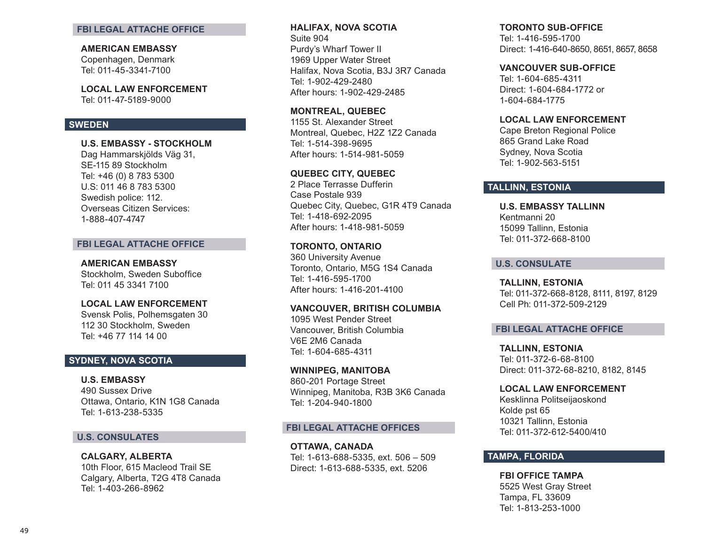#### **FBI LEGAL ATTACHE OFFICE**

#### **AMERICAN EMBASSY**

Copenhagen, Denmark Tel: 011-45-3341-7100

**LOCAL LAW ENFORCEMENT**  Tel: 011-47-5189-9000

### **SWEDEN**

**U.S. EMBASSY - STOCKHOLM**

Dag Hammarskjölds Väg 31, SE-115 89 Stockholm Tel: +46 (0) 8 783 5300 U.S: 011 46 8 783 5300 Swedish police: 112. Overseas Citizen Services: 1-888-407-4747

### **FBI LEGAL ATTACHE OFFICE**

#### **AMERICAN EMBASSY**

Stockholm, Sweden Suboffice Tel: 011 45 3341 7100

### **LOCAL LAW ENFORCEMENT**

Svensk Polis, Polhemsgaten 30 112 30 Stockholm, Sweden Tel: +46 77 114 14 00

# **SYDNEY, NOVA SCOTIA**

**U.S. EMBASSY**  490 Sussex Drive Ottawa, Ontario, K1N 1G8 Canada Tel: 1-613-238-5335

### **U.S. CONSULATES**

**CALGARY, ALBERTA**  10th Floor, 615 Macleod Trail SE Calgary, Alberta, T2G 4T8 Canada Tel: 1-403-266-8962

### **HALIFAX, NOVA SCOTIA**  Suite 904 Purdy's Wharf Tower II 1969 Upper Water Street Halifax, Nova Scotia, B3J 3R7 Canada Tel: 1-902-429-2480

After hours: 1-902-429-2485

### **MONTREAL, QUEBEC**

1155 St. Alexander Street Montreal, Quebec, H2Z 1Z2 Canada Tel: 1-514-398-9695 After hours: 1-514-981-5059

# **QUEBEC CITY, QUEBEC**

2 Place Terrasse Dufferin Case Postale 939 Quebec City, Quebec, G1R 4T9 Canada Tel: 1-418-692-2095 After hours: 1-418-981-5059

### **TORONTO, ONTARIO**

360 University Avenue Toronto, Ontario, M5G 1S4 Canada Tel: 1-416-595-1700 After hours: 1-416-201-4100

#### **VANCOUVER, BRITISH COLUMBIA**

1095 West Pender Street Vancouver, British Columbia V6E 2M6 Canada Tel: 1-604-685-4311

#### **WINNIPEG, MANITOBA**

860-201 Portage Street Winnipeg, Manitoba, R3B 3K6 Canada Tel: 1-204-940-1800

### **FBI LEGAL ATTACHE OFFICES**

**OTTAWA, CANADA**  Tel: 1-613-688-5335, ext. 506 – 509 Direct: 1-613-688-5335, ext. 5206

### **TORONTO SUB-OFFICE**

Tel: 1-416-595-1700 Direct: 1-416-640-8650, 8651, 8657, 8658

#### **VANCOUVER SUB-OFFICE**

Tel: 1-604-685-4311 Direct: 1-604-684-1772 or 1-604-684-1775

#### **LOCAL LAW ENFORCEMENT**

Cape Breton Regional Police 865 Grand Lake Road Sydney, Nova Scotia Tel: 1-902-563-5151

# **TALLINN, ESTONIA**

**U.S. EMBASSY TALLINN** Kentmanni 20 15099 Tallinn, Estonia Tel: 011-372-668-8100

### **U.S. CONSULATE**

**TALLINN, ESTONIA** Tel: 011-372-668-8128, 8111, 8197, 8129 Cell Ph: 011-372-509-2129

#### **FBI LEGAL ATTACHE OFFICE**

**TALLINN, ESTONIA**  Tel: 011-372-6-68-8100 Direct: 011-372-68-8210, 8182, 8145

#### **LOCAL LAW ENFORCEMENT**

Kesklinna Politseijaoskond Kolde pst 65 10321 Tallinn, Estonia Tel: 011-372-612-5400/410

# **TAMPA, FLORIDA**

### **FBI OFFICE TAMPA**  5525 West Gray Street Tampa, FL 33609 Tel: 1-813-253-1000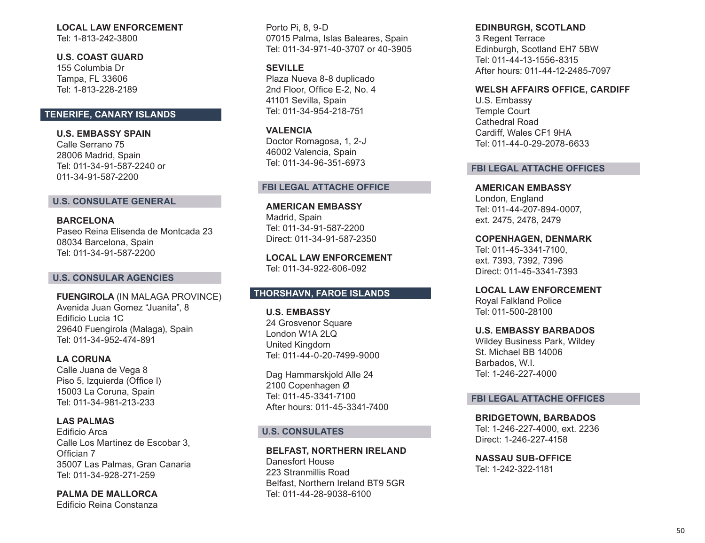# **LOCAL LAW ENFORCEMENT**

Tel: 1-813-242-3800

**U.S. COAST GUARD**  155 Columbia Dr Tampa, FL 33606 Tel: 1-813-228-2189

# **TENERIFE, CANARY ISLANDS**

**U.S. EMBASSY SPAIN** Calle Serrano 75 28006 Madrid, Spain Tel: 011-34-91-587-2240 or 011-34-91-587-2200

### **U.S. CONSULATE GENERAL**

**BARCELONA**  Paseo Reina Elisenda de Montcada 23 08034 Barcelona, Spain Tel: 011-34-91-587-2200

### **U.S. CONSULAR AGENCIES**

**FUENGIROLA** (IN MALAGA PROVINCE) Avenida Juan Gomez "Juanita", 8 Edificio Lucia 1C 29640 Fuengirola (Malaga), Spain Tel: 011-34-952-474-891

**LA CORUNA**  Calle Juana de Vega 8 Piso 5, Izquierda (Office I) 15003 La Coruna, Spain Tel: 011-34-981-213-233

**LAS PALMAS**  Edificio Arca Calle Los Martinez de Escobar 3, Offician 7 35007 Las Palmas, Gran Canaria Tel: 011-34-928-271-259

**PALMA DE MALLORCA**  Edificio Reina Constanza

Porto Pi, 8, 9-D 07015 Palma, Islas Baleares, Spain Tel: 011-34-971-40-3707 or 40-3905

**SEVILLE** Plaza Nueva 8-8 duplicado 2nd Floor, Office E-2, No. 4 41101 Sevilla, Spain Tel: 011-34-954-218-751

**VALENCIA**  Doctor Romagosa, 1, 2-J 46002 Valencia, Spain Tel: 011-34-96-351-6973

#### **FBI LEGAL ATTACHE OFFICE**

**AMERICAN EMBASSY**  Madrid, Spain Tel: 011-34-91-587-2200 Direct: 011-34-91-587-2350

**LOCAL LAW ENFORCEMENT**  Tel: 011-34-922-606-092

# **THORSHAVN, FAROE ISLANDS**

**U.S. EMBASSY**  24 Grosvenor Square London W1A 2LQ United Kingdom Tel: 011-44-0-20-7499-9000

Dag Hammarskjold Alle 24 2100 Copenhagen Ø Tel: 011-45-3341-7100 After hours: 011-45-3341-7400

#### **U.S. CONSULATES**

**BELFAST, NORTHERN IRELAND**  Danesfort House 223 Stranmillis Road Belfast, Northern Ireland BT9 5GR Tel: 011-44-28-9038-6100

**EDINBURGH, SCOTLAND** 

3 Regent Terrace Edinburgh, Scotland EH7 5BW Tel: 011-44-13-1556-8315 After hours: 011-44-12-2485-7097

### **WELSH AFFAIRS OFFICE, CARDIFF**

U.S. Embassy Temple Court Cathedral Road Cardiff, Wales CF1 9HA Tel: 011-44-0-29-2078-6633

#### **FBI LEGAL ATTACHE OFFICES**

**AMERICAN EMBASSY**  London, England Tel: 011-44-207-894-0007, ext. 2475, 2478, 2479

**COPENHAGEN, DENMARK**  Tel: 011-45-3341-7100, ext. 7393, 7392, 7396 Direct: 011-45-3341-7393

**LOCAL LAW ENFORCEMENT**  Royal Falkland Police Tel: 011-500-28100

**U.S. EMBASSY BARBADOS** Wildey Business Park, Wildey St. Michael BB 14006 Barbados, W.I. Tel: 1-246-227-4000

#### **FBI LEGAL ATTACHE OFFICES**

**BRIDGETOWN, BARBADOS**  Tel: 1-246-227-4000, ext. 2236 Direct: 1-246-227-4158

**NASSAU SUB-OFFICE**  Tel: 1-242-322-1181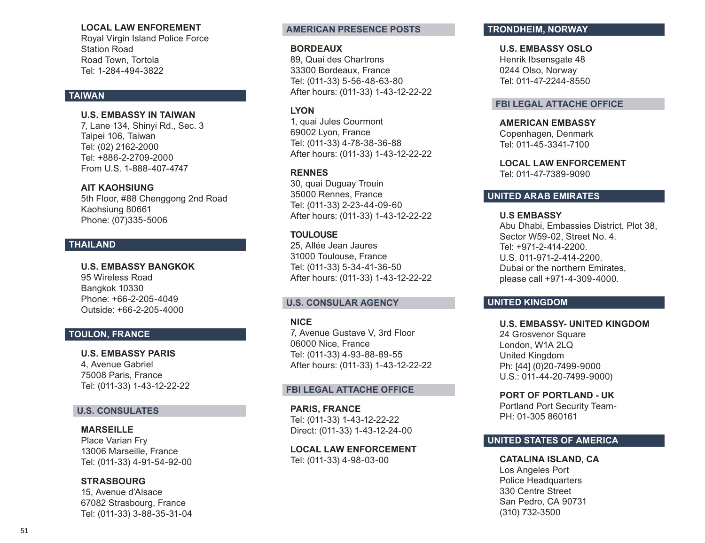### **LOCAL LAW ENFOREMENT**

Royal Virgin Island Police Force Station Road Road Town, Tortola Tel: 1-284-494-3822

### **TAIWAN**

### **U.S. EMBASSY IN TAIWAN**

7, Lane 134, Shinyi Rd., Sec. 3 Taipei 106, Taiwan Tel: (02) 2162-2000 Tel: +886-2-2709-2000 From U.S. 1-888-407-4747

### **AIT KAOHSIUNG**

5th Floor, #88 Chenggong 2nd Road Kaohsiung 80661 Phone: (07)335-5006

# **THAILAND**

**U.S. EMBASSY BANGKOK** 95 Wireless Road Bangkok 10330 Phone: +66-2-205-4049 Outside: +66-2-205-4000

# **TOULON, FRANCE**

**U.S. EMBASSY PARIS** 4, Avenue Gabriel 75008 Paris, France Tel: (011-33) 1-43-12-22-22

# **U.S. CONSULATES**

### **MARSEILLE**  Place Varian Fry 13006 Marseille, France Tel: (011-33) 4-91-54-92-00

**STRASBOURG**  15, Avenue d'Alsace 67082 Strasbourg, France Tel: (011-33) 3-88-35-31-04

### **AMERICAN PRESENCE POSTS**

### **BORDEAUX**

89, Quai des Chartrons 33300 Bordeaux, France Tel: (011-33) 5-56-48-63-80 After hours: (011-33) 1-43-12-22-22

# **LYON**

1, quai Jules Courmont 69002 Lyon, France Tel: (011-33) 4-78-38-36-88 After hours: (011-33) 1-43-12-22-22

# **RENNES**

30, quai Duguay Trouin 35000 Rennes, France Tel: (011-33) 2-23-44-09-60 After hours: (011-33) 1-43-12-22-22

### **TOULOUSE**

25, Allée Jean Jaures 31000 Toulouse, France Tel: (011-33) 5-34-41-36-50 After hours: (011-33) 1-43-12-22-22

### **U.S. CONSULAR AGENCY**

### **NICE**

7, Avenue Gustave V, 3rd Floor 06000 Nice, France Tel: (011-33) 4-93-88-89-55 After hours: (011-33) 1-43-12-22-22

### **FBI LEGAL ATTACHE OFFICE**

**PARIS, FRANCE** Tel: (011-33) 1-43-12-22-22 Direct: (011-33) 1-43-12-24-00

**LOCAL LAW ENFORCEMENT**  Tel: (011-33) 4-98-03-00

# **TRONDHEIM, NORWAY**

# **U.S. EMBASSY OSLO**

Henrik Ibsensgate 48 0244 Olso, Norway Tel: 011-47-2244-8550

### **FBI LEGAL ATTACHE OFFICE**

**AMERICAN EMBASSY**  Copenhagen, Denmark Tel: 011-45-3341-7100

**LOCAL LAW ENFORCEMENT**  Tel: 011-47-7389-9090

# **UNITED ARAB EMIRATES**

**U.S EMBASSY** Abu Dhabi, Embassies District, Plot 38, Sector W59-02, Street No. 4. Tel: +971-2-414-2200. U.S. 011-971-2-414-2200. Dubai or the northern Emirates, please call +971-4-309-4000.

# **UNITED KINGDOM**

### **U.S. EMBASSY- UNITED KINGDOM** 24 Grosvenor Square London, W1A 2LQ United Kingdom

Ph: [44] (0)20-7499-9000 U.S.: 011-44-20-7499-9000)

# **PORT OF PORTLAND - UK**

Portland Port Security Team-PH: 01-305 860161

# **UNITED STATES OF AMERICA**

**CATALINA ISLAND, CA** Los Angeles Port Police Headquarters 330 Centre Street San Pedro, CA 90731 (310) 732-3500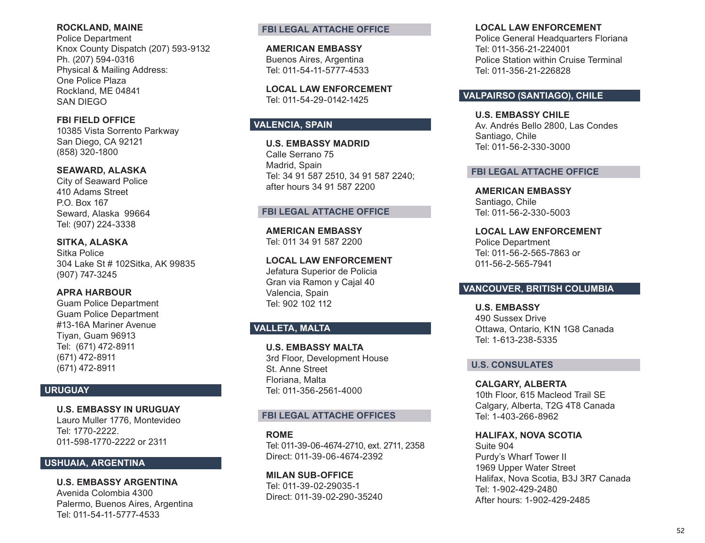### **ROCKLAND, MAINE**

Police Department Knox County Dispatch (207) 593-9132 Ph. (207) 594-0316 Physical & Mailing Address: One Police Plaza Rockland, ME 04841 SAN DIEGO

**FBI FIELD OFFICE** 10385 Vista Sorrento Parkway San Diego, CA 92121 (858) 320-1800

**SEAWARD, ALASKA** City of Seaward Police 410 Adams Street P.O. Box 167 Seward, Alaska 99664 Tel: (907) 224-3338

**SITKA, ALASKA** Sitka Police 304 Lake St # 102Sitka, AK 99835 (907) 747-3245

**APRA HARBOUR** Guam Police Department Guam Police Department #13-16A Mariner Avenue Tiyan, Guam 96913 Tel: (671) 472-8911 (671) 472-8911 (671) 472-8911

# **URUGUAY**

**U.S. EMBASSY IN URUGUAY** Lauro Muller 1776, Montevideo Tel: 1770-2222. 011-598-1770-2222 or 2311

# **USHUAIA, ARGENTINA**

**U.S. EMBASSY ARGENTINA**  Avenida Colombia 4300 Palermo, Buenos Aires, Argentina Tel: 011-54-11-5777-4533

### **FBI LEGAL ATTACHE OFFICE**

**AMERICAN EMBASSY**  Buenos Aires, Argentina Tel: 011-54-11-5777-4533

**LOCAL LAW ENFORCEMENT**  Tel: 011-54-29-0142-1425

# **VALENCIA, SPAIN**

**U.S. EMBASSY MADRID**  Calle Serrano 75 Madrid, Spain Tel: 34 91 587 2510, 34 91 587 2240; after hours 34 91 587 2200

# **FBI LEGAL ATTACHE OFFICE**

**AMERICAN EMBASSY**  Tel: 011 34 91 587 2200

**LOCAL LAW ENFORCEMENT**  Jefatura Superior de Policia Gran via Ramon y Cajal 40 Valencia, Spain Tel: 902 102 112

# **VALLETA, MALTA**

**U.S. EMBASSY MALTA** 3rd Floor, Development House St. Anne Street Floriana, Malta Tel: 011-356-2561-4000

### **FBI LEGAL ATTACHE OFFICES**

**ROME**  Tel: 011-39-06-4674-2710, ext. 2711, 2358 Direct: 011-39-06-4674-2392

**MILAN SUB-OFFICE** Tel: 011-39-02-29035-1 Direct: 011-39-02-290-35240

#### **LOCAL LAW ENFORCEMENT**

Police General Headquarters Floriana Tel: 011-356-21-224001 Police Station within Cruise Terminal Tel: 011-356-21-226828

### **VALPAIRSO (SANTIAGO), CHILE**

**U.S. EMBASSY CHILE**  Av. Andrés Bello 2800, Las Condes Santiago, Chile Tel: 011-56-2-330-3000

### **FBI LEGAL ATTACHE OFFICE**

**AMERICAN EMBASSY** Santiago, Chile Tel: 011-56-2-330-5003

**LOCAL LAW ENFORCEMENT**  Police Department Tel: 011-56-2-565-7863 or 011-56-2-565-7941

# **VANCOUVER, BRITISH COLUMBIA**

**U.S. EMBASSY**  490 Sussex Drive Ottawa, Ontario, K1N 1G8 Canada Tel: 1-613-238-5335

# **U.S. CONSULATES**

**CALGARY, ALBERTA**  10th Floor, 615 Macleod Trail SE Calgary, Alberta, T2G 4T8 Canada Tel: 1-403-266-8962

**HALIFAX, NOVA SCOTIA**  Suite 904 Purdy's Wharf Tower II 1969 Upper Water Street Halifax, Nova Scotia, B3J 3R7 Canada Tel: 1-902-429-2480 After hours: 1-902-429-2485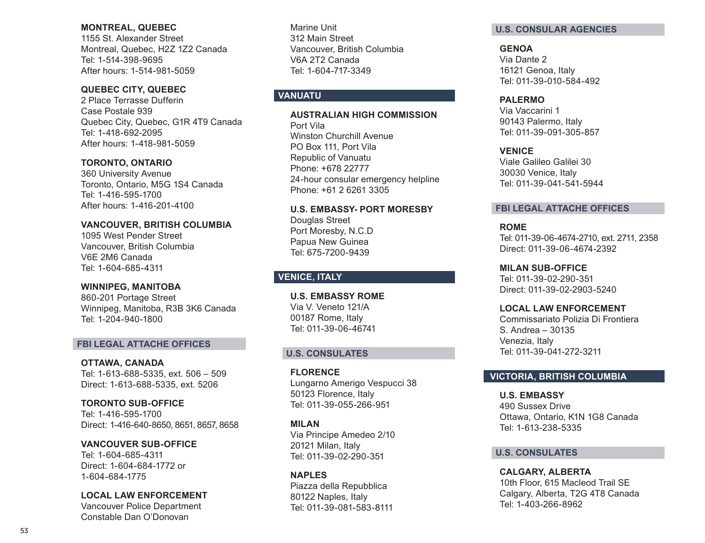#### **MONTREAL, QUEBEC**

1155 St. Alexander Street Montreal, Quebec, H2Z 1Z2 Canada Tel: 1-514-398-9695 After hours: 1-514-981-5059

# **QUEBEC CITY, QUEBEC**

2 Place Terrasse Dufferin Case Postale 939 Quebec City, Quebec, G1R 4T9 Canada Tel: 1-418-692-2095 After hours: 1-418-981-5059

# **TORONTO, ONTARIO**

360 University Avenue Toronto, Ontario, M5G 1S4 Canada Tel: 1-416-595-1700 After hours: 1-416-201-4100

### **VANCOUVER, BRITISH COLUMBIA**

1095 West Pender Street Vancouver, British Columbia V6E 2M6 Canada Tel: 1-604-685-4311

# **WINNIPEG, MANITOBA**

860-201 Portage Street Winnipeg, Manitoba, R3B 3K6 Canada Tel: 1-204-940-1800

### **FBI LEGAL ATTACHE OFFICES**

**OTTAWA, CANADA**  Tel: 1-613-688-5335, ext. 506 – 509 Direct: 1-613-688-5335, ext. 5206

**TORONTO SUB-OFFICE**  Tel: 1-416-595-1700 Direct: 1-416-640-8650, 8651, 8657, 8658

**VANCOUVER SUB-OFFICE**  Tel: 1-604-685-4311 Direct: 1-604-684-1772 or 1-604-684-1775

### **LOCAL LAW ENFORCEMENT**

Vancouver Police Department Constable Dan O'Donovan

Marine Unit 312 Main Street Vancouver, British Columbia V6A 2T2 Canada Tel: 1-604-717-3349

# **VANUATU**

**AUSTRALIAN HIGH COMMISSION** Port Vila Winston Churchill Avenue PO Box 111, Port Vila Republic of Vanuatu Phone: +678 22777 24-hour consular emergency helpline Phone: +61 2 6261 3305

**U.S. EMBASSY- PORT MORESBY** Douglas Street Port Moresby, N.C.D Papua New Guinea Tel: 675-7200-9439

# **VENICE, ITALY**

**U.S. EMBASSY ROME**  Via V. Veneto 121/A 00187 Rome, Italy Tel: 011-39-06-46741

# **U.S. CONSULATES**

**FLORENCE**  Lungarno Amerigo Vespucci 38 50123 Florence, Italy Tel: 011-39-055-266-951

**MILAN**  Via Principe Amedeo 2/10 20121 Milan, Italy Tel: 011-39-02-290-351

**NAPLES**  Piazza della Repubblica 80122 Naples, Italy Tel: 011-39-081-583-8111

### **U.S. CONSULAR AGENCIES**

**GENOA**  Via Dante 2 16121 Genoa, Italy Tel: 011-39-010-584-492

### **PALERMO**

Via Vaccarini 1 90143 Palermo, Italy Tel: 011-39-091-305-857

**VENICE** 

Viale Galileo Galilei 30 30030 Venice, Italy Tel: 011-39-041-541-5944

# **FBI LEGAL ATTACHE OFFICES**

**ROME** 

Tel: 011-39-06-4674-2710, ext. 2711, 2358 Direct: 011-39-06-4674-2392

**MILAN SUB-OFFICE**  Tel: 011-39-02-290-351 Direct: 011-39-02-2903-5240

# **LOCAL LAW ENFORCEMENT**

Commissariato Polizia Di Frontiera S. Andrea – 30135 Venezia, Italy Tel: 011-39-041-272-3211

# **VICTORIA, BRITISH COLUMBIA**

**U.S. EMBASSY**  490 Sussex Drive Ottawa, Ontario, K1N 1G8 Canada Tel: 1-613-238-5335

# **U.S. CONSULATES**

**CALGARY, ALBERTA**  10th Floor, 615 Macleod Trail SE Calgary, Alberta, T2G 4T8 Canada Tel: 1-403-266-8962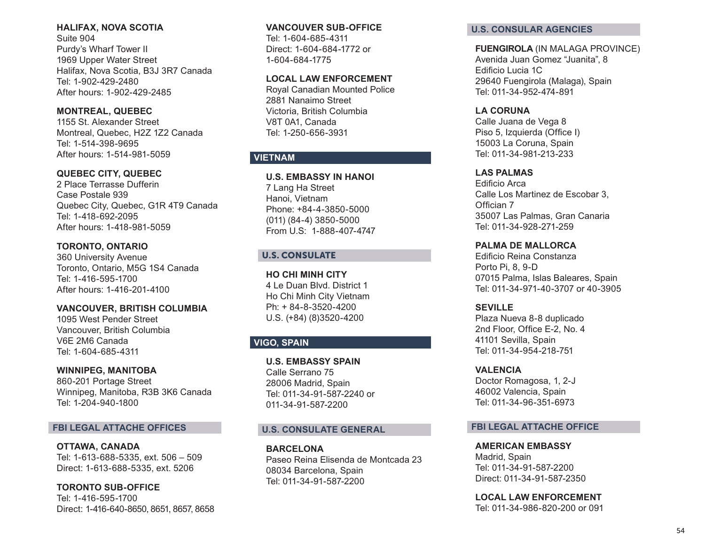### **HALIFAX, NOVA SCOTIA**

Suite 904 Purdy's Wharf Tower II 1969 Upper Water Street Halifax, Nova Scotia, B3J 3R7 Canada Tel: 1-902-429-2480 After hours: 1-902-429-2485

**MONTREAL, QUEBEC**  1155 St. Alexander Street Montreal, Quebec, H2Z 1Z2 Canada Tel: 1-514-398-9695 After hours: 1-514-981-5059

# **QUEBEC CITY, QUEBEC**

2 Place Terrasse Dufferin Case Postale 939 Quebec City, Quebec, G1R 4T9 Canada Tel: 1-418-692-2095 After hours: 1-418-981-5059

### **TORONTO, ONTARIO**

360 University Avenue Toronto, Ontario, M5G 1S4 Canada Tel: 1-416-595-1700 After hours: 1-416-201-4100

### **VANCOUVER, BRITISH COLUMBIA**

1095 West Pender Street Vancouver, British Columbia V6E 2M6 Canada Tel: 1-604-685-4311

#### **WINNIPEG, MANITOBA**

860-201 Portage Street Winnipeg, Manitoba, R3B 3K6 Canada Tel: 1-204-940-1800

### **FBI LEGAL ATTACHE OFFICES**

**OTTAWA, CANADA**  Tel: 1-613-688-5335, ext. 506 – 509 Direct: 1-613-688-5335, ext. 5206

**TORONTO SUB-OFFICE**  Tel: 1-416-595-1700 Direct: 1-416-640-8650, 8651, 8657, 8658

### **VANCOUVER SUB-OFFICE**

Tel: 1-604-685-4311 Direct: 1-604-684-1772 or 1-604-684-1775

### **LOCAL LAW ENFORCEMENT**

Royal Canadian Mounted Police 2881 Nanaimo Street Victoria, British Columbia V8T 0A1, Canada Tel: 1-250-656-3931

# **VIETNAM**

### **U.S. EMBASSY IN HANOI**

7 Lang Ha Street Hanoi, Vietnam Phone: +84-4-3850-5000 (011) (84-4) 3850-5000 From U.S: 1-888-407-4747

### U.S. CONSULATE

**HO CHI MINH CITY** 4 Le Duan Blvd. District 1 Ho Chi Minh City Vietnam Ph: + 84-8-3520-4200 U.S. (+84) (8)3520-4200

# **VIGO, SPAIN**

**U.S. EMBASSY SPAIN** Calle Serrano 75 28006 Madrid, Spain Tel: 011-34-91-587-2240 or 011-34-91-587-2200

### **U.S. CONSULATE GENERAL**

**BARCELONA**  Paseo Reina Elisenda de Montcada 23 08034 Barcelona, Spain Tel: 011-34-91-587-2200

#### **U.S. CONSULAR AGENCIES**

#### **FUENGIROLA** (IN MALAGA PROVINCE)

Avenida Juan Gomez "Juanita", 8 Edificio Lucia 1C 29640 Fuengirola (Malaga), Spain Tel: 011-34-952-474-891

### **LA CORUNA**

Calle Juana de Vega 8 Piso 5, Izquierda (Office I) 15003 La Coruna, Spain Tel: 011-34-981-213-233

### **LAS PALMAS**

Edificio Arca Calle Los Martinez de Escobar 3, Offician 7 35007 Las Palmas, Gran Canaria Tel: 011-34-928-271-259

#### **PALMA DE MALLORCA**

Edificio Reina Constanza Porto Pi, 8, 9-D 07015 Palma, Islas Baleares, Spain Tel: 011-34-971-40-3707 or 40-3905

### **SEVILLE**

Plaza Nueva 8-8 duplicado 2nd Floor, Office E-2, No. 4 41101 Sevilla, Spain Tel: 011-34-954-218-751

#### **VALENCIA**

Doctor Romagosa, 1, 2-J 46002 Valencia, Spain Tel: 011-34-96-351-6973

#### **FBI LEGAL ATTACHE OFFICE**

**AMERICAN EMBASSY**  Madrid, Spain Tel: 011-34-91-587-2200 Direct: 011-34-91-587-2350

**LOCAL LAW ENFORCEMENT**  Tel: 011-34-986-820-200 or 091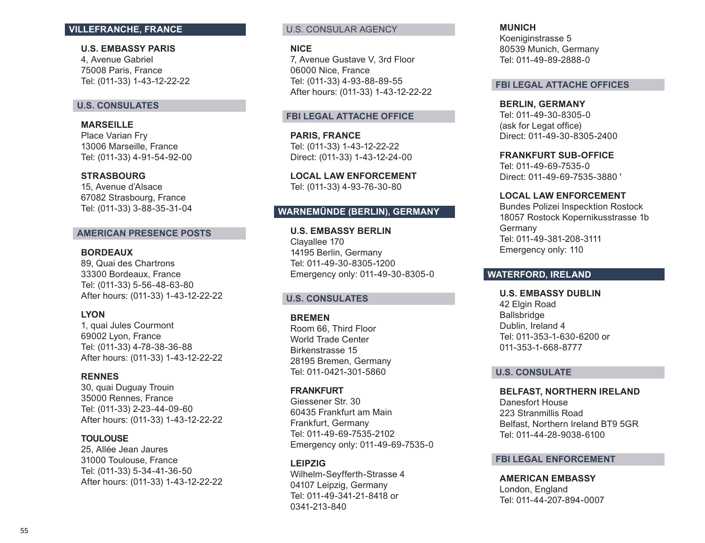### **VILLEFRANCHE, FRANCE**

**U.S. EMBASSY PARIS** 4, Avenue Gabriel 75008 Paris, France Tel: (011-33) 1-43-12-22-22

### **U.S. CONSULATES**

**MARSEILLE**  Place Varian Fry 13006 Marseille, France Tel: (011-33) 4-91-54-92-00

### **STRASBOURG**

15, Avenue d'Alsace 67082 Strasbourg, France Tel: (011-33) 3-88-35-31-04

### **AMERICAN PRESENCE POSTS**

### **BORDEAUX**

89, Quai des Chartrons 33300 Bordeaux, France Tel: (011-33) 5-56-48-63-80 After hours: (011-33) 1-43-12-22-22

### **LYON**

1, quai Jules Courmont 69002 Lyon, France Tel: (011-33) 4-78-38-36-88 After hours: (011-33) 1-43-12-22-22

### **RENNES**

30, quai Duguay Trouin 35000 Rennes, France Tel: (011-33) 2-23-44-09-60 After hours: (011-33) 1-43-12-22-22

### **TOULOUSE**

25, Allée Jean Jaures 31000 Toulouse, France Tel: (011-33) 5-34-41-36-50 After hours: (011-33) 1-43-12-22-22

### U.S. CONSULAR AGENCY

#### **NICE**

7, Avenue Gustave V, 3rd Floor 06000 Nice, France Tel: (011-33) 4-93-88-89-55 After hours: (011-33) 1-43-12-22-22

#### **FBI LEGAL ATTACHE OFFICE**

**PARIS, FRANCE** Tel: (011-33) 1-43-12-22-22 Direct: (011-33) 1-43-12-24-00

**LOCAL LAW ENFORCEMENT**  Tel: (011-33) 4-93-76-30-80

### **WARNEM ÜNDE (BERLIN), GERMANY**

**U.S. EMBASSY BERLIN** Clayallee 170 14195 Berlin, Germany Tel: 011-49-30-8305-1200 Emergency only: 011-49-30-8305-0

### **U.S. CONSULATES**

**BREMEN** 

Room 66, Third Floor World Trade Center Birkenstrasse 15 28195 Bremen, Germany Tel: 011-0421-301-5860

### **FRANKFURT**

Giessener Str. 30 60435 Frankfurt am Main Frankfurt, Germany Tel: 011-49-69-7535-2102 Emergency only: 011-49-69-7535-0

#### **LEIPZIG**

Wilhelm-Seyfferth-Strasse 4 04107 Leipzig, Germany Tel: 011-49-341-21-8418 or 0341-213-840

#### **MUNICH**

Koeniginstrasse 5 80539 Munich, Germany Tel: 011-49-89-2888-0

### **FBI LEGAL ATTACHE OFFICES**

**BERLIN, GERMANY**  Tel: 011-49-30-8305-0 (ask for Legat office) Direct: 011-49-30-8305-2400

**FRANKFURT SUB-OFFICE** 

Tel: 011-49-69-7535-0 Direct: 011-49-69-7535-3880 '

### **LOCAL LAW ENFORCEMENT**

Bundes Polizei Inspecktion Rostock 18057 Rostock Kopernikusstrasse 1b Germany Tel: 011-49-381-208-3111 Emergency only: 110

# **WATERFORD, IRELAND**

**U.S. EMBASSY DUBLIN**  42 Elgin Road Ballsbridge Dublin, Ireland 4 Tel: 011-353-1-630-6200 or 011-353-1-668-8777

### **U.S. CONSULATE**

**BELFAST, NORTHERN IRELAND** 

Danesfort House 223 Stranmillis Road Belfast, Northern Ireland BT9 5GR Tel: 011-44-28-9038-6100

### **FBI LEGAL ENFORCEMENT**

**AMERICAN EMBASSY**  London, England Tel: 011-44-207-894-0007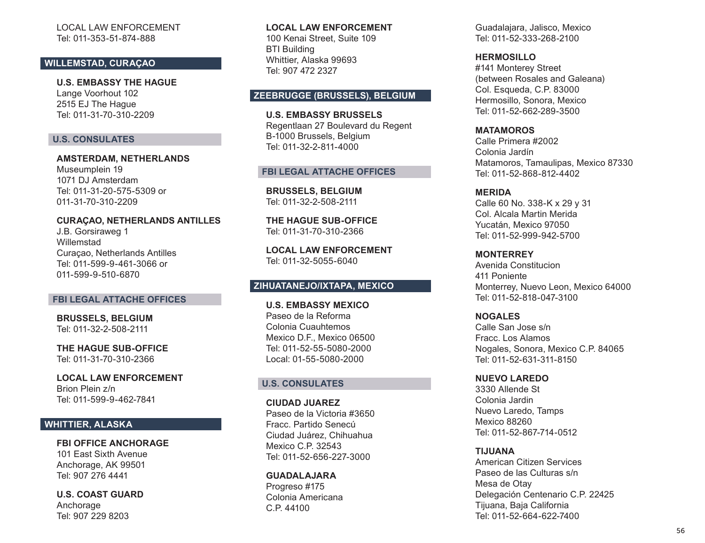### LOCAL LAW ENFORCEMENT Tel: 011-353-51-874-888

### **WILLEMSTAD, CURAÇAO**

**U.S. EMBASSY THE HAGUE**  Lange Voorhout 102 2515 EJ The Hague Tel: 011-31-70-310-2209

### **U.S. CONSULATES**

**AMSTERDAM, NETHERLANDS**  Museumplein 19 1071 DJ Amsterdam Tel: 011-31-20-575-5309 or 011-31-70-310-2209

#### **CURA ÇAO, NETHERLANDS ANTILLES** J.B. Gorsiraweg 1 Willemstad

Curaçao, Netherlands Antilles Tel: 011-599-9-461-3066 or 011-599-9-510-6870

### **FBI LEGAL ATTACHE OFFICES**

**BRUSSELS, BELGIUM**  Tel: 011-32-2-508-2111

**THE HAGUE SUB-OFFICE** Tel: 011-31-70-310-2366

**LOCAL LAW ENFORCEMENT**  Brion Plein z/n Tel: 011-599-9-462-7841

# **WHITTIER, ALASKA**

**FBI OFFICE ANCHORAGE**  101 East Sixth Avenue Anchorage, AK 99501 Tel: 907 276 4441

**U.S. COAST GUARD**  Anchorage Tel: 907 229 8203

### **LOCAL LAW ENFORCEMENT**  100 Kenai Street, Suite 109 BTI Building Whittier, Alaska 99693 Tel: 907 472 2327

### **ZEEBRUGGE (BRUSSELS), BELGIUM**

**U.S. EMBASSY BRUSSELS** Regentlaan 27 Boulevard du Regent B-1000 Brussels, Belgium Tel: 011-32-2-811-4000

### **FBI LEGAL ATTACHE OFFICES**

**BRUSSELS, BELGIUM**  Tel: 011-32-2-508-2111

**THE HAGUE SUB-OFFICE** Tel: 011-31-70-310-2366

**LOCAL LAW ENFORCEMENT**  Tel: 011-32-5055-6040

# **ZIHUATANEJO/IXTAPA, MEXICO**

**U.S. EMBASSY MEXICO** Paseo de la Reforma Colonia Cuauhtemos Mexico D.F., Mexico 06500 Tel: 011-52-55-5080-2000 Local: 01-55-5080-2000

#### **U.S. CONSULATES**

**CIUDAD JUAREZ**  Paseo de la Victoria #3650 Fracc. Partido Senecú Ciudad Juárez, Chihuahua Mexico C.P. 32543 Tel: 011-52-656-227-3000

**GUADALAJARA** Progreso #175 Colonia Americana C.P. 44100

Guadalajara, Jalisco, Mexico Tel: 011-52-333-268-2100

**HERMOSILLO**

#141 Monterey Street (between Rosales and Galeana) Col. Esqueda, C.P. 83000 Hermosillo, Sonora, Mexico Tel: 011-52-662-289-3500

**MATAMOROS** 

Calle Primera #2002 Colonia Jardín Matamoros, Tamaulipas, Mexico 87330 Tel: 011-52-868-812-4402

#### **MERIDA**

Calle 60 No. 338-K x 29 y 31 Col. Alcala Martin Merida Yucatán, Mexico 97050 Tel: 011-52-999-942-5700

#### **MONTERREY**

Avenida Constitucion 411 Poniente Monterrey, Nuevo Leon, Mexico 64000 Tel: 011-52-818-047-3100

**NOGALES**  Calle San Jose s/n Fracc. Los Alamos Nogales, Sonora, Mexico C.P. 84065

Tel: 011-52-631-311-8150

**NUEVO LAREDO** 

3330 Allende St Colonia Jardin Nuevo Laredo, Tamps Mexico 88260 Tel: 011-52-867-714-0512

**TIJUANA** 

American Citizen Services Paseo de las Culturas s/n Mesa de Otay Delegación Centenario C.P. 22425 Tijuana, Baja California Tel: 011-52-664-622-7400